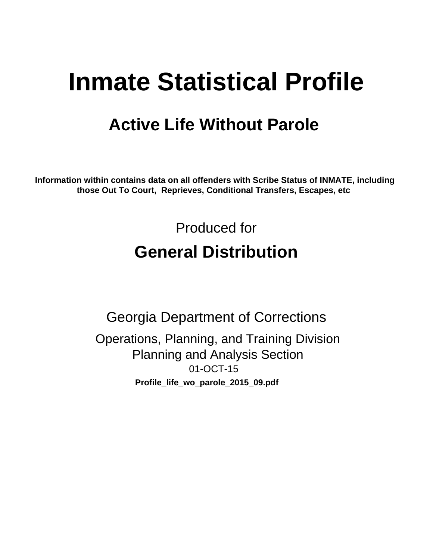# **Inmate Statistical Profile**

# **Active Life Without Parole**

Information within contains data on all offenders with Scribe Status of INMATE, including those Out To Court, Reprieves, Conditional Transfers, Escapes, etc

> Produced for **General Distribution**

**Georgia Department of Corrections** Operations, Planning, and Training Division **Planning and Analysis Section** 01-OCT-15 Profile\_life\_wo\_parole\_2015\_09.pdf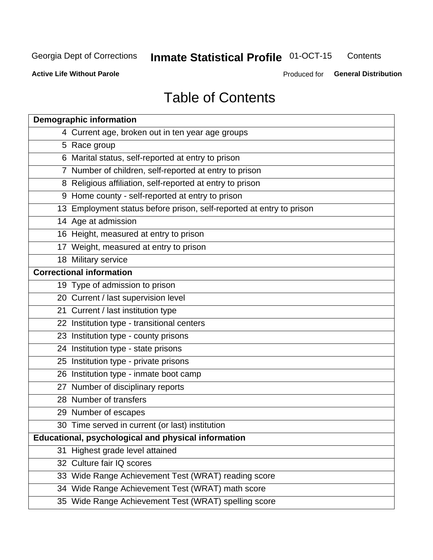#### **Inmate Statistical Profile 01-OCT-15** Contents

**Active Life Without Parole** 

Produced for General Distribution

# **Table of Contents**

| <b>Demographic information</b>                                       |
|----------------------------------------------------------------------|
| 4 Current age, broken out in ten year age groups                     |
| 5 Race group                                                         |
| 6 Marital status, self-reported at entry to prison                   |
| 7 Number of children, self-reported at entry to prison               |
| 8 Religious affiliation, self-reported at entry to prison            |
| 9 Home county - self-reported at entry to prison                     |
| 13 Employment status before prison, self-reported at entry to prison |
| 14 Age at admission                                                  |
| 16 Height, measured at entry to prison                               |
| 17 Weight, measured at entry to prison                               |
| 18 Military service                                                  |
| <b>Correctional information</b>                                      |
| 19 Type of admission to prison                                       |
| 20 Current / last supervision level                                  |
| 21 Current / last institution type                                   |
| 22 Institution type - transitional centers                           |
| 23 Institution type - county prisons                                 |
| 24 Institution type - state prisons                                  |
| 25 Institution type - private prisons                                |
| 26 Institution type - inmate boot camp                               |
| 27 Number of disciplinary reports                                    |
| 28 Number of transfers                                               |
| 29 Number of escapes                                                 |
| 30 Time served in current (or last) institution                      |
| Educational, psychological and physical information                  |
| 31 Highest grade level attained                                      |
| 32 Culture fair IQ scores                                            |
| 33 Wide Range Achievement Test (WRAT) reading score                  |
| 34 Wide Range Achievement Test (WRAT) math score                     |
| 35 Wide Range Achievement Test (WRAT) spelling score                 |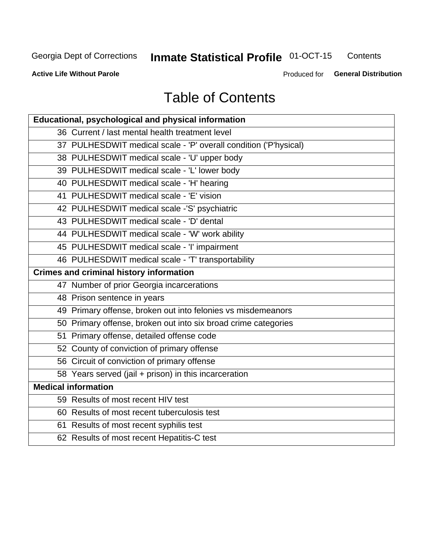# **Inmate Statistical Profile 01-OCT-15**

Contents

**Active Life Without Parole** 

Produced for General Distribution

# **Table of Contents**

| Educational, psychological and physical information              |
|------------------------------------------------------------------|
| 36 Current / last mental health treatment level                  |
| 37 PULHESDWIT medical scale - 'P' overall condition ('P'hysical) |
| 38 PULHESDWIT medical scale - 'U' upper body                     |
| 39 PULHESDWIT medical scale - 'L' lower body                     |
| 40 PULHESDWIT medical scale - 'H' hearing                        |
| 41 PULHESDWIT medical scale - 'E' vision                         |
| 42 PULHESDWIT medical scale -'S' psychiatric                     |
| 43 PULHESDWIT medical scale - 'D' dental                         |
| 44 PULHESDWIT medical scale - 'W' work ability                   |
| 45 PULHESDWIT medical scale - 'I' impairment                     |
| 46 PULHESDWIT medical scale - 'T' transportability               |
| <b>Crimes and criminal history information</b>                   |
| 47 Number of prior Georgia incarcerations                        |
| 48 Prison sentence in years                                      |
| 49 Primary offense, broken out into felonies vs misdemeanors     |
| 50 Primary offense, broken out into six broad crime categories   |
| 51 Primary offense, detailed offense code                        |
| 52 County of conviction of primary offense                       |
| 56 Circuit of conviction of primary offense                      |
| 58 Years served (jail + prison) in this incarceration            |
| <b>Medical information</b>                                       |
| 59 Results of most recent HIV test                               |
| 60 Results of most recent tuberculosis test                      |
| 61 Results of most recent syphilis test                          |
| 62 Results of most recent Hepatitis-C test                       |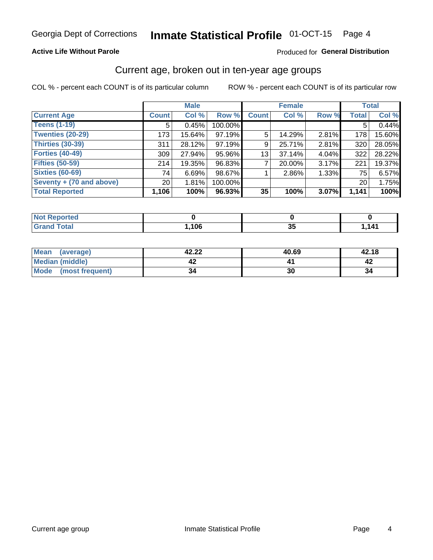### **Active Life Without Parole**

### Produced for General Distribution

# Current age, broken out in ten-year age groups

COL % - percent each COUNT is of its particular column

|                          | <b>Male</b>     |        |         |              | <b>Female</b> |          |                 | <b>Total</b> |
|--------------------------|-----------------|--------|---------|--------------|---------------|----------|-----------------|--------------|
| <b>Current Age</b>       | <b>Count</b>    | Col %  | Row %   | <b>Count</b> | Col %         | Row %    | <b>Total</b>    | Col %        |
| <b>Teens (1-19)</b>      | 5               | 0.45%  | 100.00% |              |               |          | 5               | 0.44%        |
| <b>Twenties (20-29)</b>  | 173             | 15.64% | 97.19%  | 5            | 14.29%        | $2.81\%$ | 178             | 15.60%       |
| Thirties (30-39)         | 311             | 28.12% | 97.19%  | 9            | 25.71%        | 2.81%    | 320             | 28.05%       |
| <b>Forties (40-49)</b>   | 309             | 27.94% | 95.96%  | 13           | 37.14%        | 4.04%    | 322             | 28.22%       |
| <b>Fifties (50-59)</b>   | 214             | 19.35% | 96.83%  |              | $20.00\%$     | 3.17%    | 221             | 19.37%       |
| <b>Sixties (60-69)</b>   | 74              | 6.69%  | 98.67%  |              | 2.86%         | 1.33%    | 75 l            | 6.57%        |
| Seventy + (70 and above) | 20 <sub>1</sub> | 1.81%  | 100.00% |              |               |          | 20 <sub>1</sub> | 1.75%        |
| <b>Total Reported</b>    | 1,106           | 100%   | 96.93%  | 35           | 100%          | 3.07%    | 1,141           | 100%         |

| <b>Enorted</b><br>m. |      |   |      |
|----------------------|------|---|------|
| $T \cap \{n\}$       | ,106 | ◡ | ,141 |

| Mean<br>(average)    | 42.22 | 40.69 | 42.18 |
|----------------------|-------|-------|-------|
| Median (middle)      |       |       |       |
| Mode (most frequent) | 34    | 30    | 34    |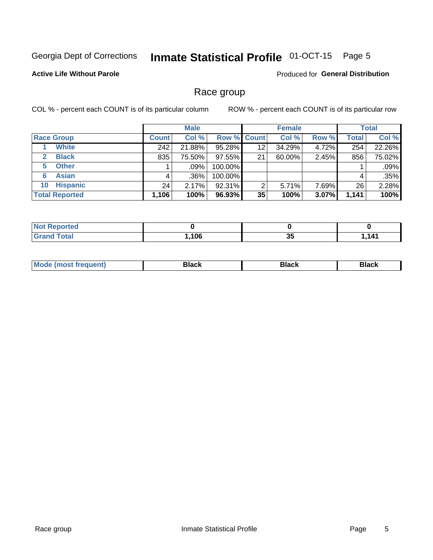#### **Inmate Statistical Profile 01-OCT-15** Page 5

## **Active Life Without Parole**

**Produced for General Distribution** 

# Race group

COL % - percent each COUNT is of its particular column

|                              | <b>Male</b>  |         |                    | <b>Female</b> |        |       | <b>Total</b> |        |
|------------------------------|--------------|---------|--------------------|---------------|--------|-------|--------------|--------|
| <b>Race Group</b>            | <b>Count</b> | Col %   | <b>Row % Count</b> |               | Col %  | Row % | <b>Total</b> | Col %  |
| <b>White</b>                 | 242          | 21.88%  | 95.28%             | 12            | 34.29% | 4.72% | 254          | 22.26% |
| <b>Black</b><br>$\mathbf{2}$ | 835          | 75.50%  | 97.55%             | 21            | 60.00% | 2.45% | 856          | 75.02% |
| <b>Other</b><br>5.           |              | $.09\%$ | 100.00%            |               |        |       |              | .09%   |
| <b>Asian</b><br>6            | 4            | $.36\%$ | 100.00%            |               |        |       | 4            | .35%   |
| <b>Hispanic</b><br>10        | 24           | 2.17%   | 92.31%             | 2             | 5.71%  | 7.69% | 26           | 2.28%  |
| <b>Total Reported</b>        | 1,106        | 100%    | 96.93%             | 35            | 100%   | 3.07% | 1,141        | 100%   |

| <b>rted</b><br>N |      |          |                                     |
|------------------|------|----------|-------------------------------------|
| <b>Total</b>     | .106 | п.<br>ುು | 14 <sup>4</sup><br>. <del>.</del> . |

| –•••• |  | M |  |  |  |
|-------|--|---|--|--|--|
|-------|--|---|--|--|--|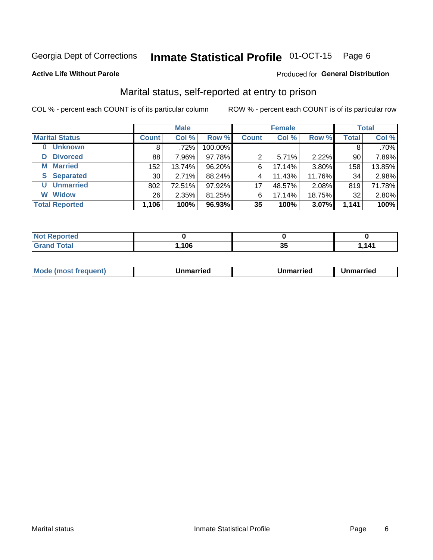#### Inmate Statistical Profile 01-OCT-15 Page 6

### **Active Life Without Parole**

## Produced for General Distribution

# Marital status, self-reported at entry to prison

COL % - percent each COUNT is of its particular column

|                            | <b>Male</b>  |        |         |              | <b>Female</b> | <b>Total</b> |              |         |
|----------------------------|--------------|--------|---------|--------------|---------------|--------------|--------------|---------|
| <b>Marital Status</b>      | <b>Count</b> | Col %  | Row %   | <b>Count</b> | Col %         | Row %        | <b>Total</b> | Col %   |
| <b>Unknown</b><br>$\bf{0}$ | 8            | .72%   | 100.00% |              |               |              | 8            | $.70\%$ |
| <b>Divorced</b><br>D       | 88           | 7.96%  | 97.78%  | 2            | 5.71%         | 2.22%        | 90           | 7.89%   |
| <b>Married</b><br>М        | 152          | 13.74% | 96.20%  | 6            | 17.14%        | 3.80%        | 158          | 13.85%  |
| <b>Separated</b><br>S      | 30           | 2.71%  | 88.24%  | 4            | 11.43%        | 11.76%       | 34           | 2.98%   |
| <b>Unmarried</b><br>U      | 802          | 72.51% | 97.92%  | 17           | 48.57%        | 2.08%        | 819          | 71.78%  |
| <b>Widow</b><br>W          | 26           | 2.35%  | 81.25%  | 6            | 17.14%        | 18.75%       | 32           | 2.80%   |
| <b>Total Reported</b>      | 1,106        | 100%   | 96.93%  | 35           | 100%          | 3.07%        | 1,141        | 100%    |

| <b>Not Reported</b><br>. <b>.</b> |      |   |            |
|-----------------------------------|------|---|------------|
| Total                             | .106 | ູ | . 141<br>. |

|  | M | . | Unmarried | າmarried<br>_____ |
|--|---|---|-----------|-------------------|
|--|---|---|-----------|-------------------|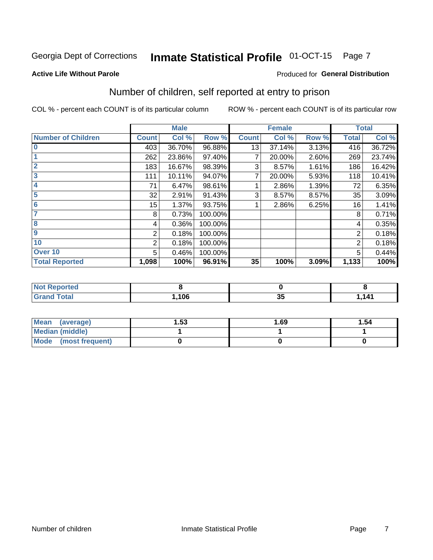#### Inmate Statistical Profile 01-OCT-15 Page 7

### **Active Life Without Parole**

## **Produced for General Distribution**

# Number of children, self reported at entry to prison

COL % - percent each COUNT is of its particular column

|                           |                | <b>Male</b> |         |              | <b>Female</b> |       |              | <b>Total</b> |
|---------------------------|----------------|-------------|---------|--------------|---------------|-------|--------------|--------------|
| <b>Number of Children</b> | <b>Count</b>   | Col %       | Row %   | <b>Count</b> | Col %         | Row % | <b>Total</b> | Col %        |
| $\bf{0}$                  | 403            | 36.70%      | 96.88%  | 13           | 37.14%        | 3.13% | 416          | 36.72%       |
|                           | 262            | 23.86%      | 97.40%  |              | 20.00%        | 2.60% | 269          | 23.74%       |
| $\overline{2}$            | 183            | 16.67%      | 98.39%  | 3            | 8.57%         | 1.61% | 186          | 16.42%       |
| 3                         | 111            | 10.11%      | 94.07%  | 7            | 20.00%        | 5.93% | 118          | 10.41%       |
| 4                         | 71             | 6.47%       | 98.61%  |              | 2.86%         | 1.39% | 72           | 6.35%        |
| 5                         | 32             | 2.91%       | 91.43%  | 3            | 8.57%         | 8.57% | 35           | 3.09%        |
| $6\phantom{1}6$           | 15             | 1.37%       | 93.75%  |              | 2.86%         | 6.25% | 16           | 1.41%        |
| 7                         | 8              | 0.73%       | 100.00% |              |               |       | 8            | 0.71%        |
| $\overline{\mathbf{8}}$   | 4              | 0.36%       | 100.00% |              |               |       | 4            | 0.35%        |
| $\boldsymbol{9}$          | 2              | 0.18%       | 100.00% |              |               |       | 2            | 0.18%        |
| 10                        | $\overline{2}$ | 0.18%       | 100.00% |              |               |       | 2            | 0.18%        |
| Over 10                   | 5              | 0.46%       | 100.00% |              |               |       | 5            | 0.44%        |
| <b>Total Reported</b>     | 1,098          | 100%        | 96.91%  | 35           | 100%          | 3.09% | 1,133        | 100%         |

| rteo                      |      |                      |       |
|---------------------------|------|----------------------|-------|
| المقماد<br>Jlai<br>$\sim$ | ,106 | $\sim$ $\sim$<br>ึงง | 4 1 4 |

| <b>Mean</b><br>(average) | 1.53 | 1.69 | 1.54 |
|--------------------------|------|------|------|
| <b>Median (middle)</b>   |      |      |      |
| Mode<br>(most frequent)  |      |      |      |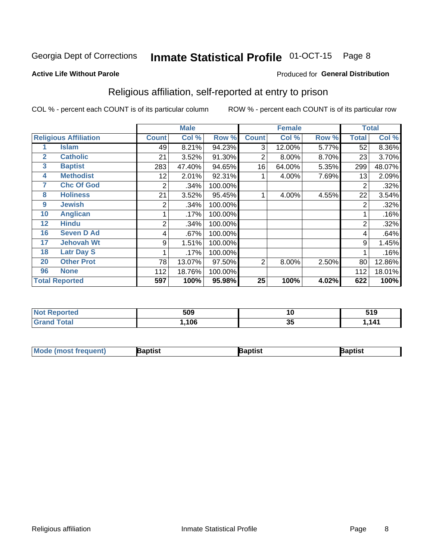#### Inmate Statistical Profile 01-OCT-15 Page 8

### **Active Life Without Parole**

### Produced for General Distribution

# Religious affiliation, self-reported at entry to prison

COL % - percent each COUNT is of its particular column

|              |                              | <b>Male</b>  |        |         | <b>Female</b> |        |       | <b>Total</b>   |        |
|--------------|------------------------------|--------------|--------|---------|---------------|--------|-------|----------------|--------|
|              | <b>Religious Affiliation</b> | <b>Count</b> | Col %  | Row %   | <b>Count</b>  | Col %  | Row % | <b>Total</b>   | Col %  |
|              | <b>Islam</b>                 | 49           | 8.21%  | 94.23%  | 3             | 12.00% | 5.77% | 52             | 8.36%  |
| $\mathbf{2}$ | <b>Catholic</b>              | 21           | 3.52%  | 91.30%  | 2             | 8.00%  | 8.70% | 23             | 3.70%  |
| 3            | <b>Baptist</b>               | 283          | 47.40% | 94.65%  | 16            | 64.00% | 5.35% | 299            | 48.07% |
| 4            | <b>Methodist</b>             | 12           | 2.01%  | 92.31%  |               | 4.00%  | 7.69% | 13             | 2.09%  |
| 7            | <b>Chc Of God</b>            | 2            | .34%   | 100.00% |               |        |       | 2              | .32%   |
| 8            | <b>Holiness</b>              | 21           | 3.52%  | 95.45%  |               | 4.00%  | 4.55% | 22             | 3.54%  |
| 9            | <b>Jewish</b>                | 2            | .34%   | 100.00% |               |        |       | $\overline{2}$ | .32%   |
| 10           | <b>Anglican</b>              |              | .17%   | 100.00% |               |        |       |                | .16%   |
| 12           | <b>Hindu</b>                 | 2            | .34%   | 100.00% |               |        |       | $\overline{2}$ | .32%   |
| 16           | <b>Seven D Ad</b>            | 4            | .67%   | 100.00% |               |        |       | 4              | .64%   |
| 17           | <b>Jehovah Wt</b>            | 9            | 1.51%  | 100.00% |               |        |       | 9              | 1.45%  |
| 18           | <b>Latr Day S</b>            |              | .17%   | 100.00% |               |        |       |                | .16%   |
| 20           | <b>Other Prot</b>            | 78           | 13.07% | 97.50%  | 2             | 8.00%  | 2.50% | 80             | 12.86% |
| 96           | <b>None</b>                  | 112          | 18.76% | 100.00% |               |        |       | 112            | 18.01% |
|              | <b>Total Reported</b>        | 597          | 100%   | 95.98%  | 25            | 100%   | 4.02% | 622            | 100%   |

| <b>NOT Reported</b> | 509  | 10       | . А<br>J I J |
|---------------------|------|----------|--------------|
| iotal               | ,106 | ית<br>ູບ | ,141         |

| <b>Mode (most frequent)</b> | Baptist | Baptist | Baptist |
|-----------------------------|---------|---------|---------|
|-----------------------------|---------|---------|---------|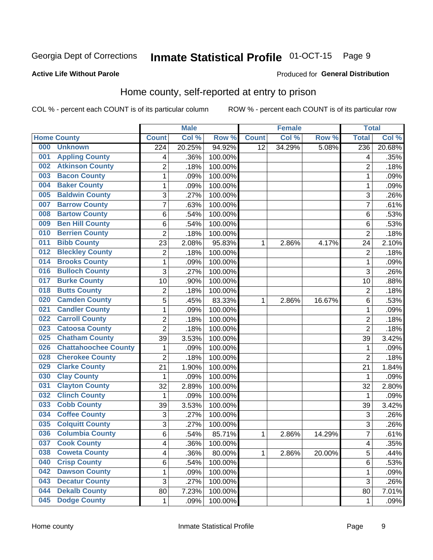#### **Inmate Statistical Profile 01-OCT-15** Page 9

### **Active Life Without Parole**

### Produced for General Distribution

# Home county, self-reported at entry to prison

COL % - percent each COUNT is of its particular column

|     |                             |                  | <b>Male</b> |         |              | <b>Female</b> |        | <b>Total</b>     |        |
|-----|-----------------------------|------------------|-------------|---------|--------------|---------------|--------|------------------|--------|
|     | <b>Home County</b>          | <b>Count</b>     | Col %       | Row %   | <b>Count</b> | Col %         | Row %  | <b>Total</b>     | Col %  |
| 000 | <b>Unknown</b>              | $\overline{224}$ | 20.25%      | 94.92%  | 12           | 34.29%        | 5.08%  | $\overline{236}$ | 20.68% |
| 001 | <b>Appling County</b>       | 4                | .36%        | 100.00% |              |               |        | 4                | .35%   |
| 002 | <b>Atkinson County</b>      | $\overline{2}$   | .18%        | 100.00% |              |               |        | $\overline{2}$   | .18%   |
| 003 | <b>Bacon County</b>         | 1                | .09%        | 100.00% |              |               |        | 1                | .09%   |
| 004 | <b>Baker County</b>         | $\mathbf 1$      | .09%        | 100.00% |              |               |        | 1                | .09%   |
| 005 | <b>Baldwin County</b>       | 3                | .27%        | 100.00% |              |               |        | 3                | .26%   |
| 007 | <b>Barrow County</b>        | $\overline{7}$   | .63%        | 100.00% |              |               |        | 7                | .61%   |
| 008 | <b>Bartow County</b>        | 6                | .54%        | 100.00% |              |               |        | 6                | .53%   |
| 009 | <b>Ben Hill County</b>      | 6                | .54%        | 100.00% |              |               |        | 6                | .53%   |
| 010 | <b>Berrien County</b>       | 2                | .18%        | 100.00% |              |               |        | $\overline{2}$   | .18%   |
| 011 | <b>Bibb County</b>          | 23               | 2.08%       | 95.83%  | 1            | 2.86%         | 4.17%  | 24               | 2.10%  |
| 012 | <b>Bleckley County</b>      | 2                | .18%        | 100.00% |              |               |        | $\overline{2}$   | .18%   |
| 014 | <b>Brooks County</b>        | $\mathbf 1$      | .09%        | 100.00% |              |               |        | 1                | .09%   |
| 016 | <b>Bulloch County</b>       | 3                | .27%        | 100.00% |              |               |        | 3                | .26%   |
| 017 | <b>Burke County</b>         | 10               | .90%        | 100.00% |              |               |        | 10               | .88%   |
| 018 | <b>Butts County</b>         | 2                | .18%        | 100.00% |              |               |        | $\overline{2}$   | .18%   |
| 020 | <b>Camden County</b>        | 5                | .45%        | 83.33%  | 1            | 2.86%         | 16.67% | 6                | .53%   |
| 021 | <b>Candler County</b>       | 1                | .09%        | 100.00% |              |               |        | 1                | .09%   |
| 022 | <b>Carroll County</b>       | $\overline{2}$   | .18%        | 100.00% |              |               |        | $\overline{2}$   | .18%   |
| 023 | <b>Catoosa County</b>       | $\overline{2}$   | .18%        | 100.00% |              |               |        | $\overline{2}$   | .18%   |
| 025 | <b>Chatham County</b>       | 39               | 3.53%       | 100.00% |              |               |        | 39               | 3.42%  |
| 026 | <b>Chattahoochee County</b> | 1                | .09%        | 100.00% |              |               |        | 1                | .09%   |
| 028 | <b>Cherokee County</b>      | $\overline{2}$   | .18%        | 100.00% |              |               |        | $\overline{2}$   | .18%   |
| 029 | <b>Clarke County</b>        | 21               | 1.90%       | 100.00% |              |               |        | 21               | 1.84%  |
| 030 | <b>Clay County</b>          | 1                | .09%        | 100.00% |              |               |        | 1                | .09%   |
| 031 | <b>Clayton County</b>       | 32               | 2.89%       | 100.00% |              |               |        | 32               | 2.80%  |
| 032 | <b>Clinch County</b>        | 1                | .09%        | 100.00% |              |               |        | 1                | .09%   |
| 033 | <b>Cobb County</b>          | 39               | 3.53%       | 100.00% |              |               |        | 39               | 3.42%  |
| 034 | <b>Coffee County</b>        | 3                | .27%        | 100.00% |              |               |        | 3                | .26%   |
| 035 | <b>Colquitt County</b>      | 3                | .27%        | 100.00% |              |               |        | 3                | .26%   |
| 036 | <b>Columbia County</b>      | 6                | .54%        | 85.71%  | 1            | 2.86%         | 14.29% | 7                | .61%   |
| 037 | <b>Cook County</b>          | 4                | .36%        | 100.00% |              |               |        | $\overline{4}$   | .35%   |
| 038 | <b>Coweta County</b>        | 4                | .36%        | 80.00%  | 1            | 2.86%         | 20.00% | 5                | .44%   |
| 040 | <b>Crisp County</b>         | 6                | .54%        | 100.00% |              |               |        | 6                | .53%   |
| 042 | <b>Dawson County</b>        | $\mathbf 1$      | .09%        | 100.00% |              |               |        | 1                | .09%   |
| 043 | <b>Decatur County</b>       | 3                | .27%        | 100.00% |              |               |        | 3                | .26%   |
| 044 | <b>Dekalb County</b>        | 80               | 7.23%       | 100.00% |              |               |        | 80               | 7.01%  |
| 045 | <b>Dodge County</b>         | 1                | .09%        | 100.00% |              |               |        | 1                | .09%   |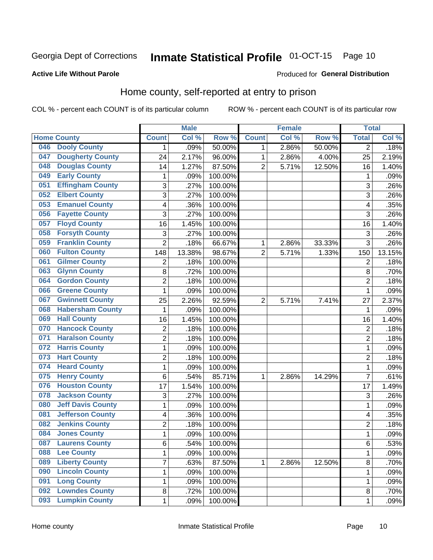#### Inmate Statistical Profile 01-OCT-15 Page 10

### **Active Life Without Parole**

## Produced for General Distribution

# Home county, self-reported at entry to prison

COL % - percent each COUNT is of its particular column

|     |                          |                | <b>Male</b> |         |                | <b>Female</b> |        | <b>Total</b>            |        |
|-----|--------------------------|----------------|-------------|---------|----------------|---------------|--------|-------------------------|--------|
|     | <b>Home County</b>       | <b>Count</b>   | Col %       | Row %   | <b>Count</b>   | Col %         | Row %  | <b>Total</b>            | Col %  |
| 046 | <b>Dooly County</b>      | 1.             | .09%        | 50.00%  | 1              | 2.86%         | 50.00% | $\overline{2}$          | .18%   |
| 047 | <b>Dougherty County</b>  | 24             | 2.17%       | 96.00%  | 1              | 2.86%         | 4.00%  | 25                      | 2.19%  |
| 048 | <b>Douglas County</b>    | 14             | 1.27%       | 87.50%  | $\overline{2}$ | 5.71%         | 12.50% | 16                      | 1.40%  |
| 049 | <b>Early County</b>      | 1              | .09%        | 100.00% |                |               |        | 1                       | .09%   |
| 051 | <b>Effingham County</b>  | 3              | .27%        | 100.00% |                |               |        | 3                       | .26%   |
| 052 | <b>Elbert County</b>     | 3              | .27%        | 100.00% |                |               |        | 3                       | .26%   |
| 053 | <b>Emanuel County</b>    | 4              | .36%        | 100.00% |                |               |        | $\overline{\mathbf{4}}$ | .35%   |
| 056 | <b>Fayette County</b>    | 3              | .27%        | 100.00% |                |               |        | 3                       | .26%   |
| 057 | <b>Floyd County</b>      | 16             | 1.45%       | 100.00% |                |               |        | 16                      | 1.40%  |
| 058 | <b>Forsyth County</b>    | 3              | .27%        | 100.00% |                |               |        | 3                       | .26%   |
| 059 | <b>Franklin County</b>   | $\overline{2}$ | .18%        | 66.67%  | 1              | 2.86%         | 33.33% | 3                       | .26%   |
| 060 | <b>Fulton County</b>     | 148            | 13.38%      | 98.67%  | $\overline{2}$ | 5.71%         | 1.33%  | 150                     | 13.15% |
| 061 | <b>Gilmer County</b>     | $\overline{2}$ | .18%        | 100.00% |                |               |        | $\overline{2}$          | .18%   |
| 063 | <b>Glynn County</b>      | 8              | .72%        | 100.00% |                |               |        | 8                       | .70%   |
| 064 | <b>Gordon County</b>     | $\overline{2}$ | .18%        | 100.00% |                |               |        | $\overline{2}$          | .18%   |
| 066 | <b>Greene County</b>     | 1              | .09%        | 100.00% |                |               |        | 1                       | .09%   |
| 067 | <b>Gwinnett County</b>   | 25             | 2.26%       | 92.59%  | $\overline{2}$ | 5.71%         | 7.41%  | 27                      | 2.37%  |
| 068 | <b>Habersham County</b>  | $\mathbf 1$    | .09%        | 100.00% |                |               |        | 1                       | .09%   |
| 069 | <b>Hall County</b>       | 16             | 1.45%       | 100.00% |                |               |        | 16                      | 1.40%  |
| 070 | <b>Hancock County</b>    | $\overline{c}$ | .18%        | 100.00% |                |               |        | $\overline{2}$          | .18%   |
| 071 | <b>Haralson County</b>   | $\overline{c}$ | .18%        | 100.00% |                |               |        | $\overline{2}$          | .18%   |
| 072 | <b>Harris County</b>     | $\mathbf 1$    | .09%        | 100.00% |                |               |        | 1                       | .09%   |
| 073 | <b>Hart County</b>       | $\overline{c}$ | .18%        | 100.00% |                |               |        | $\overline{2}$          | .18%   |
| 074 | <b>Heard County</b>      | $\mathbf{1}$   | .09%        | 100.00% |                |               |        | 1                       | .09%   |
| 075 | <b>Henry County</b>      | 6              | .54%        | 85.71%  | 1              | 2.86%         | 14.29% | $\overline{7}$          | .61%   |
| 076 | <b>Houston County</b>    | 17             | 1.54%       | 100.00% |                |               |        | 17                      | 1.49%  |
| 078 | <b>Jackson County</b>    | 3              | .27%        | 100.00% |                |               |        | 3                       | .26%   |
| 080 | <b>Jeff Davis County</b> | $\mathbf{1}$   | .09%        | 100.00% |                |               |        | 1                       | .09%   |
| 081 | <b>Jefferson County</b>  | 4              | .36%        | 100.00% |                |               |        | $\overline{\mathbf{4}}$ | .35%   |
| 082 | <b>Jenkins County</b>    | $\overline{c}$ | .18%        | 100.00% |                |               |        | $\overline{2}$          | .18%   |
| 084 | <b>Jones County</b>      | $\mathbf{1}$   | .09%        | 100.00% |                |               |        | 1                       | .09%   |
| 087 | <b>Laurens County</b>    | 6              | .54%        | 100.00% |                |               |        | 6                       | .53%   |
| 088 | <b>Lee County</b>        | $\mathbf{1}$   | .09%        | 100.00% |                |               |        | 1                       | .09%   |
| 089 | <b>Liberty County</b>    | $\overline{7}$ | .63%        | 87.50%  | 1              | 2.86%         | 12.50% | 8                       | .70%   |
| 090 | <b>Lincoln County</b>    | $\mathbf 1$    | .09%        | 100.00% |                |               |        | 1                       | .09%   |
| 091 | <b>Long County</b>       | 1              | .09%        | 100.00% |                |               |        | 1                       | .09%   |
| 092 | <b>Lowndes County</b>    | 8              | .72%        | 100.00% |                |               |        | 8                       | .70%   |
| 093 | <b>Lumpkin County</b>    | $\mathbf{1}$   | .09%        | 100.00% |                |               |        | 1                       | .09%   |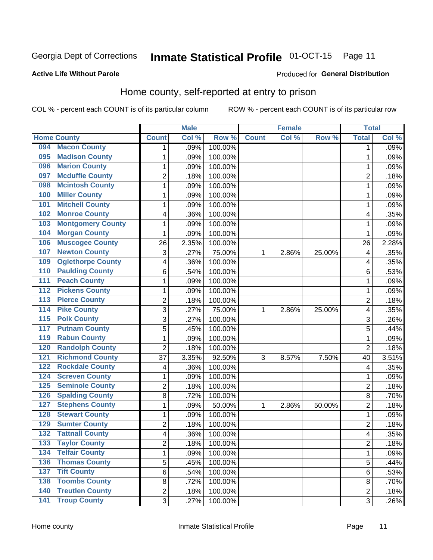#### Inmate Statistical Profile 01-OCT-15 Page 11

### **Active Life Without Parole**

### Produced for General Distribution

# Home county, self-reported at entry to prison

COL % - percent each COUNT is of its particular column

|                  |                          |                | <b>Male</b> |         |              | <b>Female</b> |        | <b>Total</b>   |       |
|------------------|--------------------------|----------------|-------------|---------|--------------|---------------|--------|----------------|-------|
|                  | <b>Home County</b>       | <b>Count</b>   | Col %       | Row %   | <b>Count</b> | Col%          | Row %  | <b>Total</b>   | Col % |
| 094              | <b>Macon County</b>      | 1              | .09%        | 100.00% |              |               |        | 1              | .09%  |
| 095              | <b>Madison County</b>    | 1              | .09%        | 100.00% |              |               |        | 1              | .09%  |
| 096              | <b>Marion County</b>     | $\mathbf 1$    | .09%        | 100.00% |              |               |        | 1              | .09%  |
| 097              | <b>Mcduffie County</b>   | 2              | .18%        | 100.00% |              |               |        | $\overline{2}$ | .18%  |
| 098              | <b>Mcintosh County</b>   | $\mathbf{1}$   | .09%        | 100.00% |              |               |        | 1              | .09%  |
| 100              | <b>Miller County</b>     | $\mathbf 1$    | .09%        | 100.00% |              |               |        | 1              | .09%  |
| 101              | <b>Mitchell County</b>   | 1              | .09%        | 100.00% |              |               |        | 1              | .09%  |
| 102              | <b>Monroe County</b>     | 4              | .36%        | 100.00% |              |               |        | 4              | .35%  |
| 103              | <b>Montgomery County</b> | 1              | .09%        | 100.00% |              |               |        | 1              | .09%  |
| 104              | <b>Morgan County</b>     | 1              | .09%        | 100.00% |              |               |        | 1              | .09%  |
| 106              | <b>Muscogee County</b>   | 26             | 2.35%       | 100.00% |              |               |        | 26             | 2.28% |
| 107              | <b>Newton County</b>     | 3              | .27%        | 75.00%  | 1            | 2.86%         | 25.00% | 4              | .35%  |
| 109              | <b>Oglethorpe County</b> | 4              | .36%        | 100.00% |              |               |        | 4              | .35%  |
| 110              | <b>Paulding County</b>   | 6              | .54%        | 100.00% |              |               |        | 6              | .53%  |
| 111              | <b>Peach County</b>      | 1              | .09%        | 100.00% |              |               |        | 1              | .09%  |
| 112              | <b>Pickens County</b>    | 1              | .09%        | 100.00% |              |               |        | 1              | .09%  |
| 113              | <b>Pierce County</b>     | $\overline{2}$ | .18%        | 100.00% |              |               |        | $\overline{2}$ | .18%  |
| 114              | <b>Pike County</b>       | 3              | .27%        | 75.00%  | 1            | 2.86%         | 25.00% | 4              | .35%  |
| $\overline{115}$ | <b>Polk County</b>       | 3              | .27%        | 100.00% |              |               |        | 3              | .26%  |
| 117              | <b>Putnam County</b>     | 5              | .45%        | 100.00% |              |               |        | 5              | .44%  |
| 119              | <b>Rabun County</b>      | $\mathbf{1}$   | .09%        | 100.00% |              |               |        | 1              | .09%  |
| 120              | <b>Randolph County</b>   | $\overline{2}$ | .18%        | 100.00% |              |               |        | $\overline{2}$ | .18%  |
| $121$            | <b>Richmond County</b>   | 37             | 3.35%       | 92.50%  | 3            | 8.57%         | 7.50%  | 40             | 3.51% |
| 122              | <b>Rockdale County</b>   | 4              | .36%        | 100.00% |              |               |        | 4              | .35%  |
| 124              | <b>Screven County</b>    | $\mathbf 1$    | .09%        | 100.00% |              |               |        | 1              | .09%  |
| 125              | <b>Seminole County</b>   | $\overline{c}$ | .18%        | 100.00% |              |               |        | $\overline{2}$ | .18%  |
| 126              | <b>Spalding County</b>   | 8              | .72%        | 100.00% |              |               |        | 8              | .70%  |
| 127              | <b>Stephens County</b>   | $\mathbf 1$    | .09%        | 50.00%  | 1            | 2.86%         | 50.00% | $\overline{2}$ | .18%  |
| 128              | <b>Stewart County</b>    | $\mathbf 1$    | .09%        | 100.00% |              |               |        | 1              | .09%  |
| 129              | <b>Sumter County</b>     | $\overline{c}$ | .18%        | 100.00% |              |               |        | $\overline{2}$ | .18%  |
| 132              | <b>Tattnall County</b>   | 4              | .36%        | 100.00% |              |               |        | 4              | .35%  |
| 133              | <b>Taylor County</b>     | 2              | .18%        | 100.00% |              |               |        | $\overline{c}$ | .18%  |
| 134              | <b>Telfair County</b>    | $\mathbf{1}$   | .09%        | 100.00% |              |               |        | 1              | .09%  |
| 136              | <b>Thomas County</b>     | 5              | .45%        | 100.00% |              |               |        | 5              | .44%  |
| 137              | <b>Tift County</b>       | $\overline{6}$ | .54%        | 100.00% |              |               |        | 6              | .53%  |
| 138              | <b>Toombs County</b>     | 8              | .72%        | 100.00% |              |               |        | 8              | .70%  |
| 140              | <b>Treutlen County</b>   | $\overline{2}$ | .18%        | 100.00% |              |               |        | $\overline{2}$ | .18%  |
| $\overline{141}$ | <b>Troup County</b>      | 3              | .27%        | 100.00% |              |               |        | $\overline{3}$ | .26%  |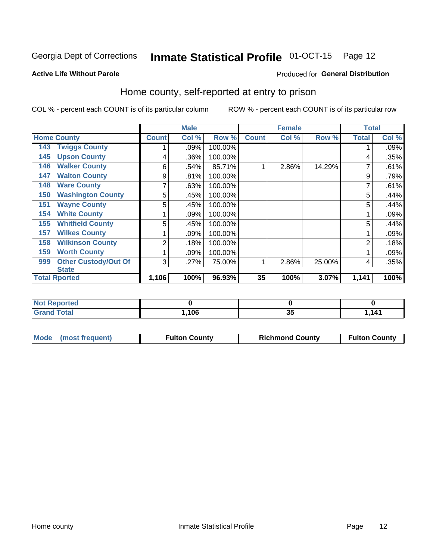# Inmate Statistical Profile 01-OCT-15 Page 12

### **Active Life Without Parole**

### Produced for General Distribution

# Home county, self-reported at entry to prison

COL % - percent each COUNT is of its particular column

|                                    |              | <b>Male</b> |         |              | <b>Female</b> |        | <b>Total</b> |       |
|------------------------------------|--------------|-------------|---------|--------------|---------------|--------|--------------|-------|
| <b>Home County</b>                 | <b>Count</b> | Col %       | Row %   | <b>Count</b> | Col %         | Row %  | <b>Total</b> | Col % |
| <b>Twiggs County</b><br>143        |              | .09%        | 100.00% |              |               |        |              | .09%  |
| <b>Upson County</b><br>145         | 4            | .36%        | 100.00% |              |               |        | 4            | .35%  |
| <b>Walker County</b><br>146        | 6            | .54%        | 85.71%  |              | 2.86%         | 14.29% |              | .61%  |
| <b>Walton County</b><br>147        | 9            | .81%        | 100.00% |              |               |        | 9            | .79%  |
| <b>Ware County</b><br>148          | 7            | .63%        | 100.00% |              |               |        |              | .61%  |
| <b>Washington County</b><br>150    | 5            | .45%        | 100.00% |              |               |        | 5            | .44%  |
| <b>Wayne County</b><br>151         | 5            | .45%        | 100.00% |              |               |        | 5            | .44%  |
| <b>White County</b><br>154         |              | .09%        | 100.00% |              |               |        |              | .09%  |
| <b>Whitfield County</b><br>155     | 5            | .45%        | 100.00% |              |               |        | 5            | .44%  |
| <b>Wilkes County</b><br>157        |              | .09%        | 100.00% |              |               |        |              | .09%  |
| <b>Wilkinson County</b><br>158     | 2            | .18%        | 100.00% |              |               |        | 2            | .18%  |
| <b>Worth County</b><br>159         |              | .09%        | 100.00% |              |               |        |              | .09%  |
| <b>Other Custody/Out Of</b><br>999 | 3            | .27%        | 75.00%  | 1            | 2.86%         | 25.00% | 4            | .35%  |
| <b>State</b>                       |              |             |         |              |               |        |              |       |
| <b>Total Rported</b>               | 1,106        | 100%        | 96.93%  | 35           | 100%          | 3.07%  | 1,141        | 100%  |

| <b>ceported</b> |      |    |     |
|-----------------|------|----|-----|
| <b>otal</b>     | ,106 | ৬⊍ | 141 |

|  | Mode (most frequent) | <b>Fulton County</b> | <b>Richmond County</b> | <b>Fulton County</b> |
|--|----------------------|----------------------|------------------------|----------------------|
|--|----------------------|----------------------|------------------------|----------------------|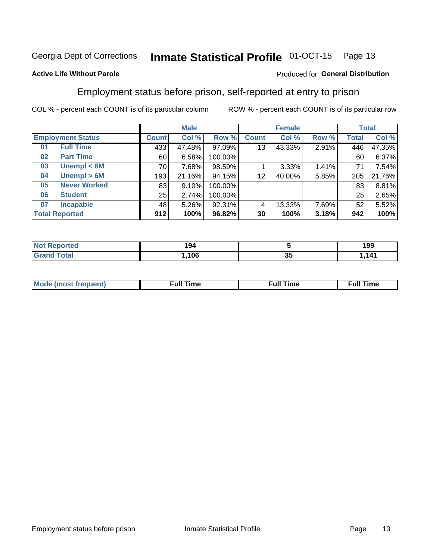#### **Inmate Statistical Profile 01-OCT-15** Page 13

## **Active Life Without Parole**

### Produced for General Distribution

# Employment status before prison, self-reported at entry to prison

COL % - percent each COUNT is of its particular column

|    |                          |              | <b>Male</b> |         |                 | <b>Female</b> |       |       | <b>Total</b> |
|----|--------------------------|--------------|-------------|---------|-----------------|---------------|-------|-------|--------------|
|    | <b>Employment Status</b> | <b>Count</b> | Col %       | Row %   | <b>Count</b>    | Col %         | Row % | Total | Col %        |
| 01 | <b>Full Time</b>         | 433          | 47.48%      | 97.09%  | 13              | 43.33%        | 2.91% | 446   | 47.35%       |
| 02 | <b>Part Time</b>         | 60           | 6.58%       | 100.00% |                 |               |       | 60    | 6.37%        |
| 03 | Unempl $<$ 6M            | 70 l         | 7.68%       | 98.59%  |                 | 3.33%         | 1.41% | 71    | 7.54%        |
| 04 | Unempl > 6M              | 193          | 21.16%      | 94.15%  | 12              | 40.00%        | 5.85% | 205   | 21.76%       |
| 05 | <b>Never Worked</b>      | 83           | 9.10%       | 100.00% |                 |               |       | 83    | 8.81%        |
| 06 | <b>Student</b>           | 25           | 2.74%       | 100.00% |                 |               |       | 25    | 2.65%        |
| 07 | <b>Incapable</b>         | 48           | $5.26\%$    | 92.31%  | 4               | 13.33%        | 7.69% | 52    | 5.52%        |
|    | <b>Total Reported</b>    | 912          | 100%        | 96.82%  | 30 <sub>1</sub> | 100%          | 3.18% | 942   | 100%         |

| `NT≂⊾<br>тео<br>NO. | 194  |    | 199   |
|---------------------|------|----|-------|
| <b>Total</b>        | ,106 | J. | 1,141 |

| Mc | ∴ull | ----<br>ıme<br>w |
|----|------|------------------|
|    |      |                  |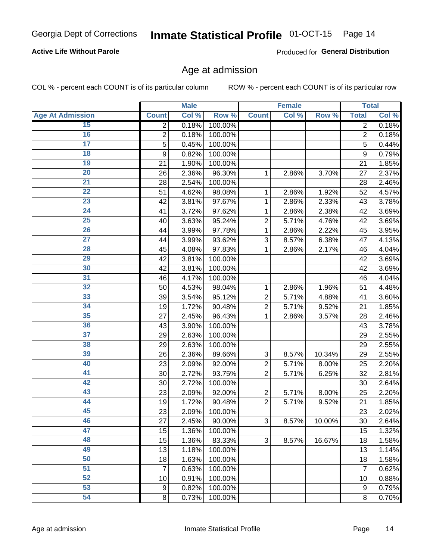## **Active Life Without Parole**

Produced for General Distribution

# Age at admission

COL % - percent each COUNT is of its particular column

|                         | <b>Male</b>    |       |         |                           | <b>Female</b> | <b>Total</b> |                |       |
|-------------------------|----------------|-------|---------|---------------------------|---------------|--------------|----------------|-------|
| <b>Age At Admission</b> | <b>Count</b>   | Col % | Row %   | <b>Count</b>              | Col %         | Row %        | <b>Total</b>   | Col % |
| 15                      | $\overline{2}$ | 0.18% | 100.00% |                           |               |              | $\overline{2}$ | 0.18% |
| 16                      | $\overline{2}$ | 0.18% | 100.00% |                           |               |              | $\overline{2}$ | 0.18% |
| $\overline{17}$         | 5              | 0.45% | 100.00% |                           |               |              | 5              | 0.44% |
| 18                      | 9              | 0.82% | 100.00% |                           |               |              | 9              | 0.79% |
| 19                      | 21             | 1.90% | 100.00% |                           |               |              | 21             | 1.85% |
| $\overline{20}$         | 26             | 2.36% | 96.30%  | 1                         | 2.86%         | 3.70%        | 27             | 2.37% |
| 21                      | 28             | 2.54% | 100.00% |                           |               |              | 28             | 2.46% |
| $\overline{22}$         | 51             | 4.62% | 98.08%  | 1                         | 2.86%         | 1.92%        | 52             | 4.57% |
| $\overline{23}$         | 42             | 3.81% | 97.67%  | 1                         | 2.86%         | 2.33%        | 43             | 3.78% |
| $\overline{24}$         | 41             | 3.72% | 97.62%  | 1                         | 2.86%         | 2.38%        | 42             | 3.69% |
| $\overline{25}$         | 40             | 3.63% | 95.24%  | $\overline{c}$            | 5.71%         | 4.76%        | 42             | 3.69% |
| 26                      | 44             | 3.99% | 97.78%  | 1                         | 2.86%         | 2.22%        | 45             | 3.95% |
| $\overline{27}$         | 44             | 3.99% | 93.62%  | 3                         | 8.57%         | 6.38%        | 47             | 4.13% |
| 28                      | 45             | 4.08% | 97.83%  | 1                         | 2.86%         | 2.17%        | 46             | 4.04% |
| 29                      | 42             | 3.81% | 100.00% |                           |               |              | 42             | 3.69% |
| 30                      | 42             | 3.81% | 100.00% |                           |               |              | 42             | 3.69% |
| 31                      | 46             | 4.17% | 100.00% |                           |               |              | 46             | 4.04% |
| $\overline{32}$         | 50             | 4.53% | 98.04%  | $\mathbf 1$               | 2.86%         | 1.96%        | 51             | 4.48% |
| 33                      | 39             | 3.54% | 95.12%  | $\overline{2}$            | 5.71%         | 4.88%        | 41             | 3.60% |
| $\overline{34}$         | 19             | 1.72% | 90.48%  | $\overline{2}$            | 5.71%         | 9.52%        | 21             | 1.85% |
| 35                      | 27             | 2.45% | 96.43%  | 1                         | 2.86%         | 3.57%        | 28             | 2.46% |
| 36                      | 43             | 3.90% | 100.00% |                           |               |              | 43             | 3.78% |
| $\overline{37}$         | 29             | 2.63% | 100.00% |                           |               |              | 29             | 2.55% |
| 38                      | 29             | 2.63% | 100.00% |                           |               |              | 29             | 2.55% |
| 39                      | 26             | 2.36% | 89.66%  | $\ensuremath{\mathsf{3}}$ | 8.57%         | 10.34%       | 29             | 2.55% |
| 40                      | 23             | 2.09% | 92.00%  | $\overline{c}$            | 5.71%         | 8.00%        | 25             | 2.20% |
| 41                      | 30             | 2.72% | 93.75%  | $\overline{2}$            | 5.71%         | 6.25%        | 32             | 2.81% |
| 42                      | 30             | 2.72% | 100.00% |                           |               |              | 30             | 2.64% |
| 43                      | 23             | 2.09% | 92.00%  | $\mathbf 2$               | 5.71%         | 8.00%        | 25             | 2.20% |
| 44                      | 19             | 1.72% | 90.48%  | $\overline{2}$            | 5.71%         | 9.52%        | 21             | 1.85% |
| 45                      | 23             | 2.09% | 100.00% |                           |               |              | 23             | 2.02% |
| 46                      | 27             | 2.45% | 90.00%  | $\ensuremath{\mathsf{3}}$ | 8.57%         | 10.00%       | 30             | 2.64% |
| 47                      | 15             | 1.36% | 100.00% |                           |               |              | 15             | 1.32% |
| 48                      | 15             | 1.36% | 83.33%  | 3                         | 8.57%         | 16.67%       | 18             | 1.58% |
| 49                      | 13             | 1.18% | 100.00% |                           |               |              | 13             | 1.14% |
| 50                      | 18             | 1.63% | 100.00% |                           |               |              | 18             | 1.58% |
| $\overline{51}$         | $\overline{7}$ | 0.63% | 100.00% |                           |               |              | 7              | 0.62% |
| $\overline{52}$         | 10             | 0.91% | 100.00% |                           |               |              | 10             | 0.88% |
| 53                      | 9              | 0.82% | 100.00% |                           |               |              | 9              | 0.79% |
| 54                      | 8              | 0.73% | 100.00% |                           |               |              | 8              | 0.70% |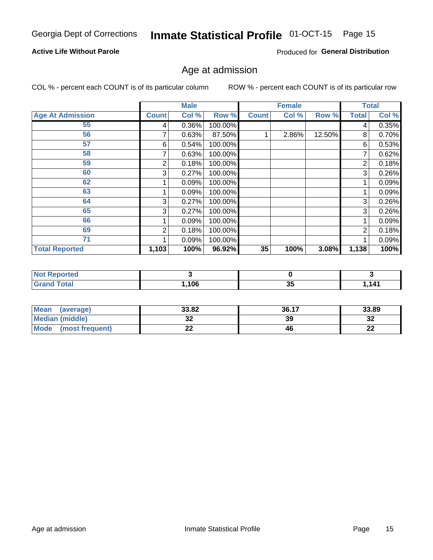#### Inmate Statistical Profile 01-OCT-15 Page 15

## **Active Life Without Parole**

Produced for General Distribution

# Age at admission

COL % - percent each COUNT is of its particular column

|                         |              | <b>Male</b> |         |              | <b>Female</b> |        |              | <b>Total</b> |
|-------------------------|--------------|-------------|---------|--------------|---------------|--------|--------------|--------------|
| <b>Age At Admission</b> | <b>Count</b> | Col %       | Row %   | <b>Count</b> | Col %         | Row %  | <b>Total</b> | Col %        |
| 55                      | 4            | 0.36%       | 100.00% |              |               |        | 4            | 0.35%        |
| 56                      |              | 0.63%       | 87.50%  |              | 2.86%         | 12.50% | 8            | 0.70%        |
| 57                      | 6            | 0.54%       | 100.00% |              |               |        | 6            | 0.53%        |
| 58                      |              | 0.63%       | 100.00% |              |               |        | 7            | 0.62%        |
| 59                      | 2            | 0.18%       | 100.00% |              |               |        | 2            | 0.18%        |
| 60                      | 3            | 0.27%       | 100.00% |              |               |        | 3            | 0.26%        |
| 62                      |              | 0.09%       | 100.00% |              |               |        |              | 0.09%        |
| 63                      |              | 0.09%       | 100.00% |              |               |        |              | 0.09%        |
| 64                      | 3            | 0.27%       | 100.00% |              |               |        | 3            | 0.26%        |
| 65                      | 3            | 0.27%       | 100.00% |              |               |        | 3            | 0.26%        |
| 66                      |              | 0.09%       | 100.00% |              |               |        |              | 0.09%        |
| 69                      | 2            | 0.18%       | 100.00% |              |               |        | 2            | 0.18%        |
| 71                      |              | 0.09%       | 100.00% |              |               |        |              | 0.09%        |
| <b>Total Reported</b>   | 1,103        | 100%        | 96.92%  | 35           | 100%          | 3.08%  | 1,138        | 100%         |

| <b>Not Reported</b>     |      |          |       |
|-------------------------|------|----------|-------|
| <b>Total</b><br>' Grand | ,106 | יי<br>vu | 1,141 |

| <b>Mean</b><br>(average) | 33.82 | 36.17 | 33.89   |
|--------------------------|-------|-------|---------|
| Median (middle)          | JZ    | 39    | ົ<br>34 |
| Mode<br>(most frequent)  | --    | 46    | ົ<br>LL |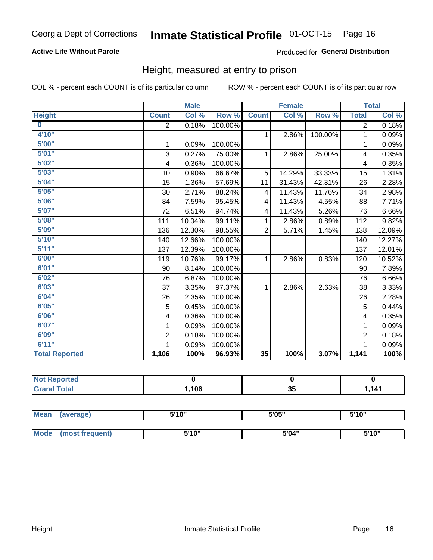# **Active Life Without Parole**

## Produced for General Distribution

# Height, measured at entry to prison

COL % - percent each COUNT is of its particular column

|                         |                | <b>Male</b> |         |                | <b>Female</b> |         |                | <b>Total</b> |
|-------------------------|----------------|-------------|---------|----------------|---------------|---------|----------------|--------------|
| <b>Height</b>           | <b>Count</b>   | Col %       | Row %   | <b>Count</b>   | Col %         | Row %   | <b>Total</b>   | Col %        |
| $\overline{\mathbf{0}}$ | 2              | 0.18%       | 100.00% |                |               |         | $\overline{2}$ | 0.18%        |
| 4'10"                   |                |             |         | $\mathbf{1}$   | 2.86%         | 100.00% | 1              | 0.09%        |
| 5'00''                  | 1              | 0.09%       | 100.00% |                |               |         | 1              | 0.09%        |
| 5'01"                   | 3              | 0.27%       | 75.00%  | 1              | 2.86%         | 25.00%  | 4              | 0.35%        |
| 5'02"                   | 4              | 0.36%       | 100.00% |                |               |         | 4              | 0.35%        |
| 5'03''                  | 10             | 0.90%       | 66.67%  | 5              | 14.29%        | 33.33%  | 15             | 1.31%        |
| 5'04"                   | 15             | 1.36%       | 57.69%  | 11             | 31.43%        | 42.31%  | 26             | 2.28%        |
| 5'05"                   | 30             | 2.71%       | 88.24%  | 4              | 11.43%        | 11.76%  | 34             | 2.98%        |
| 5'06''                  | 84             | 7.59%       | 95.45%  | 4              | 11.43%        | 4.55%   | 88             | 7.71%        |
| 5'07''                  | 72             | 6.51%       | 94.74%  | 4              | 11.43%        | 5.26%   | 76             | 6.66%        |
| 5'08''                  | 111            | 10.04%      | 99.11%  | 1              | 2.86%         | 0.89%   | 112            | 9.82%        |
| 5'09''                  | 136            | 12.30%      | 98.55%  | $\overline{2}$ | 5.71%         | 1.45%   | 138            | 12.09%       |
| 5'10''                  | 140            | 12.66%      | 100.00% |                |               |         | 140            | 12.27%       |
| 5'11''                  | 137            | 12.39%      | 100.00% |                |               |         | 137            | 12.01%       |
| 6'00''                  | 119            | 10.76%      | 99.17%  | $\mathbf{1}$   | 2.86%         | 0.83%   | 120            | 10.52%       |
| 6'01''                  | 90             | 8.14%       | 100.00% |                |               |         | 90             | 7.89%        |
| 6'02"                   | 76             | 6.87%       | 100.00% |                |               |         | 76             | 6.66%        |
| 6'03''                  | 37             | 3.35%       | 97.37%  | $\mathbf{1}$   | 2.86%         | 2.63%   | 38             | 3.33%        |
| 6'04"                   | 26             | 2.35%       | 100.00% |                |               |         | 26             | 2.28%        |
| 6'05"                   | 5              | 0.45%       | 100.00% |                |               |         | 5              | 0.44%        |
| 6'06''                  | 4              | 0.36%       | 100.00% |                |               |         | 4              | 0.35%        |
| 6'07''                  | 1              | 0.09%       | 100.00% |                |               |         | 1              | 0.09%        |
| 6'09''                  | $\overline{2}$ | 0.18%       | 100.00% |                |               |         | $\overline{2}$ | 0.18%        |
| 6'11''                  |                | 0.09%       | 100.00% |                |               |         | 1              | 0.09%        |
| <b>Total Reported</b>   | 1,106          | 100%        | 96.93%  | 35             | 100%          | 3.07%   | 1,141          | 100%         |

| <b>NOT</b><br>Reported |      |    |  |
|------------------------|------|----|--|
| $f \wedge f \wedge f$  | ,106 | 35 |  |

| <b>Mean</b> | (average)       | 5'10" | 5'05" | 5'10"<br>ັ |
|-------------|-----------------|-------|-------|------------|
|             |                 |       |       |            |
| Mode        | (most frequent) | 5'10" | 5'04" | 5'10"      |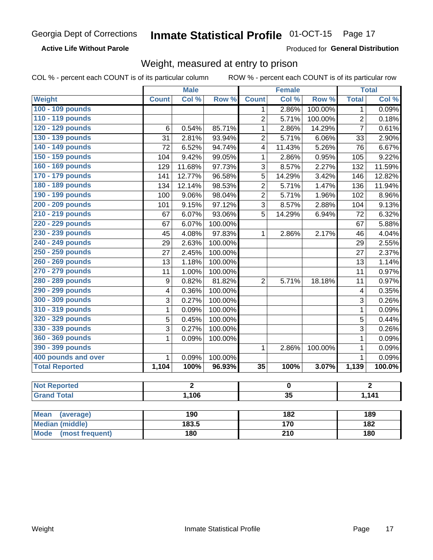### **Active Life Without Parole**

Produced for General Distribution

# Weight, measured at entry to prison

COL % - percent each COUNT is of its particular column

|                       | <b>Male</b>             |                | <b>Female</b> |                         |                 | <b>Total</b> |                |        |  |
|-----------------------|-------------------------|----------------|---------------|-------------------------|-----------------|--------------|----------------|--------|--|
| <b>Weight</b>         | <b>Count</b>            | Col %          | Row %         | <b>Count</b>            | Col %           | Row %        | <b>Total</b>   | Col %  |  |
| 100 - 109 pounds      |                         |                |               | 1                       | 2.86%           | 100.00%      | 1              | 0.09%  |  |
| 110 - 119 pounds      |                         |                |               | $\overline{2}$          | 5.71%           | 100.00%      | $\overline{2}$ | 0.18%  |  |
| 120 - 129 pounds      | 6                       | 0.54%          | 85.71%        | 1                       | 2.86%           | 14.29%       | $\overline{7}$ | 0.61%  |  |
| 130 - 139 pounds      | 31                      | 2.81%          | 93.94%        | $\overline{2}$          | 5.71%           | 6.06%        | 33             | 2.90%  |  |
| 140 - 149 pounds      | 72                      | 6.52%          | 94.74%        | $\overline{\mathbf{4}}$ | 11.43%          | 5.26%        | 76             | 6.67%  |  |
| 150 - 159 pounds      | 104                     | 9.42%          | 99.05%        | $\mathbf 1$             | 2.86%           | 0.95%        | 105            | 9.22%  |  |
| 160 - 169 pounds      | 129                     | 11.68%         | 97.73%        | 3                       | 8.57%           | 2.27%        | 132            | 11.59% |  |
| 170 - 179 pounds      | 141                     | 12.77%         | 96.58%        | 5                       | 14.29%          | 3.42%        | 146            | 12.82% |  |
| 180 - 189 pounds      | 134                     | 12.14%         | 98.53%        | $\overline{2}$          | 5.71%           | 1.47%        | 136            | 11.94% |  |
| 190 - 199 pounds      | 100                     | 9.06%          | 98.04%        | $\overline{2}$          | 5.71%           | 1.96%        | 102            | 8.96%  |  |
| 200 - 209 pounds      | 101                     | 9.15%          | 97.12%        | 3                       | 8.57%           | 2.88%        | 104            | 9.13%  |  |
| 210 - 219 pounds      | 67                      | 6.07%          | 93.06%        | 5                       | 14.29%          | 6.94%        | 72             | 6.32%  |  |
| 220 - 229 pounds      | 67                      | 6.07%          | 100.00%       |                         |                 |              | 67             | 5.88%  |  |
| 230 - 239 pounds      | 45                      | 4.08%          | 97.83%        | $\mathbf{1}$            | 2.86%           | 2.17%        | 46             | 4.04%  |  |
| 240 - 249 pounds      | 29                      | 2.63%          | 100.00%       |                         |                 |              | 29             | 2.55%  |  |
| 250 - 259 pounds      | 27                      | 2.45%          | 100.00%       |                         |                 |              | 27             | 2.37%  |  |
| 260 - 269 pounds      | 13                      | 1.18%          | 100.00%       |                         |                 |              | 13             | 1.14%  |  |
| 270 - 279 pounds      | 11                      | 1.00%          | 100.00%       |                         |                 |              | 11             | 0.97%  |  |
| 280 - 289 pounds      | $\boldsymbol{9}$        | 0.82%          | 81.82%        | $\overline{2}$          | 5.71%           | 18.18%       | 11             | 0.97%  |  |
| 290 - 299 pounds      | $\overline{\mathbf{4}}$ | 0.36%          | 100.00%       |                         |                 |              | 4              | 0.35%  |  |
| 300 - 309 pounds      | 3                       | 0.27%          | 100.00%       |                         |                 |              | 3              | 0.26%  |  |
| 310 - 319 pounds      | $\mathbf 1$             | 0.09%          | 100.00%       |                         |                 |              | $\mathbf 1$    | 0.09%  |  |
| 320 - 329 pounds      | $\overline{5}$          | 0.45%          | 100.00%       |                         |                 |              | 5              | 0.44%  |  |
| 330 - 339 pounds      | 3                       | 0.27%          | 100.00%       |                         |                 |              | 3              | 0.26%  |  |
| 360 - 369 pounds      | 1                       | 0.09%          | 100.00%       |                         |                 |              | $\mathbf{1}$   | 0.09%  |  |
| 390 - 399 pounds      |                         |                |               | 1                       | 2.86%           | 100.00%      | $\mathbf{1}$   | 0.09%  |  |
| 400 pounds and over   | $\mathbf{1}$            | 0.09%          | 100.00%       |                         |                 |              | $\mathbf{1}$   | 0.09%  |  |
| <b>Total Reported</b> | 1,104                   | 100%           | 96.93%        | $\overline{35}$         | 100%            | 3.07%        | 1,139          | 100.0% |  |
|                       |                         |                |               |                         |                 |              |                |        |  |
| <b>Not Reported</b>   |                         | $\overline{2}$ |               |                         | $\mathbf 0$     |              | $\overline{2}$ |        |  |
| <b>Grand Total</b>    |                         | 1,106          |               |                         | $\overline{35}$ |              | 1,141          |        |  |
|                       |                         |                |               |                         |                 |              |                |        |  |

| Mean<br>(average)              | 190   | 182 | 189 |
|--------------------------------|-------|-----|-----|
| <b>Median (middle)</b>         | 183.5 | 170 | 182 |
| <b>Mode</b><br>(most frequent) | 180   | 210 | 180 |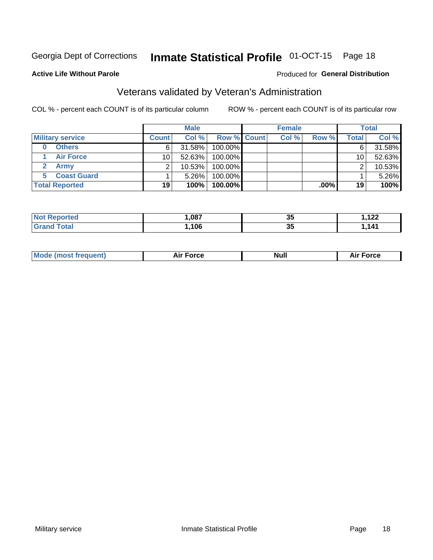#### Inmate Statistical Profile 01-OCT-15 Page 18

### **Active Life Without Parole**

# Produced for General Distribution

# Veterans validated by Veteran's Administration

COL % - percent each COUNT is of its particular column

|                         |                       | <b>Male</b>  |        |                    | <b>Female</b> |       |       | <b>Total</b> |        |
|-------------------------|-----------------------|--------------|--------|--------------------|---------------|-------|-------|--------------|--------|
| <b>Military service</b> |                       | <b>Count</b> | Col %  | <b>Row % Count</b> |               | Col % | Row % | Total        | Col %  |
|                         | <b>Others</b>         | 6.           | 31.58% | 100.00%            |               |       |       | 6            | 31.58% |
|                         | <b>Air Force</b>      | 10           | 52.63% | 100.00%            |               |       |       | 10           | 52.63% |
|                         | Army                  |              | 10.53% | 100.00%            |               |       |       | ◠            | 10.53% |
|                         | <b>Coast Guard</b>    |              | 5.26%  | 100.00%            |               |       |       |              | 5.26%  |
|                         | <b>Total Reported</b> | 19           | 100%   | 100.00%            |               |       | .00%  | 19           | 100%   |

| ,087 | --<br>w  | ה ה<br>.   |
|------|----------|------------|
| .106 | --<br>v. | <b>444</b> |

|  | <b>Mode (most frequent)</b> | Force<br><b>NU</b> | <b>Null</b> | ™orce<br>۹۱. |
|--|-----------------------------|--------------------|-------------|--------------|
|--|-----------------------------|--------------------|-------------|--------------|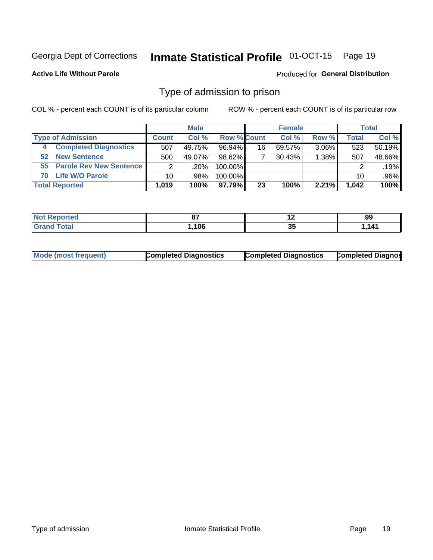#### Inmate Statistical Profile 01-OCT-15 Page 19

### **Active Life Without Parole**

### **Produced for General Distribution**

# Type of admission to prison

COL % - percent each COUNT is of its particular column

|    |                              |                | <b>Male</b> |                    |    | <b>Female</b> |          |       | <b>Total</b> |
|----|------------------------------|----------------|-------------|--------------------|----|---------------|----------|-------|--------------|
|    | <b>Type of Admission</b>     | <b>Count</b>   | Col %       | <b>Row % Count</b> |    | Col %         | Row %    | Total | Col %        |
| 4  | <b>Completed Diagnostics</b> | 507            | 49.75%      | 96.94%             | 16 | 69.57%        | $3.06\%$ | 523   | 50.19%       |
| 52 | <b>New Sentence</b>          | 500            | 49.07%      | 98.62%             |    | 30.43%        | $1.38\%$ | 507   | 48.66%       |
|    | 55 Parole Rev New Sentence   | $\overline{2}$ | $.20\%$     | 100.00%            |    |               |          |       | .19%         |
| 70 | <b>Life W/O Parole</b>       | 10 l           | .98%        | 100.00%            |    |               |          | 10    | $.96\%$      |
|    | <b>Total Reported</b>        | 1,019          | 100%        | 97.79%             | 23 | 100%          | $2.21\%$ | 1.042 | 100%         |

| N<br>æ | ົ<br>$\sim$ | $\overline{\phantom{a}}$ | 99  |
|--------|-------------|--------------------------|-----|
|        | 106         | o r<br>◡                 | 111 |

|  | Mode (most frequent) | <b>Completed Diagnostics</b> | <b>Completed Diagnostics</b> | <b>Completed Diagnos</b> |
|--|----------------------|------------------------------|------------------------------|--------------------------|
|--|----------------------|------------------------------|------------------------------|--------------------------|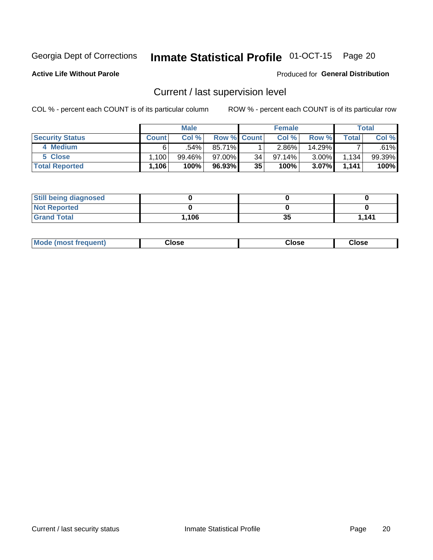# Inmate Statistical Profile 01-OCT-15 Page 20

**Active Life Without Parole** 

### Produced for General Distribution

# Current / last supervision level

COL % - percent each COUNT is of its particular column

|                        |                   | <b>Male</b> |                    |    | <b>Female</b> |          |       | <b>Total</b> |
|------------------------|-------------------|-------------|--------------------|----|---------------|----------|-------|--------------|
| <b>Security Status</b> | <b>Count</b>      | Col%        | <b>Row % Count</b> |    | Col %         | Row %    | Total | Col %        |
| 4 Medium               | 6.                | .54%        | 85.71%             |    | 2.86%         | 14.29%   |       | .61%         |
| 5 Close                | .100 <sup>1</sup> | 99.46%      | 97.00%             | 34 | 97.14%        | $3.00\%$ | 1,134 | 99.39%       |
| <b>Total Reported</b>  | 1,106             | 100%        | 96.93%             | 35 | 100%          | $3.07\%$ | 1,141 | 100%         |

| <b>Still being diagnosed</b> |       |    |       |
|------------------------------|-------|----|-------|
| <b>Not Reported</b>          |       |    |       |
| <b>Grand Total</b>           | 1,106 | 35 | 1.141 |

| <b>AhoM</b><br>rreauent) | <b>Close</b> | Close | Close |
|--------------------------|--------------|-------|-------|
|                          |              |       |       |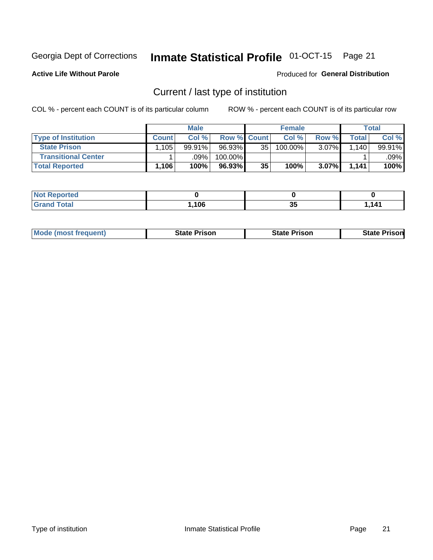# Inmate Statistical Profile 01-OCT-15 Page 21

**Active Life Without Parole** 

Produced for General Distribution

# Current / last type of institution

COL % - percent each COUNT is of its particular column

|                            |              | <b>Male</b> |                    |    | <b>Female</b> |       |       | Total  |
|----------------------------|--------------|-------------|--------------------|----|---------------|-------|-------|--------|
| <b>Type of Institution</b> | <b>Count</b> | Col %       | <b>Row % Count</b> |    | Col %         | Row % | Total | Col %  |
| <b>State Prison</b>        | .105         | $99.91\%$   | 96.93%             | 35 | $100.00\%$    | 3.07% | .140  | 99.91% |
| <b>Transitional Center</b> |              | .09%        | 100.00%            |    |               |       |       | .09% l |
| <b>Total Reported</b>      | 1,106        | 100%        | $96.93\%$          | 35 | 100%          | 3.07% | 1.141 | 100%   |

| portea       |     |           |     |
|--------------|-----|-----------|-----|
| $A + \alpha$ | 106 | n r<br>v, | 141 |

|  | <b>Mode (most frequent)</b> | State Prison | <b>State Prison</b> | risonl<br>State |
|--|-----------------------------|--------------|---------------------|-----------------|
|--|-----------------------------|--------------|---------------------|-----------------|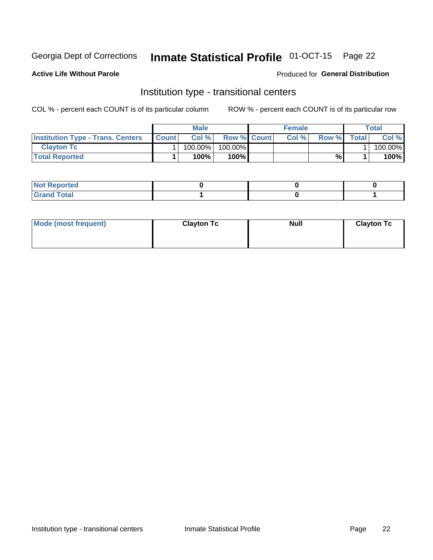# Inmate Statistical Profile 01-OCT-15 Page 22

## **Active Life Without Parole**

### Produced for General Distribution

# Institution type - transitional centers

COL % - percent each COUNT is of its particular column

|                                          |              | <b>Male</b> |                    | <b>Female</b> |       |              | <b>Total</b> |
|------------------------------------------|--------------|-------------|--------------------|---------------|-------|--------------|--------------|
| <b>Institution Type - Trans. Centers</b> | <b>Count</b> | Col%        | <b>Row % Count</b> | Col%          | Row % | <b>Total</b> | Col %        |
| <b>Clayton Tc</b>                        |              | 100.00%     | 100.00%            |               |       |              | 100.00%      |
| <b>Total Reported</b>                    |              | $100\%$     | 100%               |               | %     |              | 100%         |

| <b>Not Reported</b>     |  |  |
|-------------------------|--|--|
| <b>Total</b><br>$C$ roi |  |  |

| Mode (most frequent) | <b>Clayton Tc</b> | <b>Null</b> | <b>Clayton Tc</b> |
|----------------------|-------------------|-------------|-------------------|
|                      |                   |             |                   |
|                      |                   |             |                   |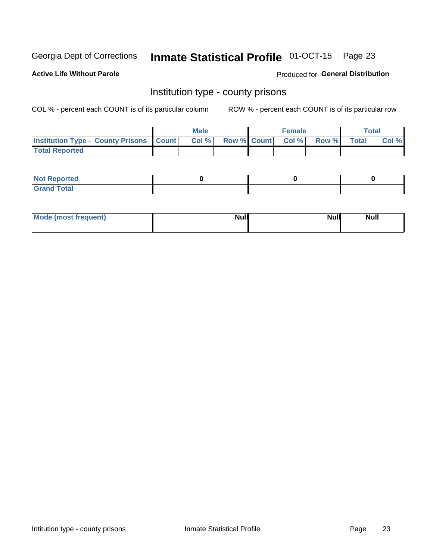# Inmate Statistical Profile 01-OCT-15 Page 23

**Active Life Without Parole** 

Produced for General Distribution

# Institution type - county prisons

COL % - percent each COUNT is of its particular column

|                                                    | <b>Male</b> |  | <b>Female</b>            |             | <b>Total</b> |
|----------------------------------------------------|-------------|--|--------------------------|-------------|--------------|
| <b>Institution Type - County Prisons   Count  </b> | Col %       |  | <b>Row % Count Col %</b> | Row % Total | Col %        |
| <b>Total Reported</b>                              |             |  |                          |             |              |

| <b>Not</b><br>: Reported<br> |  |  |
|------------------------------|--|--|
| <b>Total</b><br>---          |  |  |

| Mode (most frequent) | <b>Null</b> | <b>Null</b><br><b>Null</b> |
|----------------------|-------------|----------------------------|
|                      |             |                            |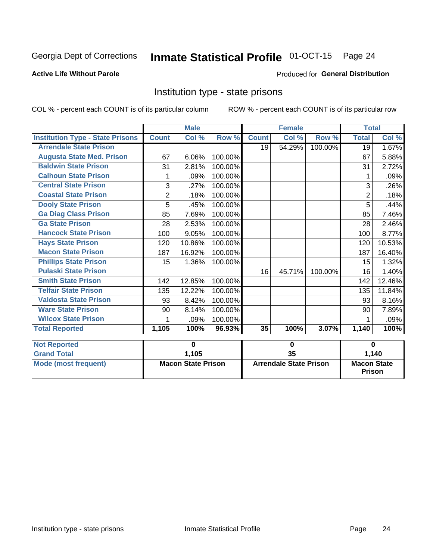#### Inmate Statistical Profile 01-OCT-15 Page 24

## **Active Life Without Parole**

### Produced for General Distribution

# Institution type - state prisons

COL % - percent each COUNT is of its particular column

|                                         |              | <b>Male</b>               |         |              | <b>Female</b>                 |         | <b>Total</b>                        |          |
|-----------------------------------------|--------------|---------------------------|---------|--------------|-------------------------------|---------|-------------------------------------|----------|
| <b>Institution Type - State Prisons</b> | <b>Count</b> | Col %                     | Row %   | <b>Count</b> | Col %                         | Row %   | <b>Total</b>                        | Col %    |
| <b>Arrendale State Prison</b>           |              |                           |         | 19           | 54.29%                        | 100.00% | 19                                  | 1.67%    |
| <b>Augusta State Med. Prison</b>        | 67           | 6.06%                     | 100.00% |              |                               |         | 67                                  | 5.88%    |
| <b>Baldwin State Prison</b>             | 31           | 2.81%                     | 100.00% |              |                               |         | 31                                  | 2.72%    |
| <b>Calhoun State Prison</b>             | 1            | .09%                      | 100.00% |              |                               |         |                                     | .09%     |
| <b>Central State Prison</b>             | 3            | .27%                      | 100.00% |              |                               |         | 3                                   | .26%     |
| <b>Coastal State Prison</b>             | $\mathbf 2$  | .18%                      | 100.00% |              |                               |         | $\overline{2}$                      | .18%     |
| <b>Dooly State Prison</b>               | 5            | .45%                      | 100.00% |              |                               |         | 5                                   | .44%     |
| <b>Ga Diag Class Prison</b>             | 85           | 7.69%                     | 100.00% |              |                               |         | 85                                  | 7.46%    |
| <b>Ga State Prison</b>                  | 28           | 2.53%                     | 100.00% |              |                               |         | 28                                  | 2.46%    |
| <b>Hancock State Prison</b>             | 100          | 9.05%                     | 100.00% |              |                               |         | 100                                 | 8.77%    |
| <b>Hays State Prison</b>                | 120          | 10.86%                    | 100.00% |              |                               |         | 120                                 | 10.53%   |
| <b>Macon State Prison</b>               | 187          | 16.92%                    | 100.00% |              |                               |         | 187                                 | 16.40%   |
| <b>Phillips State Prison</b>            | 15           | 1.36%                     | 100.00% |              |                               |         | 15                                  | 1.32%    |
| <b>Pulaski State Prison</b>             |              |                           |         | 16           | 45.71%                        | 100.00% | 16                                  | 1.40%    |
| <b>Smith State Prison</b>               | 142          | 12.85%                    | 100.00% |              |                               |         | 142                                 | 12.46%   |
| <b>Telfair State Prison</b>             | 135          | 12.22%                    | 100.00% |              |                               |         | 135                                 | 11.84%   |
| <b>Valdosta State Prison</b>            | 93           | 8.42%                     | 100.00% |              |                               |         | 93                                  | 8.16%    |
| <b>Ware State Prison</b>                | 90           | 8.14%                     | 100.00% |              |                               |         | 90                                  | 7.89%    |
| <b>Wilcox State Prison</b>              | 1            | .09%                      | 100.00% |              |                               |         |                                     | $.09\%$  |
| <b>Total Reported</b>                   | 1,105        | 100%                      | 96.93%  | 35           | 100%                          | 3.07%   | 1,140                               | 100%     |
| <b>Not Reported</b>                     |              | 0                         |         |              | 0                             |         |                                     | $\bf{0}$ |
| <b>Grand Total</b>                      |              | 1,105                     |         | 35           |                               |         |                                     | 1,140    |
| <b>Mode (most frequent)</b>             |              | <b>Macon State Prison</b> |         |              | <b>Arrendale State Prison</b> |         | <b>Macon State</b><br><b>Prison</b> |          |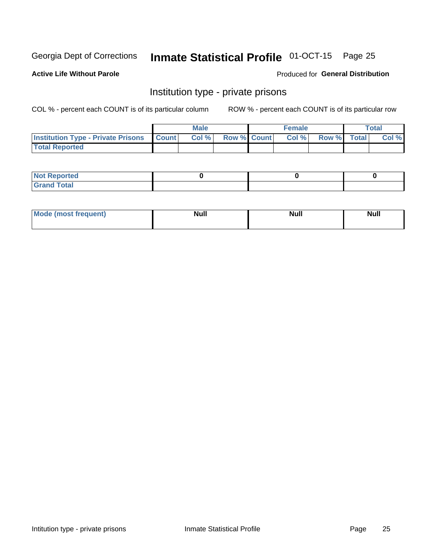# Inmate Statistical Profile 01-OCT-15 Page 25

## **Active Life Without Parole**

### Produced for General Distribution

# Institution type - private prisons

COL % - percent each COUNT is of its particular column

|                                                     | <b>Male</b> |                    | <b>Female</b> |             | Total |
|-----------------------------------------------------|-------------|--------------------|---------------|-------------|-------|
| <b>Institution Type - Private Prisons   Count  </b> | Col %       | <b>Row % Count</b> | Col %         | Row % Total | Col % |
| <b>Total Reported</b>                               |             |                    |               |             |       |

| Not Reported          |  |  |
|-----------------------|--|--|
| <b>Cotal</b><br>_____ |  |  |

| <b>Mo</b><br>frequent) | <b>Null</b> | <b>Null</b> | . . I *<br><b>IVUII</b> |
|------------------------|-------------|-------------|-------------------------|
|                        |             |             |                         |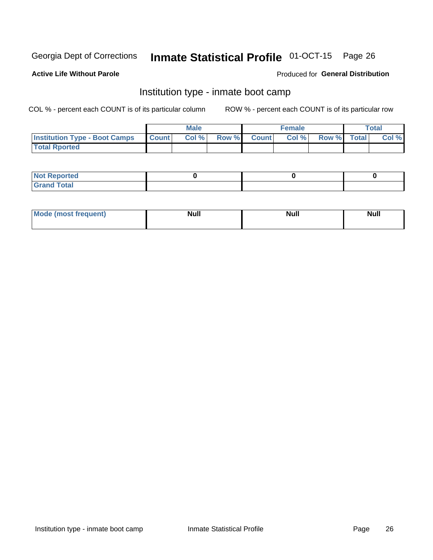#### Inmate Statistical Profile 01-OCT-15 Page 26

### **Active Life Without Parole**

### Produced for General Distribution

# Institution type - inmate boot camp

COL % - percent each COUNT is of its particular column

|                                      |              | <b>Male</b> |               |              | <b>Female</b> |             | <b>Total</b> |
|--------------------------------------|--------------|-------------|---------------|--------------|---------------|-------------|--------------|
| <b>Institution Type - Boot Camps</b> | <b>Count</b> | Col %       | <b>Row %I</b> | <b>Count</b> | Col %         | Row % Total | Col %        |
| <b>Total Rported</b>                 |              |             |               |              |               |             |              |

| <b>Not Reported</b>            |  |  |
|--------------------------------|--|--|
| <b>Total</b><br>C <sub>r</sub> |  |  |

| Mod<br>uamo | Nul.<br>$- - - - - -$ | <b>Null</b> | . .<br>uu.<br>------ |
|-------------|-----------------------|-------------|----------------------|
|             |                       |             |                      |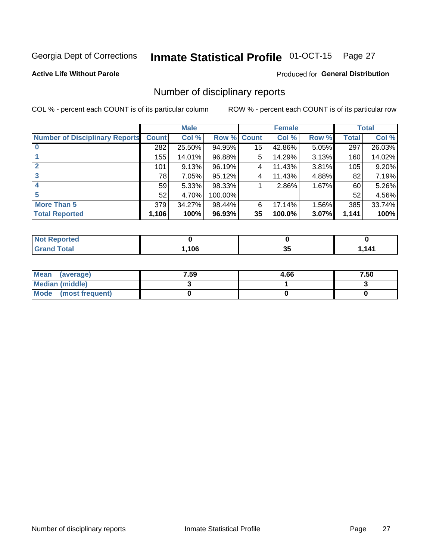# Inmate Statistical Profile 01-OCT-15 Page 27

### **Active Life Without Parole**

### Produced for General Distribution

# Number of disciplinary reports

COL % - percent each COUNT is of its particular column

|                                       |              | <b>Male</b> |         |              | <b>Female</b> |          |              | <b>Total</b> |
|---------------------------------------|--------------|-------------|---------|--------------|---------------|----------|--------------|--------------|
| <b>Number of Disciplinary Reports</b> | <b>Count</b> | Col %       | Row %   | <b>Count</b> | Col %         | Row %    | <b>Total</b> | Col %        |
|                                       | 282          | 25.50%      | 94.95%  | 15           | 42.86%        | $5.05\%$ | 297          | 26.03%       |
|                                       | 155          | 14.01%      | 96.88%  | 5            | 14.29%        | 3.13%    | 160          | 14.02%       |
| $\mathbf{2}$                          | 101          | 9.13%       | 96.19%  | 4            | 11.43%        | 3.81%    | 105          | 9.20%        |
| 3                                     | 78           | 7.05%       | 95.12%  | 4            | 11.43%        | 4.88%    | 82           | 7.19%        |
|                                       | 59           | 5.33%       | 98.33%  |              | 2.86%         | 1.67%    | 60           | 5.26%        |
| 5                                     | 52           | 4.70%       | 100.00% |              |               |          | 52           | 4.56%        |
| <b>More Than 5</b>                    | 379          | 34.27%      | 98.44%  | 6            | 17.14%        | 1.56%    | 385          | 33.74%       |
| <b>Total Reported</b>                 | 1,106        | 100%        | 96.93%  | 35           | 100.0%        | 3.07%    | 1,141        | 100%         |

| NO<br>тео |      |   |          |
|-----------|------|---|----------|
| Гоtal     | .106 | ◡ | 141<br>. |

| Mean (average)       | 7.59 | 4.66 | 7.50 |
|----------------------|------|------|------|
| Median (middle)      |      |      |      |
| Mode (most frequent) |      |      |      |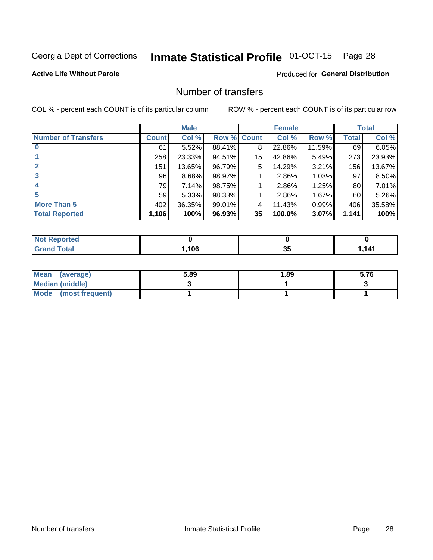# Inmate Statistical Profile 01-OCT-15 Page 28

## **Active Life Without Parole**

## **Produced for General Distribution**

# Number of transfers

COL % - percent each COUNT is of its particular column

|                            |         | <b>Male</b> |             |    | <b>Female</b> |          |       | <b>Total</b> |
|----------------------------|---------|-------------|-------------|----|---------------|----------|-------|--------------|
| <b>Number of Transfers</b> | Count l | Col %       | Row % Count |    | Col %         | Row %    | Total | Col %        |
|                            | 61      | 5.52%       | 88.41%      | 8  | 22.86%        | 11.59%   | 69    | 6.05%        |
|                            | 258     | 23.33%      | 94.51%      | 15 | 42.86%        | 5.49%    | 273   | 23.93%       |
| 2                          | 151     | 13.65%      | 96.79%      | 5  | 14.29%        | 3.21%    | 156   | 13.67%       |
| 3                          | 96      | 8.68%       | 98.97%      |    | 2.86%         | $1.03\%$ | 97    | 8.50%        |
|                            | 79      | 7.14%       | 98.75%      |    | 2.86%         | 1.25%    | 80    | 7.01%        |
| 5                          | 59      | 5.33%       | 98.33%      |    | 2.86%         | 1.67%    | 60    | 5.26%        |
| <b>More Than 5</b>         | 402     | 36.35%      | 99.01%      | 4  | 11.43%        | 0.99%    | 406   | 35.58%       |
| <b>Total Reported</b>      | 1,106   | 100%        | 96.93%      | 35 | 100.0%        | 3.07%    | 1,141 | 100%         |

| NO<br>тео |      |   |          |
|-----------|------|---|----------|
| Гоtal     | .106 | ◡ | 141<br>. |

| Mean (average)       | 5.89 | 1.89 | 5.76 |
|----------------------|------|------|------|
| Median (middle)      |      |      |      |
| Mode (most frequent) |      |      |      |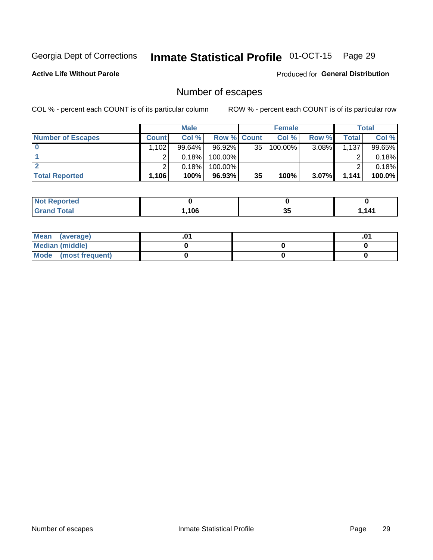# Inmate Statistical Profile 01-OCT-15 Page 29

**Active Life Without Parole** 

**Produced for General Distribution** 

# Number of escapes

COL % - percent each COUNT is of its particular column

|                          |              | <b>Male</b> |                    |    | <b>Female</b> |          |       | <b>Total</b> |
|--------------------------|--------------|-------------|--------------------|----|---------------|----------|-------|--------------|
| <b>Number of Escapes</b> | <b>Count</b> | Col%        | <b>Row % Count</b> |    | Col %         | Row %    | Total | Col %        |
|                          | .102         | 99.64%      | 96.92%             | 35 | $100.00\%$    | $3.08\%$ | 1,137 | 99.65%       |
|                          |              | 0.18%       | 100.00%            |    |               |          |       | 0.18%        |
|                          |              | 0.18%       | 100.00%            |    |               |          |       | 0.18%        |
| <b>Total Reported</b>    | $.106+$      | 100%        | 96.93%             | 35 | 100%          | $3.07\%$ | 1,141 | 100.0%       |

| <b>orted</b><br><b>NOT</b><br>$\sim$ $\alpha$ eper |      |   |           |
|----------------------------------------------------|------|---|-----------|
| <b>f</b> otal<br>Grand                             | ,106 | ◡ | -141<br>. |

| Mean (average)       |  | י ש |
|----------------------|--|-----|
| Median (middle)      |  |     |
| Mode (most frequent) |  |     |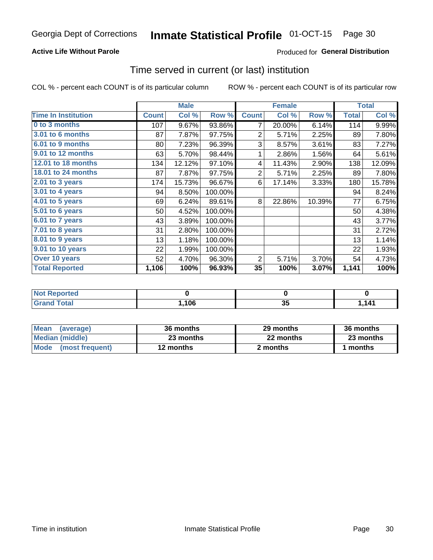## **Active Life Without Parole**

# Produced for General Distribution

# Time served in current (or last) institution

COL % - percent each COUNT is of its particular column

|                            |              | <b>Male</b> |         |                | <b>Female</b> |        |              | <b>Total</b> |
|----------------------------|--------------|-------------|---------|----------------|---------------|--------|--------------|--------------|
| <b>Time In Institution</b> | <b>Count</b> | Col %       | Row %   | <b>Count</b>   | Col %         | Row %  | <b>Total</b> | Col %        |
| 0 to 3 months              | 107          | 9.67%       | 93.86%  | 7              | 20.00%        | 6.14%  | 114          | 9.99%        |
| 3.01 to 6 months           | 87           | 7.87%       | 97.75%  | $\overline{2}$ | 5.71%         | 2.25%  | 89           | 7.80%        |
| 6.01 to 9 months           | 80           | 7.23%       | 96.39%  | 3              | 8.57%         | 3.61%  | 83           | 7.27%        |
| 9.01 to 12 months          | 63           | 5.70%       | 98.44%  | 1              | 2.86%         | 1.56%  | 64           | 5.61%        |
| 12.01 to 18 months         | 134          | 12.12%      | 97.10%  | 4              | 11.43%        | 2.90%  | 138          | 12.09%       |
| <b>18.01 to 24 months</b>  | 87           | 7.87%       | 97.75%  | $\overline{2}$ | 5.71%         | 2.25%  | 89           | 7.80%        |
| 2.01 to 3 years            | 174          | 15.73%      | 96.67%  | 6              | 17.14%        | 3.33%  | 180          | 15.78%       |
| 3.01 to 4 years            | 94           | 8.50%       | 100.00% |                |               |        | 94           | 8.24%        |
| $4.01$ to 5 years          | 69           | 6.24%       | 89.61%  | 8              | 22.86%        | 10.39% | 77           | 6.75%        |
| 5.01 to 6 years            | 50           | 4.52%       | 100.00% |                |               |        | 50           | 4.38%        |
| 6.01 to 7 years            | 43           | 3.89%       | 100.00% |                |               |        | 43           | 3.77%        |
| $7.01$ to 8 years          | 31           | 2.80%       | 100.00% |                |               |        | 31           | 2.72%        |
| 8.01 to 9 years            | 13           | 1.18%       | 100.00% |                |               |        | 13           | 1.14%        |
| 9.01 to 10 years           | 22           | 1.99%       | 100.00% |                |               |        | 22           | 1.93%        |
| Over 10 years              | 52           | 4.70%       | 96.30%  | 2              | 5.71%         | 3.70%  | 54           | 4.73%        |
| <b>Total Reported</b>      | 1,106        | 100%        | 96.93%  | 35             | 100%          | 3.07%  | 1,141        | 100%         |

| meo<br>NO                   |     |    |     |
|-----------------------------|-----|----|-----|
| $int^{\bullet}$             | 106 | ^' | 141 |
| $\sim$ $\sim$ $\sim$ $\sim$ |     | 55 | .   |

| <b>Mean</b><br>(average) | 36 months | 29 months | 36 months |
|--------------------------|-----------|-----------|-----------|
| Median (middle)          | 23 months | 22 months | 23 months |
| Mode (most frequent)     | 12 months | 2 months  | 1 months  |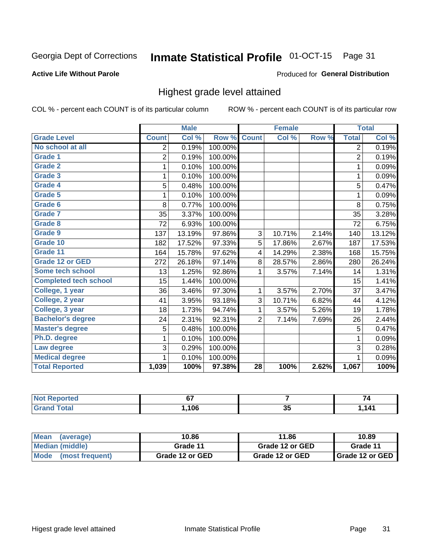#### Inmate Statistical Profile 01-OCT-15 Page 31

### **Active Life Without Parole**

### Produced for General Distribution

# Highest grade level attained

COL % - percent each COUNT is of its particular column

|                              |                | <b>Male</b> |         |                 | <b>Female</b> |       |                | <b>Total</b> |
|------------------------------|----------------|-------------|---------|-----------------|---------------|-------|----------------|--------------|
| <b>Grade Level</b>           | <b>Count</b>   | Col %       | Row %   | <b>Count</b>    | Col %         | Row % | <b>Total</b>   | Col %        |
| No school at all             | $\overline{2}$ | 0.19%       | 100.00% |                 |               |       | $\overline{2}$ | 0.19%        |
| Grade 1                      | $\overline{2}$ | 0.19%       | 100.00% |                 |               |       | $\overline{2}$ | 0.19%        |
| <b>Grade 2</b>               | 1              | 0.10%       | 100.00% |                 |               |       | 1              | 0.09%        |
| Grade 3                      | 1              | 0.10%       | 100.00% |                 |               |       | 1              | 0.09%        |
| Grade 4                      | 5              | 0.48%       | 100.00% |                 |               |       | 5              | 0.47%        |
| Grade 5                      | 1              | 0.10%       | 100.00% |                 |               |       | 1              | 0.09%        |
| Grade 6                      | 8              | 0.77%       | 100.00% |                 |               |       | 8              | 0.75%        |
| <b>Grade 7</b>               | 35             | 3.37%       | 100.00% |                 |               |       | 35             | 3.28%        |
| Grade 8                      | 72             | 6.93%       | 100.00% |                 |               |       | 72             | 6.75%        |
| Grade 9                      | 137            | 13.19%      | 97.86%  | 3               | 10.71%        | 2.14% | 140            | 13.12%       |
| Grade 10                     | 182            | 17.52%      | 97.33%  | 5               | 17.86%        | 2.67% | 187            | 17.53%       |
| Grade 11                     | 164            | 15.78%      | 97.62%  | 4               | 14.29%        | 2.38% | 168            | 15.75%       |
| <b>Grade 12 or GED</b>       | 272            | 26.18%      | 97.14%  | 8               | 28.57%        | 2.86% | 280            | 26.24%       |
| Some tech school             | 13             | 1.25%       | 92.86%  | 1               | 3.57%         | 7.14% | 14             | 1.31%        |
| <b>Completed tech school</b> | 15             | 1.44%       | 100.00% |                 |               |       | 15             | 1.41%        |
| College, 1 year              | 36             | 3.46%       | 97.30%  | 1               | 3.57%         | 2.70% | 37             | 3.47%        |
| College, 2 year              | 41             | 3.95%       | 93.18%  | 3               | 10.71%        | 6.82% | 44             | 4.12%        |
| College, 3 year              | 18             | 1.73%       | 94.74%  | $\mathbf{1}$    | 3.57%         | 5.26% | 19             | 1.78%        |
| <b>Bachelor's degree</b>     | 24             | 2.31%       | 92.31%  | $\overline{2}$  | 7.14%         | 7.69% | 26             | 2.44%        |
| <b>Master's degree</b>       | 5              | 0.48%       | 100.00% |                 |               |       | 5              | 0.47%        |
| Ph.D. degree                 | 1              | 0.10%       | 100.00% |                 |               |       | 1              | 0.09%        |
| Law degree                   | 3              | 0.29%       | 100.00% |                 |               |       | 3              | 0.28%        |
| <b>Medical degree</b>        |                | 0.10%       | 100.00% |                 |               |       | 1              | 0.09%        |
| <b>Total Reported</b>        | 1,039          | 100%        | 97.38%  | $\overline{28}$ | 100%          | 2.62% | 1,067          | 100%         |

| $\bullet$ ) at ( $\bullet$ ) $\bullet$ | ~-<br>υı |          |          |
|----------------------------------------|----------|----------|----------|
| <b>otal</b>                            | 106      | - -<br>◡ | 141<br>. |

| <b>Mean</b><br>(average)       | 10.86           | 11.86           | 10.89             |
|--------------------------------|-----------------|-----------------|-------------------|
| Median (middle)                | Grade 11        | Grade 12 or GED | Grade 11          |
| <b>Mode</b><br>(most frequent) | Grade 12 or GED | Grade 12 or GED | I Grade 12 or GED |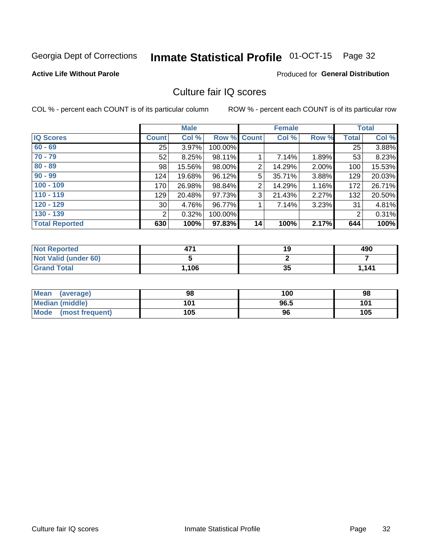#### Inmate Statistical Profile 01-OCT-15 Page 32

### **Active Life Without Parole**

## Produced for General Distribution

# Culture fair IQ scores

COL % - percent each COUNT is of its particular column

|                       |                 | <b>Male</b> |             |    | <b>Female</b> |       |              | <b>Total</b> |
|-----------------------|-----------------|-------------|-------------|----|---------------|-------|--------------|--------------|
| <b>IQ Scores</b>      | <b>Count</b>    | Col %       | Row % Count |    | Col %         | Row % | <b>Total</b> | Col %        |
| $60 - 69$             | 25              | 3.97%       | 100.00%     |    |               |       | 25           | 3.88%        |
| $70 - 79$             | 52              | 8.25%       | 98.11%      |    | 7.14%         | 1.89% | 53           | 8.23%        |
| $80 - 89$             | 98              | 15.56%      | 98.00%      | 2  | 14.29%        | 2.00% | 100          | 15.53%       |
| $90 - 99$             | 124             | 19.68%      | 96.12%      | 5  | 35.71%        | 3.88% | 129          | 20.03%       |
| $100 - 109$           | 170             | 26.98%      | 98.84%      | 2  | 14.29%        | 1.16% | 172          | 26.71%       |
| $110 - 119$           | 129             | 20.48%      | 97.73%      | 3  | 21.43%        | 2.27% | 132          | 20.50%       |
| $120 - 129$           | 30 <sup>°</sup> | 4.76%       | 96.77%      |    | 7.14%         | 3.23% | 31           | 4.81%        |
| $130 - 139$           | 2               | 0.32%       | 100.00%     |    |               |       | 2            | 0.31%        |
| <b>Total Reported</b> | 630             | 100%        | 97.83%      | 14 | 100%          | 2.17% | 644          | 100%         |

| <b>Not Reported</b>  | 47'   | 19 | 490   |
|----------------------|-------|----|-------|
| Not Valid (under 60) |       |    |       |
| <b>Grand Total</b>   | 1,106 | 35 | 1,141 |

| Mean<br>(average)    | 98  | 100  | 98  |
|----------------------|-----|------|-----|
| Median (middle)      | 101 | 96.5 | 101 |
| Mode (most frequent) | 105 | 96   | 105 |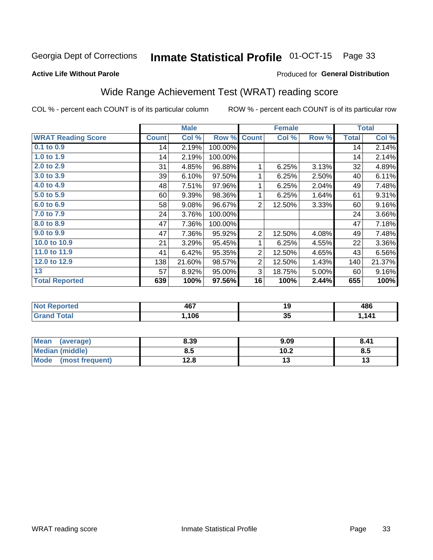#### Inmate Statistical Profile 01-OCT-15 Page 33

### **Active Life Without Parole**

### Produced for General Distribution

# Wide Range Achievement Test (WRAT) reading score

COL % - percent each COUNT is of its particular column

|                           |              | <b>Male</b> |         |                | <b>Female</b> |       |              | <b>Total</b> |
|---------------------------|--------------|-------------|---------|----------------|---------------|-------|--------------|--------------|
| <b>WRAT Reading Score</b> | <b>Count</b> | Col %       | Row %   | <b>Count</b>   | Col %         | Row % | <b>Total</b> | Col %        |
| $0.1$ to $0.9$            | 14           | 2.19%       | 100.00% |                |               |       | 14           | 2.14%        |
| 1.0 to 1.9                | 14           | 2.19%       | 100.00% |                |               |       | 14           | 2.14%        |
| 2.0 to 2.9                | 31           | 4.85%       | 96.88%  | 1              | 6.25%         | 3.13% | 32           | 4.89%        |
| 3.0 to 3.9                | 39           | 6.10%       | 97.50%  | 1              | 6.25%         | 2.50% | 40           | 6.11%        |
| 4.0 to 4.9                | 48           | 7.51%       | 97.96%  | 1              | 6.25%         | 2.04% | 49           | 7.48%        |
| 5.0 to 5.9                | 60           | 9.39%       | 98.36%  | 1              | 6.25%         | 1.64% | 61           | 9.31%        |
| 6.0 to 6.9                | 58           | 9.08%       | 96.67%  | $\overline{2}$ | 12.50%        | 3.33% | 60           | 9.16%        |
| 7.0 to 7.9                | 24           | 3.76%       | 100.00% |                |               |       | 24           | 3.66%        |
| 8.0 to 8.9                | 47           | 7.36%       | 100.00% |                |               |       | 47           | 7.18%        |
| 9.0 to 9.9                | 47           | 7.36%       | 95.92%  | $\overline{2}$ | 12.50%        | 4.08% | 49           | 7.48%        |
| 10.0 to 10.9              | 21           | 3.29%       | 95.45%  | 1              | 6.25%         | 4.55% | 22           | 3.36%        |
| 11.0 to 11.9              | 41           | 6.42%       | 95.35%  | $\overline{2}$ | 12.50%        | 4.65% | 43           | 6.56%        |
| 12.0 to 12.9              | 138          | 21.60%      | 98.57%  | $\overline{2}$ | 12.50%        | 1.43% | 140          | 21.37%       |
| 13                        | 57           | 8.92%       | 95.00%  | 3              | 18.75%        | 5.00% | 60           | 9.16%        |
| <b>Total Reported</b>     | 639          | 100%        | 97.56%  | 16             | 100%          | 2.44% | 655          | 100%         |

| <u>າrteg</u><br><b>NOT</b><br>$\sim$ | 467  |        | 486   |
|--------------------------------------|------|--------|-------|
| $f \wedge f \wedge f$<br>$\sim$      | ,106 | י<br>◡ | l.141 |

| <b>Mean</b><br>(average) | 8.39 | 9.09 | 8.41 |
|--------------------------|------|------|------|
| <b>Median (middle)</b>   | 8.5  | 10.2 | 8.5  |
| Mode (most frequent)     | 12.8 | ں ،  | IJ   |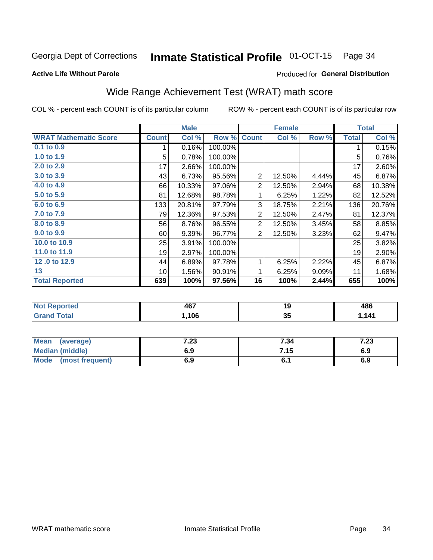#### Inmate Statistical Profile 01-OCT-15 Page 34

### **Active Life Without Parole**

## Produced for General Distribution

# Wide Range Achievement Test (WRAT) math score

COL % - percent each COUNT is of its particular column

| <b>WRAT Mathematic Score</b><br>$0.1$ to $0.9$<br>1.0 to 1.9<br>2.0 to 2.9 | <b>Count</b><br>5<br>17 | Col %<br>0.16%<br>0.78% | Row %<br>100.00% | <b>Count</b>   | Col %  | Row % | <b>Total</b> | Col %  |
|----------------------------------------------------------------------------|-------------------------|-------------------------|------------------|----------------|--------|-------|--------------|--------|
|                                                                            |                         |                         |                  |                |        |       |              |        |
|                                                                            |                         |                         |                  |                |        |       | 1            | 0.15%  |
|                                                                            |                         |                         | 100.00%          |                |        |       | 5            | 0.76%  |
|                                                                            |                         | 2.66%                   | 100.00%          |                |        |       | 17           | 2.60%  |
| 3.0 to 3.9                                                                 | 43                      | 6.73%                   | 95.56%           | $\overline{2}$ | 12.50% | 4.44% | 45           | 6.87%  |
| 4.0 to 4.9                                                                 | 66                      | 10.33%                  | 97.06%           | $\overline{2}$ | 12.50% | 2.94% | 68           | 10.38% |
| 5.0 to 5.9                                                                 | 81                      | 12.68%                  | 98.78%           | 1              | 6.25%  | 1.22% | 82           | 12.52% |
| 6.0 to 6.9                                                                 | 133                     | 20.81%                  | 97.79%           | 3              | 18.75% | 2.21% | 136          | 20.76% |
| 7.0 to 7.9                                                                 | 79                      | 12.36%                  | 97.53%           | $\overline{2}$ | 12.50% | 2.47% | 81           | 12.37% |
| 8.0 to 8.9                                                                 | 56                      | 8.76%                   | 96.55%           | $\overline{2}$ | 12.50% | 3.45% | 58           | 8.85%  |
| 9.0 to 9.9                                                                 | 60                      | 9.39%                   | 96.77%           | $\overline{2}$ | 12.50% | 3.23% | 62           | 9.47%  |
| 10.0 to 10.9                                                               | 25                      | 3.91%                   | 100.00%          |                |        |       | 25           | 3.82%  |
| 11.0 to 11.9                                                               | 19                      | 2.97%                   | 100.00%          |                |        |       | 19           | 2.90%  |
| 12.0 to 12.9                                                               | 44                      | 6.89%                   | 97.78%           | 1              | 6.25%  | 2.22% | 45           | 6.87%  |
| 13                                                                         | 10 <sup>1</sup>         | 1.56%                   | 90.91%           | 1              | 6.25%  | 9.09% | 11           | 1.68%  |
| <b>Total Reported</b>                                                      | 639                     | 100%                    | 97.56%           | 16             | 100%   | 2.44% | 655          | 100%   |

| <b>Not Reported</b>   | 467  | - 9      | 486  |
|-----------------------|------|----------|------|
| $f \wedge f \wedge f$ | ,106 | - -<br>◡ | ,141 |

| <b>Mean</b><br>(average)       | ר ד<br>د | 7.34  | ה י<br>ن ۽ ا |
|--------------------------------|----------|-------|--------------|
| <b>Median (middle)</b>         | 6.9      | 7.15  | 6.9          |
| <b>Mode</b><br>(most frequent) | 6.9      | $U$ . | 6.9          |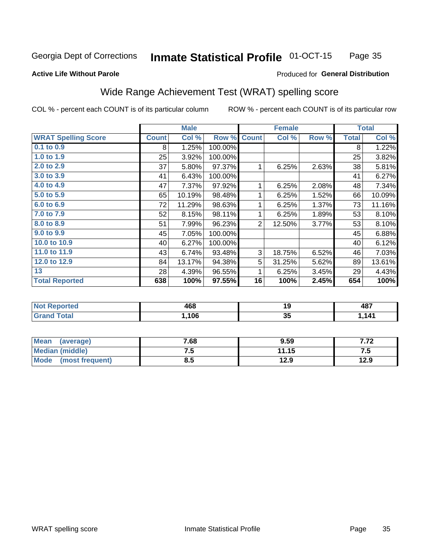#### **Inmate Statistical Profile 01-OCT-15** Page 35

### **Active Life Without Parole**

## Produced for General Distribution

# Wide Range Achievement Test (WRAT) spelling score

COL % - percent each COUNT is of its particular column

|                                                                              |              | <b>Male</b> |         |                | <b>Female</b> |       |              | <b>Total</b> |
|------------------------------------------------------------------------------|--------------|-------------|---------|----------------|---------------|-------|--------------|--------------|
| <b>WRAT Spelling Score</b>                                                   | <b>Count</b> | Col %       | Row %   | <b>Count</b>   | Col %         | Row % | <b>Total</b> | Col %        |
| 0.1 to 0.9                                                                   | 8            | 1.25%       | 100.00% |                |               |       | 8            | 1.22%        |
| 1.0 to 1.9                                                                   | 25           | 3.92%       | 100.00% |                |               |       | 25           | 3.82%        |
| 2.0 to 2.9                                                                   | 37           | 5.80%       | 97.37%  | 1              | 6.25%         | 2.63% | 38           | 5.81%        |
| 3.0 to 3.9                                                                   | 41           | 6.43%       | 100.00% |                |               |       | 41           | 6.27%        |
| 4.0 to 4.9                                                                   | 47           | 7.37%       | 97.92%  | 1              | 6.25%         | 2.08% | 48           | 7.34%        |
| 5.0 to 5.9                                                                   | 65           | 10.19%      | 98.48%  | 1              | 6.25%         | 1.52% | 66           | 10.09%       |
| 6.0 to 6.9                                                                   | 72           | 11.29%      | 98.63%  | 1              | 6.25%         | 1.37% | 73           | 11.16%       |
| 7.0 to 7.9                                                                   | 52           | 8.15%       | 98.11%  | 1              | 6.25%         | 1.89% | 53           | 8.10%        |
| 8.0 to 8.9                                                                   | 51           | 7.99%       | 96.23%  | $\overline{2}$ | 12.50%        | 3.77% | 53           | 8.10%        |
| 9.0 to 9.9                                                                   | 45           | 7.05%       | 100.00% |                |               |       | 45           | 6.88%        |
| 10.0 to 10.9                                                                 | 40           | 6.27%       | 100.00% |                |               |       | 40           | 6.12%        |
| 11.0 to 11.9                                                                 | 43           | 6.74%       | 93.48%  | 3              | 18.75%        | 6.52% | 46           | 7.03%        |
| 12.0 to 12.9                                                                 | 84           | 13.17%      | 94.38%  | 5              | 31.25%        | 5.62% | 89           | 13.61%       |
| 13                                                                           | 28           | 4.39%       | 96.55%  | 1              | 6.25%         | 3.45% | 29           | 4.43%        |
| <b>Total Reported</b>                                                        | 638          | 100%        | 97.55%  | 16             | 100%          | 2.45% | 654          | 100%         |
|                                                                              |              |             |         |                |               |       |              |              |
| $\overline{a}$ and $\overline{a}$ and $\overline{a}$<br><b>Service</b> State |              | $\sim$      |         |                | $\sim$        |       |              | $-$          |

| $\blacksquare$ | ACC  | 4 C<br>œ | <b>A</b> <sub>R</sub> 7<br>י טד |
|----------------|------|----------|---------------------------------|
| $\sim$         | .106 | -35      | 444                             |

| <b>Mean</b><br>(average) | 7.68 | 9.59  |      |
|--------------------------|------|-------|------|
| Median (middle)          | ن. ا | 11.15 | ن. ا |
| Mode<br>(most frequent)  | 8.5  | 12.9  | 12.9 |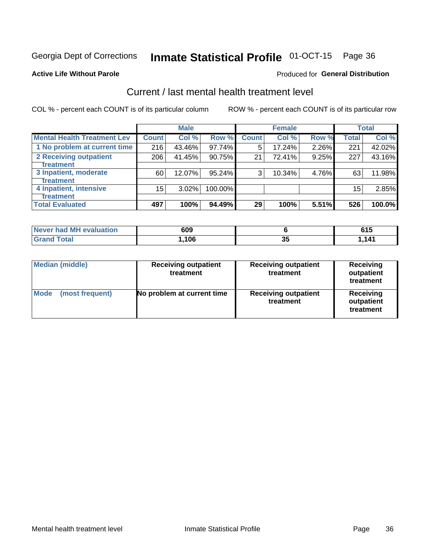# Inmate Statistical Profile 01-OCT-15 Page 36

### **Active Life Without Parole**

### **Produced for General Distribution**

# Current / last mental health treatment level

COL % - percent each COUNT is of its particular column

|                                    |              | <b>Male</b> |           |              | <b>Female</b> |       |              | <b>Total</b> |
|------------------------------------|--------------|-------------|-----------|--------------|---------------|-------|--------------|--------------|
| <b>Mental Health Treatment Lev</b> | <b>Count</b> | Col %       | Row %     | <b>Count</b> | Col %         | Row % | <b>Total</b> | Col %        |
| 1 No problem at current time       | 216          | 43.46%      | $97.74\%$ | 5            | 17.24%        | 2.26% | 221          | 42.02%       |
| 2 Receiving outpatient             | 206          | 41.45%      | 90.75%    | 21           | 72.41%        | 9.25% | 227          | 43.16%       |
| <b>Treatment</b>                   |              |             |           |              |               |       |              |              |
| 3 Inpatient, moderate              | 60           | 12.07%      | 95.24%    | 3            | 10.34%        | 4.76% | 63           | 11.98%       |
| <b>Treatment</b>                   |              |             |           |              |               |       |              |              |
| 4 Inpatient, intensive             | 15           | $3.02\%$    | 100.00%   |              |               |       | 15           | 2.85%        |
| Treatment                          |              |             |           |              |               |       |              |              |
| <b>Total Evaluated</b>             | 497          | 100%        | 94.49%    | 29           | 100%          | 5.51% | 526          | 100.0%       |

| <b>Never had MH evaluation</b> | 609   |          | <b>CAF</b><br>. . J |
|--------------------------------|-------|----------|---------------------|
| Total                          | 1,106 | oг<br>JJ | 141                 |

| <b>Median (middle)</b>         | <b>Receiving outpatient</b><br>treatment | <b>Receiving outpatient</b><br>treatment | <b>Receiving</b><br>outpatient<br>treatment |
|--------------------------------|------------------------------------------|------------------------------------------|---------------------------------------------|
| <b>Mode</b><br>(most frequent) | No problem at current time               | <b>Receiving outpatient</b><br>treatment | <b>Receiving</b><br>outpatient<br>treatment |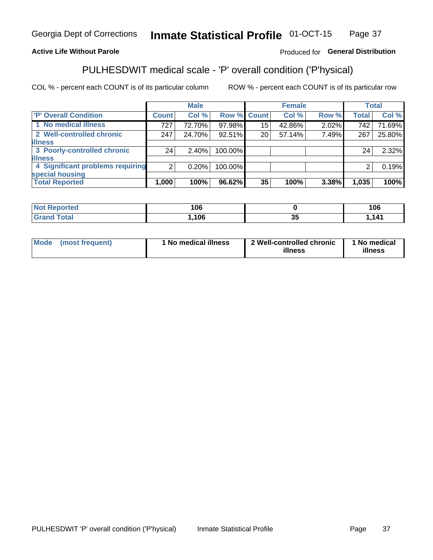#### **Inmate Statistical Profile 01-OCT-15** Page 37

## **Active Life Without Parole**

## Produced for General Distribution

# PULHESDWIT medical scale - 'P' overall condition ('P'hysical)

COL % - percent each COUNT is of its particular column

|                                  |       | <b>Male</b> |                    |    | <b>Female</b> |       |              | <b>Total</b> |
|----------------------------------|-------|-------------|--------------------|----|---------------|-------|--------------|--------------|
| 'P' Overall Condition            | Count | Col %       | <b>Row % Count</b> |    | Col %         | Row % | <b>Total</b> | Col %        |
| 1 No medical illness             | 727   | 72.70%      | 97.98%             | 15 | 42.86%        | 2.02% | 742          | 71.69%       |
| 2 Well-controlled chronic        | 247   | 24.70%      | 92.51%             | 20 | 57.14%        | 7.49% | 267          | 25.80%       |
| <b>illness</b>                   |       |             |                    |    |               |       |              |              |
| 3 Poorly-controlled chronic      | 24    | 2.40%       | 100.00%            |    |               |       | 24           | 2.32%        |
| <b>illness</b>                   |       |             |                    |    |               |       |              |              |
| 4 Significant problems requiring | 2     | 0.20%       | 100.00%            |    |               |       | 2            | 0.19%        |
| special housing                  |       |             |                    |    |               |       |              |              |
| <b>Total Reported</b>            | 1,000 | 100%        | 96.62%             | 35 | 100%          | 3.38% | 1,035        | 100%         |

| 106                  |                     | 106   |
|----------------------|---------------------|-------|
| 10 <sup>c</sup><br>v | $\sim$ $\sim$<br>v. | 1 1 1 |

| <b>Mode</b> | (most frequent) | 1 No medical illness | 2 Well-controlled chronic<br>illness | 1 No medical<br>illness |
|-------------|-----------------|----------------------|--------------------------------------|-------------------------|
|-------------|-----------------|----------------------|--------------------------------------|-------------------------|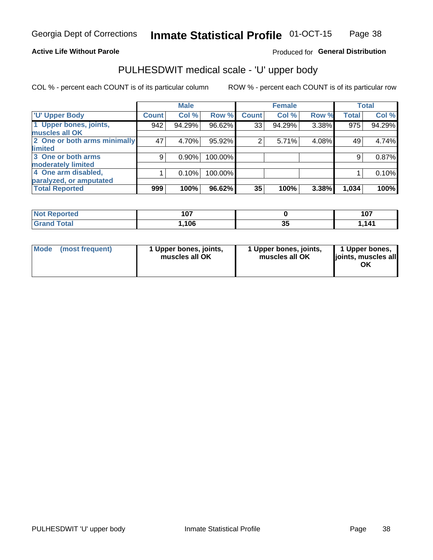## **Active Life Without Parole**

## Produced for General Distribution

# PULHESDWIT medical scale - 'U' upper body

COL % - percent each COUNT is of its particular column

|                              |              | <b>Male</b> |         |              | <b>Female</b> |       |              | <b>Total</b> |
|------------------------------|--------------|-------------|---------|--------------|---------------|-------|--------------|--------------|
| <b>U' Upper Body</b>         | <b>Count</b> | Col %       | Row %   | <b>Count</b> | Col %         | Row % | <b>Total</b> | Col %        |
| 1 Upper bones, joints,       | 942          | 94.29%      | 96.62%  | 33           | 94.29%        | 3.38% | 975          | 94.29%       |
| muscles all OK               |              |             |         |              |               |       |              |              |
| 2 One or both arms minimally | 47           | 4.70%       | 95.92%  | 2            | 5.71%         | 4.08% | 49           | 4.74%        |
| limited                      |              |             |         |              |               |       |              |              |
| 3 One or both arms           | 9            | $0.90\%$    | 100.00% |              |               |       | 9            | 0.87%        |
| moderately limited           |              |             |         |              |               |       |              |              |
| 4 One arm disabled,          |              | 0.10%       | 100.00% |              |               |       |              | 0.10%        |
| paralyzed, or amputated      |              |             |         |              |               |       |              |              |
| <b>Total Reported</b>        | 999          | 100%        | 96.62%  | 35           | 100%          | 3.38% | 1,034        | 100%         |

| <b>Not Reported</b> | 1 A 7<br>י טו |    | 107<br>1 V 1 |
|---------------------|---------------|----|--------------|
| <b>Grand Total</b>  | 106،،         | J. | .141         |

| <b>Mode</b> | (most frequent) | 1 Upper bones, joints,<br>muscles all OK | 1 Upper bones, joints,<br>muscles all OK | 1 Upper bones,<br>ljoints, muscles all<br>ОK |
|-------------|-----------------|------------------------------------------|------------------------------------------|----------------------------------------------|
|-------------|-----------------|------------------------------------------|------------------------------------------|----------------------------------------------|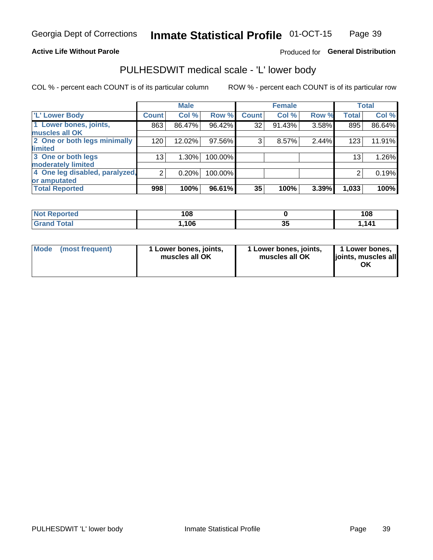## **Active Life Without Parole**

# Produced for General Distribution

# PULHESDWIT medical scale - 'L' lower body

COL % - percent each COUNT is of its particular column

|                                |                | <b>Male</b> |         |              | <b>Female</b> |       |                 | <b>Total</b> |
|--------------------------------|----------------|-------------|---------|--------------|---------------|-------|-----------------|--------------|
| 'L' Lower Body                 | <b>Count!</b>  | Col %       | Row %   | <b>Count</b> | Col %         | Row % | <b>Total</b>    | Col %        |
| 1 Lower bones, joints,         | 863            | 86.47%      | 96.42%  | 32           | 91.43%        | 3.58% | 895             | 86.64%       |
| muscles all OK                 |                |             |         |              |               |       |                 |              |
| 2 One or both legs minimally   | 120            | 12.02%      | 97.56%  | 3            | 8.57%         | 2.44% | 123             | 11.91%       |
| limited                        |                |             |         |              |               |       |                 |              |
| 3 One or both legs             | 13             | 1.30%       | 100.00% |              |               |       | 13 <sub>1</sub> | 1.26%        |
| moderately limited             |                |             |         |              |               |       |                 |              |
| 4 One leg disabled, paralyzed, | $\overline{2}$ | 0.20%       | 100.00% |              |               |       | 2               | 0.19%        |
| or amputated                   |                |             |         |              |               |       |                 |              |
| <b>Total Reported</b>          | 998            | 100%        | 96.61%  | 35           | 100%          | 3.39% | 1,033           | 100%         |

| <b>Not Reported</b> | 108  |    | 108  |
|---------------------|------|----|------|
| <b>Grand Total</b>  | ,106 | vu | ,141 |

| Mode | (most frequent) | 1 Lower bones, joints,<br>muscles all OK | 1 Lower bones, joints,<br>muscles all OK | 1 Lower bones,<br>ljoints, muscles all<br>ΟK |
|------|-----------------|------------------------------------------|------------------------------------------|----------------------------------------------|
|------|-----------------|------------------------------------------|------------------------------------------|----------------------------------------------|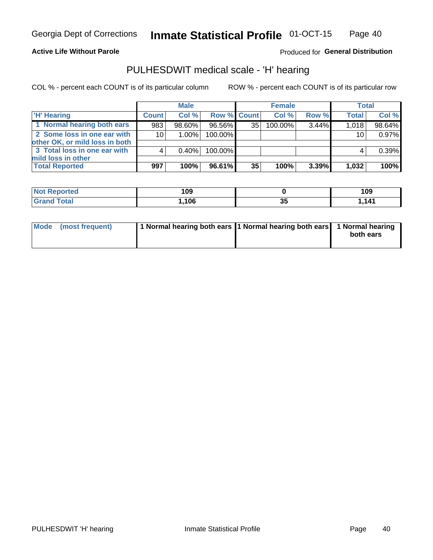## **Active Life Without Parole**

Produced for General Distribution

# PULHESDWIT medical scale - 'H' hearing

COL % - percent each COUNT is of its particular column

|                                                               |                 | <b>Male</b> |             |    | <b>Female</b> |       | <b>Total</b> |        |
|---------------------------------------------------------------|-----------------|-------------|-------------|----|---------------|-------|--------------|--------|
| <b>H'</b> Hearing                                             | <b>Count</b>    | Col %       | Row % Count |    | Col%          | Row % | <b>Total</b> | Col %  |
| 1 Normal hearing both ears                                    | 983             | 98.60%      | 96.56%      | 35 | 100.00%       | 3.44% | 1,018        | 98.64% |
| 2 Some loss in one ear with<br>other OK, or mild loss in both | 10 <sup>1</sup> | 1.00%       | 100.00%     |    |               |       | 10           | 0.97%  |
| 3 Total loss in one ear with<br>mild loss in other            |                 | $0.40\%$    | 100.00%     |    |               |       |              | 0.39%  |
| <b>Total Reported</b>                                         | 997             | 100%        | 96.61%      | 35 | 100%          | 3.39% | 1,032        | 100%   |

| oorted<br>NOT | 109  |     | 109 |
|---------------|------|-----|-----|
| <b>otal</b>   | ,106 | JJ. | 141 |

| Mode (most frequent) | 1 Normal hearing both ears 1 Normal hearing both ears 1 Normal hearing | both ears |
|----------------------|------------------------------------------------------------------------|-----------|
|                      |                                                                        |           |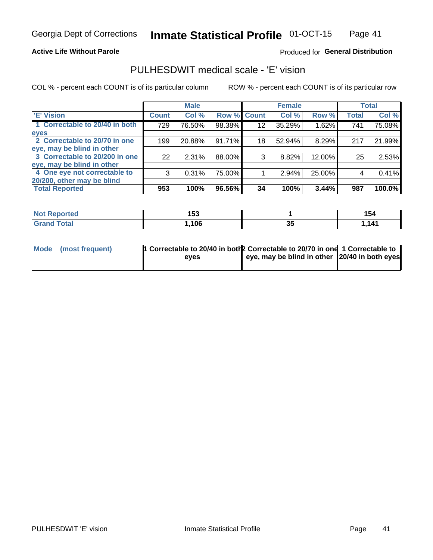### **Active Life Without Parole**

## Produced for General Distribution

# PULHESDWIT medical scale - 'E' vision

COL % - percent each COUNT is of its particular column

|                                |              | <b>Male</b> |        |                 | <b>Female</b> |        |              | <b>Total</b> |
|--------------------------------|--------------|-------------|--------|-----------------|---------------|--------|--------------|--------------|
| <b>E' Vision</b>               | <b>Count</b> | Col %       | Row %  | <b>Count</b>    | Col %         | Row %  | <b>Total</b> | Col %        |
| 1 Correctable to 20/40 in both | 729          | 76.50%      | 98.38% | 12              | 35.29%        | 1.62%  | 741          | 75.08%       |
| eyes                           |              |             |        |                 |               |        |              |              |
| 2 Correctable to 20/70 in one  | 199          | 20.88%      | 91.71% | 18 <sup>1</sup> | 52.94%        | 8.29%  | 217          | 21.99%       |
| eye, may be blind in other     |              |             |        |                 |               |        |              |              |
| 3 Correctable to 20/200 in one | 22           | 2.31%       | 88.00% | 3               | 8.82%         | 12.00% | 25           | 2.53%        |
| eye, may be blind in other     |              |             |        |                 |               |        |              |              |
| 4 One eye not correctable to   | 3            | 0.31%       | 75.00% |                 | 2.94%         | 25.00% | 4            | 0.41%        |
| 20/200, other may be blind     |              |             |        |                 |               |        |              |              |
| <b>Total Reported</b>          | 953          | 100%        | 96.56% | 34              | 100%          | 3.44%  | 987          | 100.0%       |

| <b>Not Reported</b>   | 1 P A<br>טטו |    | 154  |
|-----------------------|--------------|----|------|
| <b>Total</b><br>Grand | ,106         | J. | ,141 |

| Mode (most frequent) | 1 Correctable to 20/40 in both 2 Correctable to 20/70 in one 1 Correctable to<br>eves | eye, may be blind in other 20/40 in both eyes |  |
|----------------------|---------------------------------------------------------------------------------------|-----------------------------------------------|--|
|                      |                                                                                       |                                               |  |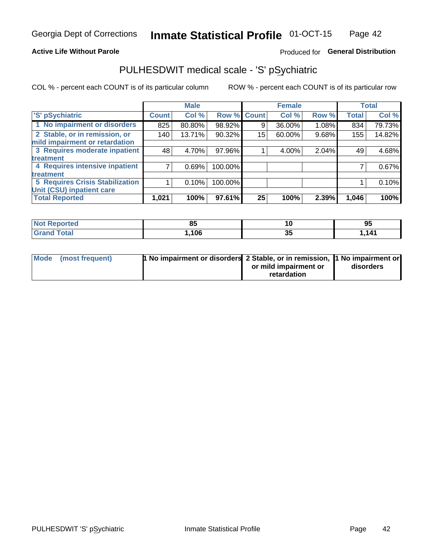### **Active Life Without Parole**

# Produced for General Distribution

# PULHESDWIT medical scale - 'S' pSychiatric

COL % - percent each COUNT is of its particular column

|                                        |              | <b>Male</b> |         |             | <b>Female</b> |       |              | <b>Total</b> |
|----------------------------------------|--------------|-------------|---------|-------------|---------------|-------|--------------|--------------|
| 'S' pSychiatric                        | <b>Count</b> | Col %       |         | Row % Count | Col %         | Row % | <b>Total</b> | Col %        |
| 1 No impairment or disorders           | 825          | 80.80%      | 98.92%  | 9           | 36.00%        | 1.08% | 834          | 79.73%       |
| 2 Stable, or in remission, or          | 140          | 13.71%      | 90.32%  | 15          | 60.00%        | 9.68% | 155          | 14.82%       |
| mild impairment or retardation         |              |             |         |             |               |       |              |              |
| 3 Requires moderate inpatient          | 48           | 4.70%       | 97.96%  |             | 4.00%         | 2.04% | 49           | 4.68%        |
| treatment                              |              |             |         |             |               |       |              |              |
| 4 Requires intensive inpatient         |              | 0.69%       | 100.00% |             |               |       |              | 0.67%        |
| <b>treatment</b>                       |              |             |         |             |               |       |              |              |
| <b>5 Requires Crisis Stabilization</b> |              | 0.10%       | 100.00% |             |               |       |              | 0.10%        |
| Unit (CSU) inpatient care              |              |             |         |             |               |       |              |              |
| <b>Total Reported</b>                  | 1,021        | 100%        | 97.61%  | 25          | 100%          | 2.39% | 1,046        | 100%         |

| <b>Not Reported</b>                  | $\mathbf{o}$ |   | 95   |
|--------------------------------------|--------------|---|------|
| <b>Total</b><br><b>Cron</b><br>oranu | ,106         | ◡ | .141 |

| Mode (most frequent) | <b>1 No impairment or disorders</b> 2 Stable, or in remission, 11 No impairment or |                       |           |
|----------------------|------------------------------------------------------------------------------------|-----------------------|-----------|
|                      |                                                                                    | or mild impairment or | disorders |
|                      |                                                                                    | retardation           |           |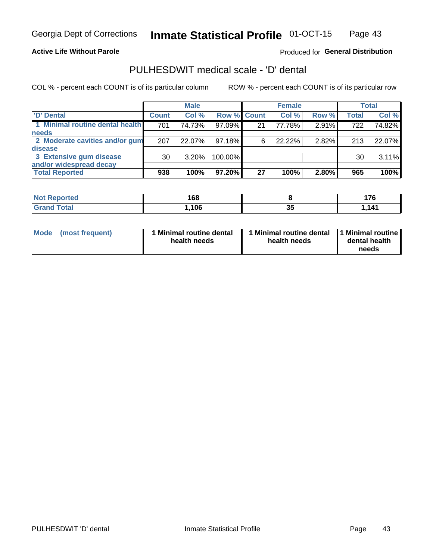**Active Life Without Parole** 

Produced for General Distribution

# PULHESDWIT medical scale - 'D' dental

COL % - percent each COUNT is of its particular column

|                                 |              | <b>Male</b> |             |    | <b>Female</b> |       |              | <b>Total</b> |
|---------------------------------|--------------|-------------|-------------|----|---------------|-------|--------------|--------------|
| 'D' Dental                      | <b>Count</b> | Col %       | Row % Count |    | Col %         | Row % | <b>Total</b> | Col %        |
| 1 Minimal routine dental health | 701          | 74.73%      | 97.09%      | 21 | 77.78%        | 2.91% | 722          | 74.82%       |
| <b>needs</b>                    |              |             |             |    |               |       |              |              |
| 2 Moderate cavities and/or gum  | 207          | 22.07%      | 97.18%      |    | 22.22%        | 2.82% | 213          | 22.07%       |
| disease                         |              |             |             |    |               |       |              |              |
| 3 Extensive gum disease         | 30           | $3.20\%$    | 100.00%     |    |               |       | 30           | 3.11%        |
| and/or widespread decay         |              |             |             |    |               |       |              |              |
| <b>Total Reported</b>           | 938          | 100%        | $97.20\%$   | 27 | 100%          | 2.80% | 965          | 100%         |

| prtea<br><b>NOT</b><br> | 168  |           | $- -$<br>. . |
|-------------------------|------|-----------|--------------|
| Гоtal                   | .106 | - -<br>uu | 141          |

| <b>Mode</b>     | Minimal routine dental | 1 Minimal routine dental 1 Minimal routine | dental health |
|-----------------|------------------------|--------------------------------------------|---------------|
| (most frequent) | health needs           | health needs                               | needs         |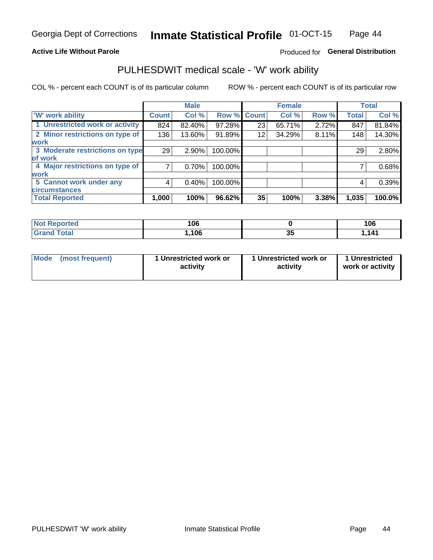### **Active Life Without Parole**

# Produced for General Distribution

# PULHESDWIT medical scale - 'W' work ability

COL % - percent each COUNT is of its particular column

|                                 |              | <b>Male</b> |         |             | <b>Female</b> |       |              | <b>Total</b> |
|---------------------------------|--------------|-------------|---------|-------------|---------------|-------|--------------|--------------|
| <b>W' work ability</b>          | <b>Count</b> | Col %       |         | Row % Count | Col %         | Row % | <b>Total</b> | Col %        |
| 1 Unrestricted work or activity | 824          | 82.40%      | 97.28%  | 23          | 65.71%        | 2.72% | 847          | 81.84%       |
| 2 Minor restrictions on type of | 136          | 13.60%      | 91.89%  | 12          | 34.29%        | 8.11% | 148          | 14.30%       |
| <b>work</b>                     |              |             |         |             |               |       |              |              |
| 3 Moderate restrictions on type | 29           | $2.90\%$    | 100.00% |             |               |       | 29           | 2.80%        |
| lof work                        |              |             |         |             |               |       |              |              |
| 4 Major restrictions on type of |              | 0.70%       | 100.00% |             |               |       |              | 0.68%        |
| <b>work</b>                     |              |             |         |             |               |       |              |              |
| 5 Cannot work under any         | 4            | 0.40%       | 100.00% |             |               |       | 4            | 0.39%        |
| <b>circumstances</b>            |              |             |         |             |               |       |              |              |
| <b>Total Reported</b>           | 1,000        | 100%        | 96.62%  | 35          | 100%          | 3.38% | 1,035        | 100.0%       |

| <b>Not Reported</b>              | 106  |          | 106 |
|----------------------------------|------|----------|-----|
| <b>Total</b><br>$C$ ron $\prime$ | ,106 | ^-<br>v. | 111 |

| Mode (most frequent) | 1 Unrestricted work or | 1 Unrestricted work or | 1 Unrestricted   |
|----------------------|------------------------|------------------------|------------------|
|                      | activity               | activity               | work or activity |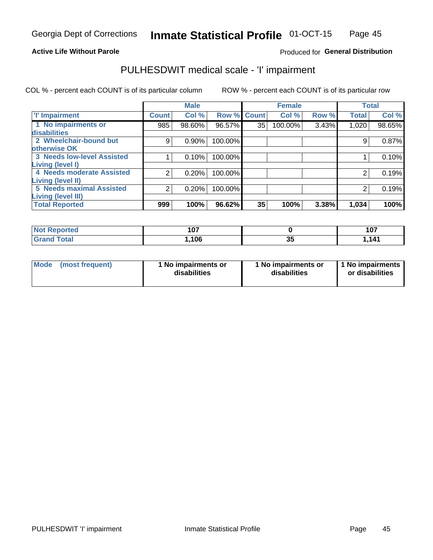## **Active Life Without Parole**

## Produced for General Distribution

# PULHESDWIT medical scale - 'I' impairment

COL % - percent each COUNT is of its particular column ROW % - percent each COUNT is of its particular row

|                                   |              | <b>Male</b> |             |    | <b>Female</b> |       |              | <b>Total</b> |
|-----------------------------------|--------------|-------------|-------------|----|---------------|-------|--------------|--------------|
| <b>T' Impairment</b>              | <b>Count</b> | Col %       | Row % Count |    | Col %         | Row % | <b>Total</b> | Col %        |
| 1 No impairments or               | 985          | 98.60%      | 96.57%      | 35 | 100.00%       | 3.43% | 1,020        | 98.65%       |
| disabilities                      |              |             |             |    |               |       |              |              |
| 2 Wheelchair-bound but            | 9            | 0.90%       | 100.00%     |    |               |       | 9            | 0.87%        |
| otherwise OK                      |              |             |             |    |               |       |              |              |
| <b>3 Needs low-level Assisted</b> |              | 0.10%       | 100.00%     |    |               |       |              | 0.10%        |
| Living (level I)                  |              |             |             |    |               |       |              |              |
| 4 Needs moderate Assisted         | 2            | 0.20%       | 100.00%     |    |               |       |              | 0.19%        |
| <b>Living (level II)</b>          |              |             |             |    |               |       |              |              |
| <b>5 Needs maximal Assisted</b>   | 2            | 0.20%       | 100.00%     |    |               |       | 2            | 0.19%        |
| <b>Living (level III)</b>         |              |             |             |    |               |       |              |              |
| <b>Total Reported</b>             | 999          | 100%        | 96.62%      | 35 | 100%          | 3.38% | 1,034        | 100%         |

| Reported     | $40-$ |                     | 107    |
|--------------|-------|---------------------|--------|
| NOT          | 1 V I |                     | 1 V I  |
| <b>Total</b> | ,106  | $\sim$ $\sim$<br>JJ | 141. ا |

| <b>Mode</b> | (most frequent) | <b>No impairments or</b><br>disabilities | 1 No impairments or<br>disabilities | 1 No impairments<br>or disabilities |
|-------------|-----------------|------------------------------------------|-------------------------------------|-------------------------------------|
|-------------|-----------------|------------------------------------------|-------------------------------------|-------------------------------------|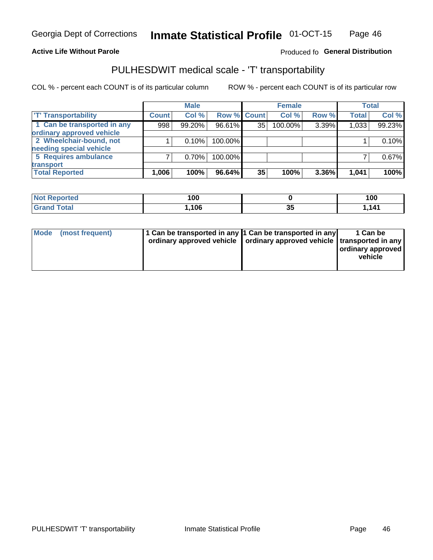### **Active Life Without Parole**

# Produced fo General Distribution

# PULHESDWIT medical scale - 'T' transportability

COL % - percent each COUNT is of its particular column

|                             |              | <b>Male</b> |             |    | <b>Female</b> |       |              | <b>Total</b> |
|-----------------------------|--------------|-------------|-------------|----|---------------|-------|--------------|--------------|
| <b>TT Transportability</b>  | <b>Count</b> | Col %       | Row % Count |    | Col %         | Row % | <b>Total</b> | Col %        |
| 1 Can be transported in any | 998          | 99.20%      | 96.61%      | 35 | 100.00%       | 3.39% | 1,033        | 99.23%       |
| ordinary approved vehicle   |              |             |             |    |               |       |              |              |
| 2 Wheelchair-bound, not     |              | 0.10%       | 100.00%     |    |               |       |              | 0.10%        |
| needing special vehicle     |              |             |             |    |               |       |              |              |
| 5 Requires ambulance        |              | 0.70%       | 100.00%     |    |               |       |              | 0.67%        |
| transport                   |              |             |             |    |               |       |              |              |
| <b>Total Reported</b>       | 1,006        | 100%        | 96.64%      | 35 | 100%          | 3.36% | 1,041        | 100%         |

| <b>eported</b> | 100  |    | 100   |
|----------------|------|----|-------|
| <b>Total</b>   | ,106 | uu | l.141 |

| Mode (most frequent) | 1 Can be transported in any 1 Can be transported in any | ordinary approved vehicle   ordinary approved vehicle   transported in any | 1 Can be<br>ordinary approved<br>vehicle |
|----------------------|---------------------------------------------------------|----------------------------------------------------------------------------|------------------------------------------|
|                      |                                                         |                                                                            |                                          |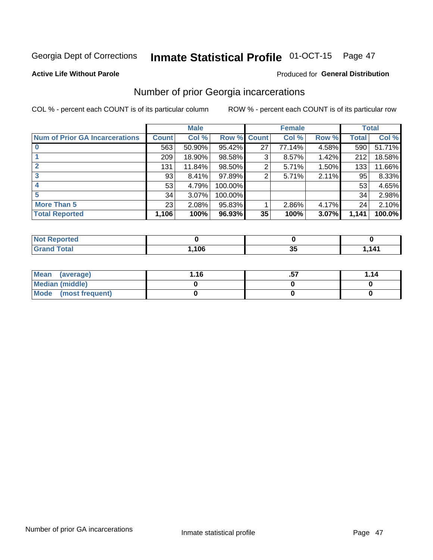# Inmate Statistical Profile 01-OCT-15 Page 47

### **Active Life Without Parole**

## Produced for General Distribution

# Number of prior Georgia incarcerations

COL % - percent each COUNT is of its particular column

|                                       |              | <b>Male</b> |         |              | <b>Female</b> |       |       | <b>Total</b> |
|---------------------------------------|--------------|-------------|---------|--------------|---------------|-------|-------|--------------|
| <b>Num of Prior GA Incarcerations</b> | <b>Count</b> | Col %       | Row %   | <b>Count</b> | Col %         | Row % | Total | Col %        |
|                                       | 563          | 50.90%      | 95.42%  | 27           | 77.14%        | 4.58% | 590   | 51.71%       |
|                                       | 209          | 18.90%      | 98.58%  | 3            | 8.57%         | 1.42% | 212   | 18.58%       |
|                                       | 131          | 11.84%      | 98.50%  | 2            | 5.71%         | 1.50% | 133   | 11.66%       |
| 3                                     | 93           | 8.41%       | 97.89%  | 2            | 5.71%         | 2.11% | 95    | 8.33%        |
| 4                                     | 53           | 4.79%       | 100.00% |              |               |       | 53    | 4.65%        |
| 5                                     | 34           | 3.07%       | 100.00% |              |               |       | 34    | 2.98%        |
| <b>More Than 5</b>                    | 23           | 2.08%       | 95.83%  |              | 2.86%         | 4.17% | 24    | 2.10%        |
| <b>Total Reported</b>                 | 1,106        | 100%        | 96.93%  | 35           | 100%          | 3.07% | 1,141 | 100.0%       |

| eported<br>NO                    |     |   |         |
|----------------------------------|-----|---|---------|
| <b>Fotal</b><br>$\mathbf{v}$ and | 106 | ູ | 141<br> |

| Mean (average)       | 1.16 | <br>1.14 |
|----------------------|------|----------|
| Median (middle)      |      |          |
| Mode (most frequent) |      |          |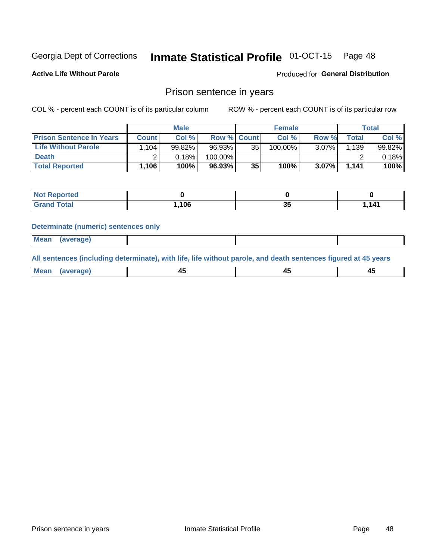# Inmate Statistical Profile 01-OCT-15 Page 48

**Active Life Without Parole** 

Produced for General Distribution

# Prison sentence in years

COL % - percent each COUNT is of its particular column

ROW % - percent each COUNT is of its particular row

|                                 |              | <b>Male</b> |                    |    | <b>Female</b> |          |                      | Total  |
|---------------------------------|--------------|-------------|--------------------|----|---------------|----------|----------------------|--------|
| <b>Prison Sentence In Years</b> | <b>Count</b> | Col %       | <b>Row % Count</b> |    | Col %         | Row %    | Total                | Col %  |
| <b>Life Without Parole</b>      | .104         | 99.82%      | 96.93%             | 35 | 100.00%       | $3.07\%$ | $1,139$ <sup>1</sup> | 99.82% |
| <b>Death</b>                    |              | 0.18%       | 100.00%            |    |               |          |                      | 0.18%  |
| <b>Total Reported</b>           | 1,106'       | 100%        | 96.93%             | 35 | 100%          | $3.07\%$ | 1,141                | 100%   |

| Reported<br>NOT. |      |   |       |
|------------------|------|---|-------|
| <b>Total</b>     | .106 | ູ | 1.141 |

### **Determinate (numeric) sentences only**

| Mean<br><b>CANG</b> |         |  |  |
|---------------------|---------|--|--|
|                     | 1112211 |  |  |

All sentences (including determinate), with life, life without parole, and death sentences figured at 45 years

| l Mea<br>'ЯМА<br>.<br> | ᠇<br>$\sim$ | $\sim$ |  |
|------------------------|-------------|--------|--|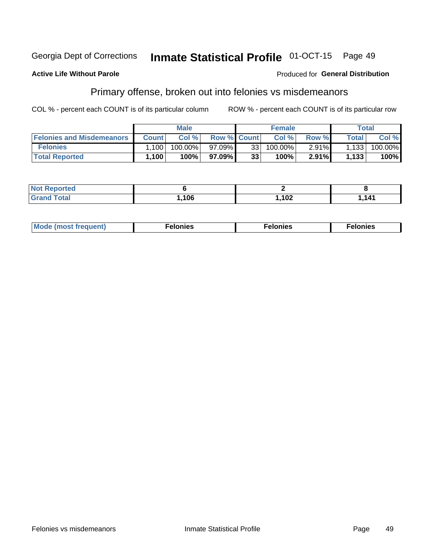#### Georgia Dept of Corrections Inmate Statistical Profile 01-OCT-15 Page 49

### **Active Life Without Parole**

### Produced for General Distribution

# Primary offense, broken out into felonies vs misdemeanors

COL % - percent each COUNT is of its particular column

|                                  |              | <b>Male</b> |                    |    | <b>Female</b> |          |         | Total   |
|----------------------------------|--------------|-------------|--------------------|----|---------------|----------|---------|---------|
| <b>Felonies and Misdemeanors</b> | <b>Count</b> | Col%        | <b>Row % Count</b> |    | Col%          | Row %    | Total i | Col %   |
| <b>Felonies</b>                  | .100         | $100.00\%$  | 97.09%1            | 33 | 100.00%       | $2.91\%$ | 1,133   | 100.00% |
| <b>Total Reported</b>            | .100         | $100\%$     | 97.09%1            | 33 | 100%          | 2.91%    | 1,133   | 100%    |

| <b>Not Reported</b> |      |      |       |
|---------------------|------|------|-------|
| <b>Grand Total</b>  | ,106 | ,102 | 1,141 |

| <b>Mode</b><br>frequent)<br>nies<br>≧ (most tr.<br>. | onies<br>. | lonies<br>ею<br>____ |
|------------------------------------------------------|------------|----------------------|
|------------------------------------------------------|------------|----------------------|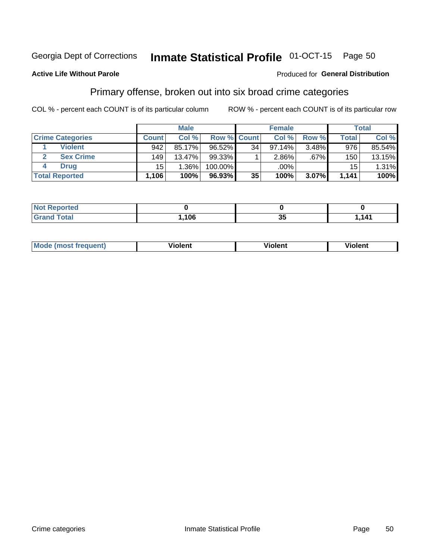#### Inmate Statistical Profile 01-OCT-15 Page 50

## **Active Life Without Parole**

### Produced for General Distribution

# Primary offense, broken out into six broad crime categories

COL % - percent each COUNT is of its particular column

|                         |              | <b>Male</b> |             |    | <b>Female</b> |          |              | Total  |
|-------------------------|--------------|-------------|-------------|----|---------------|----------|--------------|--------|
| <b>Crime Categories</b> | <b>Count</b> | Col%        | Row % Count |    | Col %         | Row %    | <b>Total</b> | Col %  |
| <b>Violent</b>          | 942          | 85.17%      | $96.52\%$   | 34 | $97.14\%$     | 3.48%    | 976          | 85.54% |
| <b>Sex Crime</b>        | 149          | 13.47%      | $99.33\%$   |    | $2.86\%$      | .67%     | 150          | 13.15% |
| <b>Drug</b>             | 15           | 1.36%       | 100.00%     |    | .00%          |          | 15           | 1.31%  |
| <b>Total Reported</b>   | 1,106        | 100%        | 96.93%      | 35 | 100%          | $3.07\%$ | 1.141        | 100%   |

| _____ | ,106 | - -<br>ູ | 141<br>. |
|-------|------|----------|----------|

| Mo<br>quenti | .<br>iolent<br>ΊΙ. | --<br>olent | .<br>'ent |
|--------------|--------------------|-------------|-----------|
|              |                    |             |           |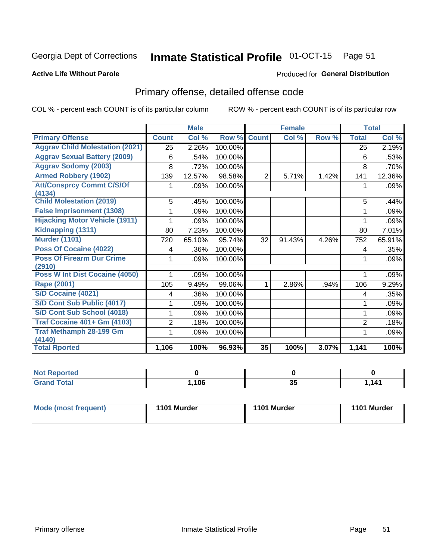# Inmate Statistical Profile 01-OCT-15 Page 51

### **Active Life Without Parole**

### **Produced for General Distribution**

# Primary offense, detailed offense code

COL % - percent each COUNT is of its particular column

|                                            |              | <b>Male</b> |         |                | <b>Female</b> |       |                | <b>Total</b> |
|--------------------------------------------|--------------|-------------|---------|----------------|---------------|-------|----------------|--------------|
| <b>Primary Offense</b>                     | <b>Count</b> | Col %       | Row %   | <b>Count</b>   | Col %         | Row % | <b>Total</b>   | Col %        |
| <b>Aggrav Child Molestation (2021)</b>     | 25           | 2.26%       | 100.00% |                |               |       | 25             | 2.19%        |
| <b>Aggrav Sexual Battery (2009)</b>        | 6            | .54%        | 100.00% |                |               |       | 6              | .53%         |
| <b>Aggrav Sodomy (2003)</b>                | 8            | .72%        | 100.00% |                |               |       | 8              | .70%         |
| <b>Armed Robbery (1902)</b>                | 139          | 12.57%      | 98.58%  | $\overline{2}$ | 5.71%         | 1.42% | 141            | 12.36%       |
| <b>Att/Consprcy Commt C/S/Of</b><br>(4134) |              | .09%        | 100.00% |                |               |       | 1              | $.09\%$      |
| <b>Child Molestation (2019)</b>            | 5            | .45%        | 100.00% |                |               |       | 5              | .44%         |
| <b>False Imprisonment (1308)</b>           |              | .09%        | 100.00% |                |               |       |                | .09%         |
| <b>Hijacking Motor Vehicle (1911)</b>      |              | .09%        | 100.00% |                |               |       |                | .09%         |
| Kidnapping (1311)                          | 80           | 7.23%       | 100.00% |                |               |       | 80             | 7.01%        |
| <b>Murder (1101)</b>                       | 720          | 65.10%      | 95.74%  | 32             | 91.43%        | 4.26% | 752            | 65.91%       |
| <b>Poss Of Cocaine (4022)</b>              | 4            | .36%        | 100.00% |                |               |       | 4              | .35%         |
| <b>Poss Of Firearm Dur Crime</b><br>(2910) | 1            | .09%        | 100.00% |                |               |       | 1              | .09%         |
| Poss W Int Dist Cocaine (4050)             |              | .09%        | 100.00% |                |               |       |                | .09%         |
| Rape (2001)                                | 105          | 9.49%       | 99.06%  | 1.             | 2.86%         | .94%  | 106            | 9.29%        |
| <b>S/D Cocaine (4021)</b>                  | 4            | .36%        | 100.00% |                |               |       | 4              | .35%         |
| S/D Cont Sub Public (4017)                 | 1            | .09%        | 100.00% |                |               |       | 1              | .09%         |
| S/D Cont Sub School (4018)                 |              | .09%        | 100.00% |                |               |       |                | $.09\%$      |
| <b>Traf Cocaine 401+ Gm (4103)</b>         | 2            | .18%        | 100.00% |                |               |       | $\overline{2}$ | .18%         |
| <b>Traf Methamph 28-199 Gm</b><br>(4140)   | 1            | .09%        | 100.00% |                |               |       |                | .09%         |
| <b>Total Rported</b>                       | 1,106        | 100%        | 96.93%  | 35             | 100%          | 3.07% | 1,141          | 100%         |

| N<br>prteu<br>$\sim$ |     |              |          |
|----------------------|-----|--------------|----------|
| _____                | 106 | $\sim$<br>vv | 111<br>. |

| 1101 Murder<br>Mode (most frequent)<br>1101 Murder | 1101 Murder |
|----------------------------------------------------|-------------|
|----------------------------------------------------|-------------|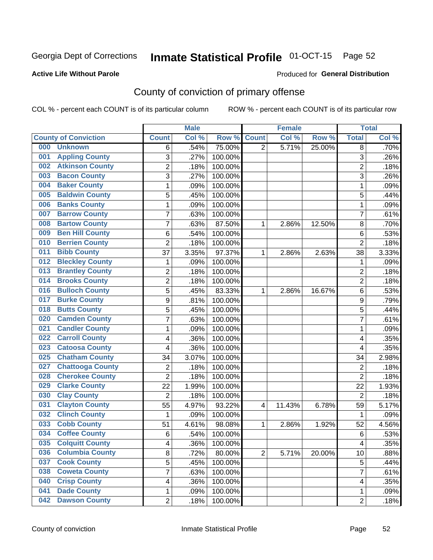# Inmate Statistical Profile 01-OCT-15 Page 52

### **Active Life Without Parole**

### Produced for General Distribution

# County of conviction of primary offense

COL % - percent each COUNT is of its particular column

|                                |                | <b>Male</b> |         |                | <b>Female</b> |        |                | <b>Total</b> |
|--------------------------------|----------------|-------------|---------|----------------|---------------|--------|----------------|--------------|
| <b>County of Conviction</b>    | <b>Count</b>   | Col %       | Row %   | <b>Count</b>   | Col %         | Row %  | <b>Total</b>   | Col %        |
| 000<br><b>Unknown</b>          | 6              | .54%        | 75.00%  | $\overline{2}$ | 5.71%         | 25.00% | 8              | .70%         |
| <b>Appling County</b><br>001   | 3              | .27%        | 100.00% |                |               |        | 3              | .26%         |
| <b>Atkinson County</b><br>002  | $\overline{c}$ | .18%        | 100.00% |                |               |        | $\overline{2}$ | .18%         |
| <b>Bacon County</b><br>003     | 3              | $.27\%$     | 100.00% |                |               |        | $\overline{3}$ | .26%         |
| <b>Baker County</b><br>004     | 1              | .09%        | 100.00% |                |               |        | 1              | .09%         |
| <b>Baldwin County</b><br>005   | 5              | .45%        | 100.00% |                |               |        | 5              | .44%         |
| <b>Banks County</b><br>006     | $\mathbf{1}$   | .09%        | 100.00% |                |               |        | $\mathbf{1}$   | .09%         |
| <b>Barrow County</b><br>007    | 7              | .63%        | 100.00% |                |               |        | $\overline{7}$ | .61%         |
| <b>Bartow County</b><br>008    | 7              | .63%        | 87.50%  | 1              | 2.86%         | 12.50% | 8              | .70%         |
| <b>Ben Hill County</b><br>009  | 6              | .54%        | 100.00% |                |               |        | 6              | .53%         |
| <b>Berrien County</b><br>010   | $\overline{2}$ | .18%        | 100.00% |                |               |        | $\overline{2}$ | .18%         |
| <b>Bibb County</b><br>011      | 37             | 3.35%       | 97.37%  | 1              | 2.86%         | 2.63%  | 38             | 3.33%        |
| <b>Bleckley County</b><br>012  | 1              | .09%        | 100.00% |                |               |        | 1              | .09%         |
| <b>Brantley County</b><br>013  | $\overline{2}$ | .18%        | 100.00% |                |               |        | $\overline{2}$ | .18%         |
| <b>Brooks County</b><br>014    | $\overline{c}$ | .18%        | 100.00% |                |               |        | $\overline{2}$ | .18%         |
| <b>Bulloch County</b><br>016   | 5              | .45%        | 83.33%  | 1              | 2.86%         | 16.67% | 6              | .53%         |
| <b>Burke County</b><br>017     | 9              | .81%        | 100.00% |                |               |        | 9              | .79%         |
| <b>Butts County</b><br>018     | 5              | .45%        | 100.00% |                |               |        | 5              | .44%         |
| <b>Camden County</b><br>020    | $\overline{7}$ | .63%        | 100.00% |                |               |        | $\overline{7}$ | .61%         |
| <b>Candler County</b><br>021   | 1              | .09%        | 100.00% |                |               |        | 1              | .09%         |
| <b>Carroll County</b><br>022   | 4              | .36%        | 100.00% |                |               |        | 4              | .35%         |
| <b>Catoosa County</b><br>023   | 4              | .36%        | 100.00% |                |               |        | 4              | .35%         |
| <b>Chatham County</b><br>025   | 34             | 3.07%       | 100.00% |                |               |        | 34             | 2.98%        |
| <b>Chattooga County</b><br>027 | $\overline{2}$ | .18%        | 100.00% |                |               |        | $\overline{2}$ | .18%         |
| <b>Cherokee County</b><br>028  | $\overline{2}$ | .18%        | 100.00% |                |               |        | $\overline{2}$ | .18%         |
| <b>Clarke County</b><br>029    | 22             | 1.99%       | 100.00% |                |               |        | 22             | 1.93%        |
| <b>Clay County</b><br>030      | $\overline{2}$ | .18%        | 100.00% |                |               |        | $\overline{2}$ | .18%         |
| <b>Clayton County</b><br>031   | 55             | 4.97%       | 93.22%  | $\overline{4}$ | 11.43%        | 6.78%  | 59             | 5.17%        |
| <b>Clinch County</b><br>032    | $\mathbf{1}$   | .09%        | 100.00% |                |               |        | $\mathbf{1}$   | .09%         |
| <b>Cobb County</b><br>033      | 51             | 4.61%       | 98.08%  | 1              | 2.86%         | 1.92%  | 52             | 4.56%        |
| <b>Coffee County</b><br>034    | 6              | .54%        | 100.00% |                |               |        | 6              | .53%         |
| 035<br><b>Colquitt County</b>  | 4              | .36%        | 100.00% |                |               |        | 4              | .35%         |
| <b>Columbia County</b><br>036  | 8              | .72%        | 80.00%  | $\overline{2}$ | 5.71%         | 20.00% | 10             | .88%         |
| 037<br><b>Cook County</b>      | 5              | .45%        | 100.00% |                |               |        | 5              | .44%         |
| <b>Coweta County</b><br>038    | $\overline{7}$ | .63%        | 100.00% |                |               |        | $\overline{7}$ | .61%         |
| <b>Crisp County</b><br>040     | 4              | .36%        | 100.00% |                |               |        | 4              | .35%         |
| <b>Dade County</b><br>041      | 1              | .09%        | 100.00% |                |               |        | 1              | .09%         |
| <b>Dawson County</b><br>042    | $\overline{2}$ | .18%        | 100.00% |                |               |        | $\overline{2}$ | .18%         |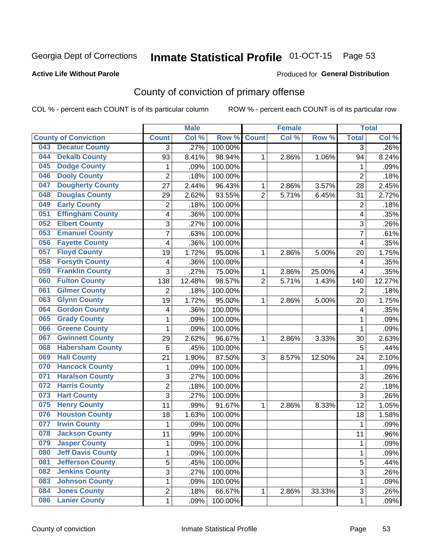# Inmate Statistical Profile 01-OCT-15 Page 53

### **Active Life Without Parole**

### Produced for General Distribution

# County of conviction of primary offense

COL % - percent each COUNT is of its particular column

|                                 |                | <b>Male</b> |         |                | <b>Female</b> |        |                | <b>Total</b> |
|---------------------------------|----------------|-------------|---------|----------------|---------------|--------|----------------|--------------|
| <b>County of Conviction</b>     | <b>Count</b>   | Col %       | Row %   | <b>Count</b>   | Col %         | Row %  | <b>Total</b>   | Col %        |
| <b>Decatur County</b><br>043    | 3              | .27%        | 100.00% |                |               |        | 3              | $.26\%$      |
| <b>Dekalb County</b><br>044     | 93             | 8.41%       | 98.94%  | 1              | 2.86%         | 1.06%  | 94             | 8.24%        |
| <b>Dodge County</b><br>045      | $\mathbf{1}$   | .09%        | 100.00% |                |               |        | 1              | .09%         |
| <b>Dooly County</b><br>046      | $\overline{2}$ | .18%        | 100.00% |                |               |        | $\overline{2}$ | .18%         |
| <b>Dougherty County</b><br>047  | 27             | 2.44%       | 96.43%  | $\mathbf{1}$   | 2.86%         | 3.57%  | 28             | 2.45%        |
| <b>Douglas County</b><br>048    | 29             | 2.62%       | 93.55%  | $\overline{2}$ | 5.71%         | 6.45%  | 31             | 2.72%        |
| <b>Early County</b><br>049      | $\overline{c}$ | .18%        | 100.00% |                |               |        | $\overline{2}$ | .18%         |
| <b>Effingham County</b><br>051  | 4              | .36%        | 100.00% |                |               |        | 4              | .35%         |
| <b>Elbert County</b><br>052     | 3              | .27%        | 100.00% |                |               |        | 3              | .26%         |
| <b>Emanuel County</b><br>053    | $\overline{7}$ | .63%        | 100.00% |                |               |        | 7              | .61%         |
| <b>Fayette County</b><br>056    | 4              | .36%        | 100.00% |                |               |        | 4              | .35%         |
| <b>Floyd County</b><br>057      | 19             | 1.72%       | 95.00%  | 1              | 2.86%         | 5.00%  | 20             | 1.75%        |
| <b>Forsyth County</b><br>058    | 4              | .36%        | 100.00% |                |               |        | 4              | .35%         |
| <b>Franklin County</b><br>059   | 3              | .27%        | 75.00%  | 1              | 2.86%         | 25.00% | 4              | .35%         |
| <b>Fulton County</b><br>060     | 138            | 12.48%      | 98.57%  | $\overline{2}$ | 5.71%         | 1.43%  | 140            | 12.27%       |
| <b>Gilmer County</b><br>061     | $\overline{2}$ | .18%        | 100.00% |                |               |        | $\overline{2}$ | .18%         |
| <b>Glynn County</b><br>063      | 19             | 1.72%       | 95.00%  | 1              | 2.86%         | 5.00%  | 20             | 1.75%        |
| <b>Gordon County</b><br>064     | 4              | .36%        | 100.00% |                |               |        | 4              | .35%         |
| <b>Grady County</b><br>065      | 1              | .09%        | 100.00% |                |               |        | 1              | .09%         |
| <b>Greene County</b><br>066     | 1              | .09%        | 100.00% |                |               |        | 1              | .09%         |
| <b>Gwinnett County</b><br>067   | 29             | 2.62%       | 96.67%  | 1              | 2.86%         | 3.33%  | 30             | 2.63%        |
| <b>Habersham County</b><br>068  | 5              | .45%        | 100.00% |                |               |        | 5              | .44%         |
| <b>Hall County</b><br>069       | 21             | 1.90%       | 87.50%  | 3              | 8.57%         | 12.50% | 24             | 2.10%        |
| <b>Hancock County</b><br>070    | 1              | .09%        | 100.00% |                |               |        | 1              | .09%         |
| <b>Haralson County</b><br>071   | 3              | .27%        | 100.00% |                |               |        | 3              | .26%         |
| <b>Harris County</b><br>072     | $\overline{2}$ | .18%        | 100.00% |                |               |        | $\overline{2}$ | .18%         |
| <b>Hart County</b><br>073       | 3              | .27%        | 100.00% |                |               |        | $\overline{3}$ | .26%         |
| <b>Henry County</b><br>075      | 11             | .99%        | 91.67%  | 1              | 2.86%         | 8.33%  | 12             | 1.05%        |
| <b>Houston County</b><br>076    | 18             | 1.63%       | 100.00% |                |               |        | 18             | 1.58%        |
| <b>Irwin County</b><br>077      | $\mathbf{1}$   | .09%        | 100.00% |                |               |        | $\mathbf{1}$   | .09%         |
| 078<br><b>Jackson County</b>    | 11             | .99%        | 100.00% |                |               |        | 11             | .96%         |
| 079<br><b>Jasper County</b>     | 1              | .09%        | 100.00% |                |               |        | 1              | .09%         |
| <b>Jeff Davis County</b><br>080 | 1              | .09%        | 100.00% |                |               |        | $\mathbf{1}$   | .09%         |
| <b>Jefferson County</b><br>081  | $\overline{5}$ | .45%        | 100.00% |                |               |        | 5              | .44%         |
| <b>Jenkins County</b><br>082    | $\overline{3}$ | .27%        | 100.00% |                |               |        | $\overline{3}$ | .26%         |
| <b>Johnson County</b><br>083    | 1              | .09%        | 100.00% |                |               |        | 1              | .09%         |
| <b>Jones County</b><br>084      | 2              | .18%        | 66.67%  | $\mathbf{1}$   | 2.86%         | 33.33% | 3              | .26%         |
| <b>Lanier County</b><br>086     | 1              | .09%        | 100.00% |                |               |        | 1              | .09%         |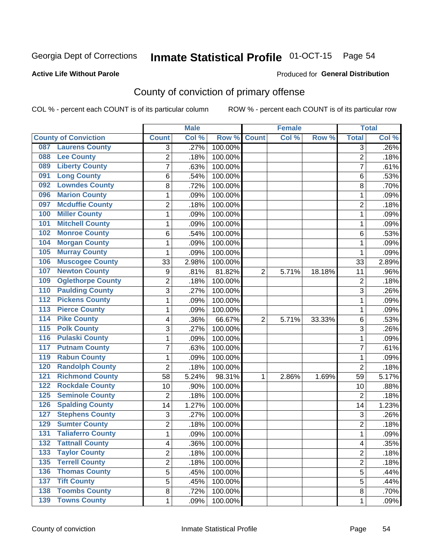# Inmate Statistical Profile 01-OCT-15 Page 54

### **Active Life Without Parole**

### Produced for General Distribution

# County of conviction of primary offense

COL % - percent each COUNT is of its particular column

|                                           |                | <b>Male</b> |                  | <b>Female</b>  |       |        |                | <b>Total</b> |
|-------------------------------------------|----------------|-------------|------------------|----------------|-------|--------|----------------|--------------|
| <b>County of Conviction</b>               | <b>Count</b>   | Col %       | Row <sup>%</sup> | <b>Count</b>   | Col % | Row %  | <b>Total</b>   | Col %        |
| <b>Laurens County</b><br>087              | 3              | .27%        | 100.00%          |                |       |        | 3              | .26%         |
| <b>Lee County</b><br>088                  | $\overline{2}$ | .18%        | 100.00%          |                |       |        | $\overline{2}$ | .18%         |
| <b>Liberty County</b><br>089              | 7              | .63%        | 100.00%          |                |       |        | 7              | .61%         |
| <b>Long County</b><br>091                 | 6              | .54%        | 100.00%          |                |       |        | 6              | .53%         |
| <b>Lowndes County</b><br>092              | 8              | .72%        | 100.00%          |                |       |        | 8              | .70%         |
| <b>Marion County</b><br>096               | 1              | .09%        | 100.00%          |                |       |        | $\mathbf{1}$   | .09%         |
| <b>Mcduffie County</b><br>097             | 2              | .18%        | 100.00%          |                |       |        | $\overline{2}$ | .18%         |
| <b>Miller County</b><br>100               | 1              | .09%        | 100.00%          |                |       |        | $\mathbf{1}$   | .09%         |
| <b>Mitchell County</b><br>101             | 1              | .09%        | 100.00%          |                |       |        | 1              | .09%         |
| <b>Monroe County</b><br>102               | 6              | .54%        | 100.00%          |                |       |        | 6              | .53%         |
| <b>Morgan County</b><br>104               | 1              | .09%        | 100.00%          |                |       |        | 1              | .09%         |
| <b>Murray County</b><br>105               | 1              | .09%        | 100.00%          |                |       |        | 1              | .09%         |
| <b>Muscogee County</b><br>106             | 33             | 2.98%       | 100.00%          |                |       |        | 33             | 2.89%        |
| <b>Newton County</b><br>107               | 9              | .81%        | 81.82%           | $\overline{2}$ | 5.71% | 18.18% | 11             | .96%         |
| <b>Oglethorpe County</b><br>109           | $\overline{2}$ | .18%        | 100.00%          |                |       |        | $\overline{c}$ | .18%         |
| <b>Paulding County</b><br>110             | 3              | .27%        | 100.00%          |                |       |        | $\overline{3}$ | .26%         |
| <b>Pickens County</b><br>112              | 1              | .09%        | 100.00%          |                |       |        | 1              | .09%         |
| <b>Pierce County</b><br>$\overline{113}$  | 1              | .09%        | 100.00%          |                |       |        | 1              | .09%         |
| <b>Pike County</b><br>$\overline{114}$    | 4              | .36%        | 66.67%           | $\overline{2}$ | 5.71% | 33.33% | 6              | .53%         |
| <b>Polk County</b><br>$\overline{115}$    | 3              | .27%        | 100.00%          |                |       |        | $\overline{3}$ | .26%         |
| <b>Pulaski County</b><br>$\overline{116}$ | 1              | .09%        | 100.00%          |                |       |        | 1              | .09%         |
| <b>Putnam County</b><br>117               | $\overline{7}$ | .63%        | 100.00%          |                |       |        | $\overline{7}$ | .61%         |
| <b>Rabun County</b><br>119                | 1              | .09%        | 100.00%          |                |       |        | $\mathbf{1}$   | .09%         |
| <b>Randolph County</b><br>120             | $\overline{2}$ | .18%        | 100.00%          |                |       |        | $\overline{2}$ | .18%         |
| <b>Richmond County</b><br>121             | 58             | 5.24%       | 98.31%           | 1              | 2.86% | 1.69%  | 59             | 5.17%        |
| <b>Rockdale County</b><br>122             | 10             | .90%        | 100.00%          |                |       |        | 10             | .88%         |
| <b>Seminole County</b><br>125             | $\overline{2}$ | .18%        | 100.00%          |                |       |        | $\overline{2}$ | .18%         |
| <b>Spalding County</b><br>126             | 14             | 1.27%       | 100.00%          |                |       |        | 14             | 1.23%        |
| <b>Stephens County</b><br>127             | 3              | .27%        | 100.00%          |                |       |        | 3              | .26%         |
| <b>Sumter County</b><br>129               | 2              | .18%        | 100.00%          |                |       |        | $\overline{2}$ | .18%         |
| <b>Taliaferro County</b><br>131           | 1              | .09%        | 100.00%          |                |       |        | 1              | .09%         |
| 132<br><b>Tattnall County</b>             | 4              | .36%        | 100.00%          |                |       |        | 4              | .35%         |
| <b>Taylor County</b><br>133               | 2              | .18%        | 100.00%          |                |       |        | $\overline{2}$ | .18%         |
| <b>Terrell County</b><br>$\overline{135}$ | $\overline{2}$ | .18%        | 100.00%          |                |       |        | $\overline{2}$ | .18%         |
| <b>Thomas County</b><br>136               | 5              | .45%        | 100.00%          |                |       |        | 5              | .44%         |
| <b>Tift County</b><br>137                 | 5              | .45%        | 100.00%          |                |       |        | $\overline{5}$ | .44%         |
| <b>Toombs County</b><br>138               | 8              | .72%        | 100.00%          |                |       |        | 8              | .70%         |
| <b>139 Towns County</b>                   | $\mathbf 1$    | .09%        | 100.00%          |                |       |        | 1              | .09%         |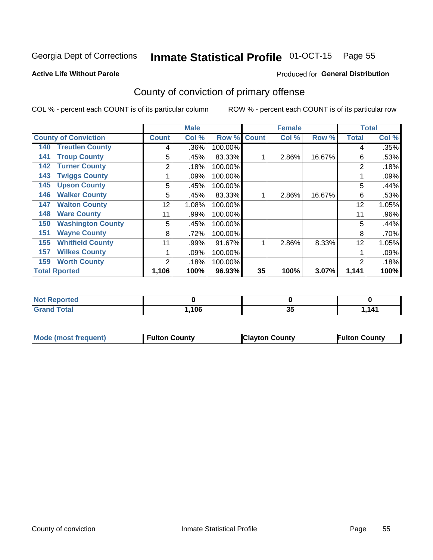# Inmate Statistical Profile 01-OCT-15 Page 55

### **Active Life Without Parole**

### Produced for General Distribution

# County of conviction of primary offense

COL % - percent each COUNT is of its particular column

|                                 | <b>Male</b>    |       |         |              | <b>Female</b> |        | <b>Total</b> |       |
|---------------------------------|----------------|-------|---------|--------------|---------------|--------|--------------|-------|
| <b>County of Conviction</b>     | <b>Count</b>   | Col % | Row %   | <b>Count</b> | Col %         | Row %  | <b>Total</b> | Col % |
| <b>Treutlen County</b><br>140   | 4              | .36%  | 100.00% |              |               |        | 4            | .35%  |
| <b>Troup County</b><br>141      | 5              | .45%  | 83.33%  |              | 2.86%         | 16.67% | 6            | .53%  |
| <b>Turner County</b><br>142     | 2              | .18%  | 100.00% |              |               |        | 2            | .18%  |
| <b>Twiggs County</b><br>143     |                | .09%  | 100.00% |              |               |        |              | .09%  |
| <b>Upson County</b><br>145      | 5              | .45%  | 100.00% |              |               |        | 5            | .44%  |
| <b>Walker County</b><br>146     | 5              | .45%  | 83.33%  |              | 2.86%         | 16.67% | 6            | .53%  |
| <b>Walton County</b><br>147     | 12             | 1.08% | 100.00% |              |               |        | 12           | 1.05% |
| <b>Ware County</b><br>148       | 11             | .99%  | 100.00% |              |               |        | 11           | .96%  |
| <b>Washington County</b><br>150 | 5              | .45%  | 100.00% |              |               |        | 5            | .44%  |
| <b>Wayne County</b><br>151      | 8              | .72%  | 100.00% |              |               |        | 8            | .70%  |
| <b>Whitfield County</b><br>155  | 11             | .99%  | 91.67%  |              | 2.86%         | 8.33%  | 12           | 1.05% |
| <b>Wilkes County</b><br>157     |                | .09%  | 100.00% |              |               |        |              | .09%  |
| <b>Worth County</b><br>159      | $\overline{2}$ | .18%  | 100.00% |              |               |        | 2            | .18%  |
| <b>Total Rported</b>            | 1,106          | 100%  | 96.93%  | 35           | 100%          | 3.07%  | 1,141        | 100%  |

| rted                        |      |              |                |
|-----------------------------|------|--------------|----------------|
| $\sim$ $\sim$ $\sim$ $\sim$ | ,106 | $2^r$<br>-၁၁ | $\overline{A}$ |

| <b>Mode (most frequent)</b> | <b>Fulton County</b> | <b>Clayton County</b> | <b>Fulton County</b> |
|-----------------------------|----------------------|-----------------------|----------------------|
|                             |                      |                       |                      |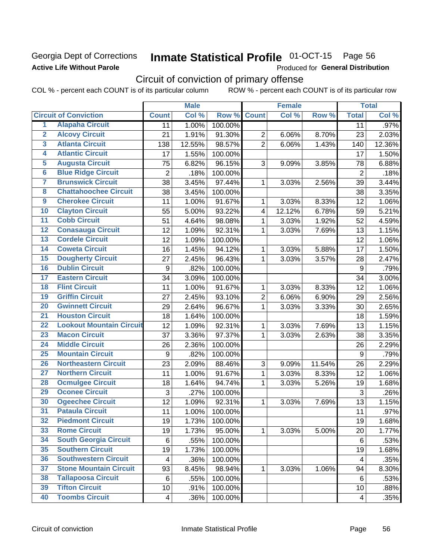# Georgia Dept of Corrections **Active Life Without Parole**

# Inmate Statistical Profile 01-OCT-15 Page 56

Produced for General Distribution

# Circuit of conviction of primary offense

COL % - percent each COUNT is of its particular column ROW % - percent each COUNT is of its particular row

|                         |                                 |                         | <b>Male</b> |         | <b>Female</b>           |        |        | <b>Total</b>   |        |
|-------------------------|---------------------------------|-------------------------|-------------|---------|-------------------------|--------|--------|----------------|--------|
|                         | <b>Circuit of Conviction</b>    | <b>Count</b>            | Col %       | Row %   | <b>Count</b>            | Col %  | Row %  | <b>Total</b>   | Col %  |
| 1                       | <b>Alapaha Circuit</b>          | 11                      | 1.00%       | 100.00% |                         |        |        | 11             | .97%   |
| $\overline{2}$          | <b>Alcovy Circuit</b>           | 21                      | 1.91%       | 91.30%  | $\overline{2}$          | 6.06%  | 8.70%  | 23             | 2.03%  |
| $\overline{\mathbf{3}}$ | <b>Atlanta Circuit</b>          | 138                     | 12.55%      | 98.57%  | $\overline{2}$          | 6.06%  | 1.43%  | 140            | 12.36% |
| 4                       | <b>Atlantic Circuit</b>         | 17                      | 1.55%       | 100.00% |                         |        |        | 17             | 1.50%  |
| $\overline{\mathbf{5}}$ | <b>Augusta Circuit</b>          | 75                      | 6.82%       | 96.15%  | 3                       | 9.09%  | 3.85%  | 78             | 6.88%  |
| $\overline{6}$          | <b>Blue Ridge Circuit</b>       | $\overline{c}$          | .18%        | 100.00% |                         |        |        | $\sqrt{2}$     | .18%   |
| 7                       | <b>Brunswick Circuit</b>        | 38                      | 3.45%       | 97.44%  | 1                       | 3.03%  | 2.56%  | 39             | 3.44%  |
| 8                       | <b>Chattahoochee Circuit</b>    | 38                      | 3.45%       | 100.00% |                         |        |        | 38             | 3.35%  |
| $\overline{9}$          | <b>Cherokee Circuit</b>         | 11                      | 1.00%       | 91.67%  | 1                       | 3.03%  | 8.33%  | 12             | 1.06%  |
| 10                      | <b>Clayton Circuit</b>          | 55                      | 5.00%       | 93.22%  | $\overline{\mathbf{4}}$ | 12.12% | 6.78%  | 59             | 5.21%  |
| $\overline{11}$         | <b>Cobb Circuit</b>             | 51                      | 4.64%       | 98.08%  | 1                       | 3.03%  | 1.92%  | 52             | 4.59%  |
| 12                      | <b>Conasauga Circuit</b>        | 12                      | 1.09%       | 92.31%  | 1                       | 3.03%  | 7.69%  | 13             | 1.15%  |
| 13                      | <b>Cordele Circuit</b>          | 12                      | 1.09%       | 100.00% |                         |        |        | 12             | 1.06%  |
| $\overline{14}$         | <b>Coweta Circuit</b>           | 16                      | 1.45%       | 94.12%  | $\mathbf{1}$            | 3.03%  | 5.88%  | 17             | 1.50%  |
| 15                      | <b>Dougherty Circuit</b>        | 27                      | 2.45%       | 96.43%  | $\mathbf{1}$            | 3.03%  | 3.57%  | 28             | 2.47%  |
| 16                      | <b>Dublin Circuit</b>           | 9                       | .82%        | 100.00% |                         |        |        | 9              | .79%   |
| 17                      | <b>Eastern Circuit</b>          | 34                      | 3.09%       | 100.00% |                         |        |        | 34             | 3.00%  |
| 18                      | <b>Flint Circuit</b>            | 11                      | 1.00%       | 91.67%  | $\mathbf{1}$            | 3.03%  | 8.33%  | 12             | 1.06%  |
| 19                      | <b>Griffin Circuit</b>          | 27                      | 2.45%       | 93.10%  | $\overline{2}$          | 6.06%  | 6.90%  | 29             | 2.56%  |
| $\overline{20}$         | <b>Gwinnett Circuit</b>         | 29                      | 2.64%       | 96.67%  | $\mathbf 1$             | 3.03%  | 3.33%  | 30             | 2.65%  |
| $\overline{21}$         | <b>Houston Circuit</b>          | 18                      | 1.64%       | 100.00% |                         |        |        | 18             | 1.59%  |
| $\overline{22}$         | <b>Lookout Mountain Circuit</b> | 12                      | 1.09%       | 92.31%  | $\mathbf{1}$            | 3.03%  | 7.69%  | 13             | 1.15%  |
| 23                      | <b>Macon Circuit</b>            | 37                      | 3.36%       | 97.37%  | $\mathbf{1}$            | 3.03%  | 2.63%  | 38             | 3.35%  |
| $\overline{24}$         | <b>Middle Circuit</b>           | 26                      | 2.36%       | 100.00% |                         |        |        | 26             | 2.29%  |
| $\overline{25}$         | <b>Mountain Circuit</b>         | $\boldsymbol{9}$        | .82%        | 100.00% |                         |        |        | 9              | .79%   |
| 26                      | <b>Northeastern Circuit</b>     | 23                      | 2.09%       | 88.46%  | 3                       | 9.09%  | 11.54% | 26             | 2.29%  |
| $\overline{27}$         | <b>Northern Circuit</b>         | 11                      | 1.00%       | 91.67%  | $\mathbf{1}$            | 3.03%  | 8.33%  | 12             | 1.06%  |
| 28                      | <b>Ocmulgee Circuit</b>         | 18                      | 1.64%       | 94.74%  | 1                       | 3.03%  | 5.26%  | 19             | 1.68%  |
| 29                      | <b>Oconee Circuit</b>           | 3                       | .27%        | 100.00% |                         |        |        | $\mathfrak{S}$ | .26%   |
| 30                      | <b>Ogeechee Circuit</b>         | 12                      | 1.09%       | 92.31%  | 1                       | 3.03%  | 7.69%  | 13             | 1.15%  |
| $\overline{31}$         | <b>Pataula Circuit</b>          | 11                      | 1.00%       | 100.00% |                         |        |        | 11             | .97%   |
| 32                      | <b>Piedmont Circuit</b>         | 19                      | 1.73%       | 100.00% |                         |        |        | 19             | 1.68%  |
| 33                      | <b>Rome Circuit</b>             | 19                      | 1.73%       | 95.00%  | $\mathbf{1}$            | 3.03%  | 5.00%  | 20             | 1.77%  |
| 34                      | <b>South Georgia Circuit</b>    | 6                       | .55%        | 100.00% |                         |        |        | 6              | .53%   |
| 35                      | <b>Southern Circuit</b>         | 19                      | 1.73%       | 100.00% |                         |        |        | 19             | 1.68%  |
| 36                      | <b>Southwestern Circuit</b>     | 4                       | .36%        | 100.00% |                         |        |        | 4              | .35%   |
| 37                      | <b>Stone Mountain Circuit</b>   | 93                      | 8.45%       | 98.94%  | 1                       | 3.03%  | 1.06%  | 94             | 8.30%  |
| 38                      | <b>Tallapoosa Circuit</b>       | 6                       | .55%        | 100.00% |                         |        |        | 6              | .53%   |
| 39                      | <b>Tifton Circuit</b>           | 10                      | .91%        | 100.00% |                         |        |        | 10             | .88%   |
| 40                      | <b>Toombs Circuit</b>           | $\overline{\mathbf{4}}$ | .36%        | 100.00% |                         |        |        | 4              | .35%   |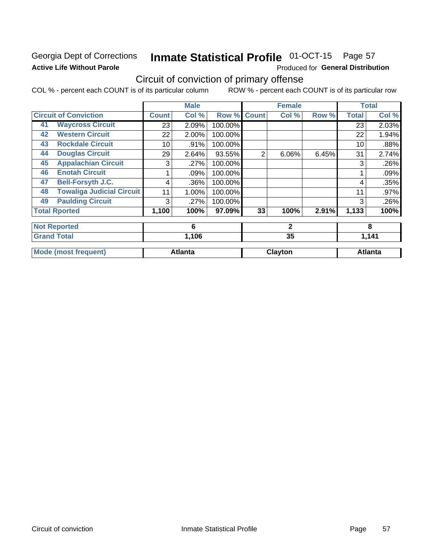# Georgia Dept of Corrections **Active Life Without Parole**

#### Inmate Statistical Profile 01-OCT-15 Page 57

Produced for General Distribution

# Circuit of conviction of primary offense

COL % - percent each COUNT is of its particular column ROW % - percent each COUNT is of its particular row

|    |                                  |       | <b>Male</b>    |         |              | <b>Female</b> |       |              | <b>Total</b>   |  |
|----|----------------------------------|-------|----------------|---------|--------------|---------------|-------|--------------|----------------|--|
|    | <b>Circuit of Conviction</b>     | Count | Col %          | Row %   | <b>Count</b> | Col %         | Row % | <b>Total</b> | Col %          |  |
| 41 | <b>Waycross Circuit</b>          | 23    | 2.09%          | 100.00% |              |               |       | 23           | 2.03%          |  |
| 42 | <b>Western Circuit</b>           | 22    | 2.00%          | 100.00% |              |               |       | 22           | 1.94%          |  |
| 43 | <b>Rockdale Circuit</b>          | 10    | .91%           | 100.00% |              |               |       | 10           | .88%           |  |
| 44 | <b>Douglas Circuit</b>           | 29    | 2.64%          | 93.55%  | 2            | 6.06%         | 6.45% | 31           | 2.74%          |  |
| 45 | <b>Appalachian Circuit</b>       | 3     | .27%           | 100.00% |              |               |       | 3            | .26%           |  |
| 46 | <b>Enotah Circuit</b>            |       | .09%           | 100.00% |              |               |       |              | .09%           |  |
| 47 | <b>Bell-Forsyth J.C.</b>         | 4     | .36%           | 100.00% |              |               |       | 4            | .35%           |  |
| 48 | <b>Towaliga Judicial Circuit</b> | 11    | 1.00%          | 100.00% |              |               |       | 11           | .97%           |  |
| 49 | <b>Paulding Circuit</b>          | 3     | .27%           | 100.00% |              |               |       | 3            | .26%           |  |
|    | <b>Total Rported</b>             | 1,100 | 100%           | 97.09%  | 33           | 100%          | 2.91% | 1,133        | 100%           |  |
|    | <b>Not Reported</b>              |       | 6              |         |              | $\mathbf{2}$  |       |              | 8              |  |
|    | <b>Grand Total</b>               |       | 1,106          |         |              | 35            |       | 1,141        |                |  |
|    | <b>Mode (most frequent)</b>      |       | <b>Atlanta</b> |         |              | Clayton       |       |              | <b>Atlanta</b> |  |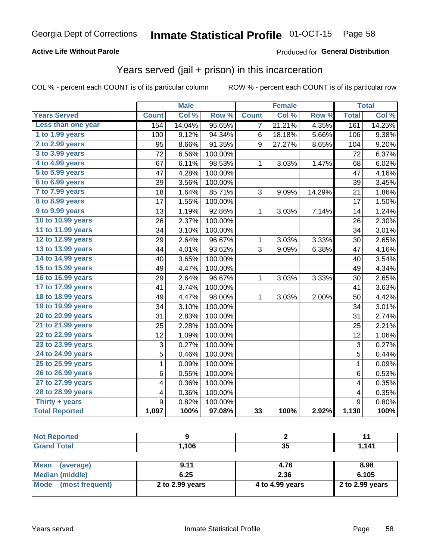## **Active Life Without Parole**

## Produced for General Distribution

# Years served (jail + prison) in this incarceration

COL % - percent each COUNT is of its particular column

|                       |                  | <b>Male</b> |         |              | <b>Female</b> |        |                | <b>Total</b> |
|-----------------------|------------------|-------------|---------|--------------|---------------|--------|----------------|--------------|
| <b>Years Served</b>   | <b>Count</b>     | Col %       | Row %   | <b>Count</b> | Col %         | Row %  | <b>Total</b>   | Col %        |
| Less than one year    | 154              | 14.04%      | 95.65%  | 7            | 21.21%        | 4.35%  | 161            | 14.25%       |
| 1 to 1.99 years       | 100              | 9.12%       | 94.34%  | 6            | 18.18%        | 5.66%  | 106            | 9.38%        |
| 2 to 2.99 years       | 95               | 8.66%       | 91.35%  | 9            | 27.27%        | 8.65%  | 104            | 9.20%        |
| 3 to 3.99 years       | 72               | 6.56%       | 100.00% |              |               |        | 72             | 6.37%        |
| 4 to 4.99 years       | 67               | 6.11%       | 98.53%  | 1            | 3.03%         | 1.47%  | 68             | 6.02%        |
| 5 to 5.99 years       | 47               | 4.28%       | 100.00% |              |               |        | 47             | 4.16%        |
| 6 to 6.99 years       | 39               | 3.56%       | 100.00% |              |               |        | 39             | 3.45%        |
| 7 to 7.99 years       | 18               | 1.64%       | 85.71%  | 3            | 9.09%         | 14.29% | 21             | 1.86%        |
| 8 to 8.99 years       | 17               | 1.55%       | 100.00% |              |               |        | 17             | 1.50%        |
| 9 to 9.99 years       | 13               | 1.19%       | 92.86%  | 1            | 3.03%         | 7.14%  | 14             | 1.24%        |
| 10 to 10.99 years     | 26               | 2.37%       | 100.00% |              |               |        | 26             | 2.30%        |
| 11 to 11.99 years     | $\overline{34}$  | 3.10%       | 100.00% |              |               |        | 34             | 3.01%        |
| 12 to 12.99 years     | 29               | 2.64%       | 96.67%  | 1            | 3.03%         | 3.33%  | 30             | 2.65%        |
| 13 to 13.99 years     | 44               | 4.01%       | 93.62%  | 3            | 9.09%         | 6.38%  | 47             | 4.16%        |
| 14 to 14.99 years     | 40               | 3.65%       | 100.00% |              |               |        | 40             | 3.54%        |
| 15 to 15.99 years     | 49               | 4.47%       | 100.00% |              |               |        | 49             | 4.34%        |
| 16 to 16.99 years     | 29               | 2.64%       | 96.67%  | 1            | 3.03%         | 3.33%  | 30             | 2.65%        |
| 17 to 17.99 years     | 41               | 3.74%       | 100.00% |              |               |        | 41             | 3.63%        |
| 18 to 18.99 years     | 49               | 4.47%       | 98.00%  | 1            | 3.03%         | 2.00%  | 50             | 4.42%        |
| 19 to 19.99 years     | 34               | 3.10%       | 100.00% |              |               |        | 34             | 3.01%        |
| 20 to 20.99 years     | 31               | 2.83%       | 100.00% |              |               |        | 31             | 2.74%        |
| 21 to 21.99 years     | 25               | 2.28%       | 100.00% |              |               |        | 25             | 2.21%        |
| 22 to 22.99 years     | 12               | 1.09%       | 100.00% |              |               |        | 12             | 1.06%        |
| 23 to 23.99 years     | 3                | 0.27%       | 100.00% |              |               |        | $\mathbf{3}$   | 0.27%        |
| 24 to 24.99 years     | 5                | 0.46%       | 100.00% |              |               |        | 5              | 0.44%        |
| 25 to 25.99 years     | $\mathbf{1}$     | 0.09%       | 100.00% |              |               |        | $\overline{1}$ | 0.09%        |
| 26 to 26.99 years     | 6                | 0.55%       | 100.00% |              |               |        | 6              | 0.53%        |
| 27 to 27.99 years     | 4                | 0.36%       | 100.00% |              |               |        | 4              | 0.35%        |
| 28 to 28.99 years     | 4                | 0.36%       | 100.00% |              |               |        | 4              | 0.35%        |
| Thirty + years        | $\boldsymbol{9}$ | 0.82%       | 100.00% |              |               |        | 9              | 0.80%        |
| <b>Total Reported</b> | 1,097            | 100%        | 97.08%  | 33           | 100%          | 2.92%  | 1,130          | 100%         |

| <b>Not Reported</b>            |                 |                 | 11              |
|--------------------------------|-----------------|-----------------|-----------------|
| <b>Grand Total</b>             | 1,106           | 35              | 1.141           |
|                                |                 |                 |                 |
| <b>Mean</b><br>(average)       | 9.11            | 4.76            | 8.98            |
| <b>Median (middle)</b>         | 6.25            | 2.36            | 6.105           |
| <b>Mode</b><br>(most frequent) | 2 to 2.99 years | 4 to 4.99 years | 2 to 2.99 years |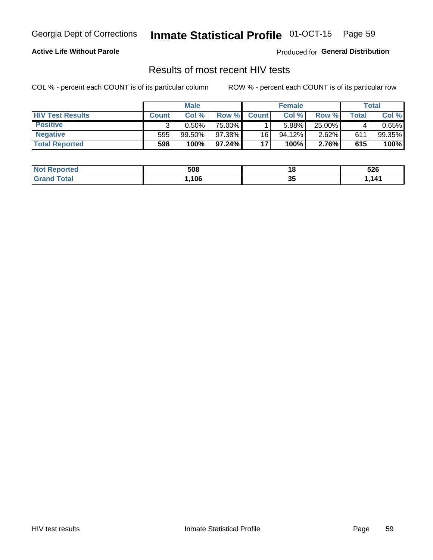#### Inmate Statistical Profile 01-OCT-15 Page 59

## **Active Life Without Parole**

Produced for General Distribution

# Results of most recent HIV tests

COL % - percent each COUNT is of its particular column

|                         | <b>Male</b>  |           |        | <b>Female</b> |           |          | Total        |        |
|-------------------------|--------------|-----------|--------|---------------|-----------|----------|--------------|--------|
| <b>HIV Test Results</b> | <b>Count</b> | Col%      | Row %  | <b>Count</b>  | Col %     | Row %    | <b>Total</b> | Col %  |
| <b>Positive</b>         |              | $0.50\%$  | 75.00% |               | 5.88%     | 25.00%   |              | 0.65%  |
| <b>Negative</b>         | 595          | $99.50\%$ | 97.38% | 16            | $94.12\%$ | $2.62\%$ | 611          | 99.35% |
| <b>Total Reported</b>   | 598          | 100%      | 97.24% | 17            | 100%      | 2.76%    | 615          | 100%   |

| <b>Not Reported</b>         | 508  |    | 526  |
|-----------------------------|------|----|------|
| <b>Total</b><br><b>Gran</b> | ,106 | 35 | .141 |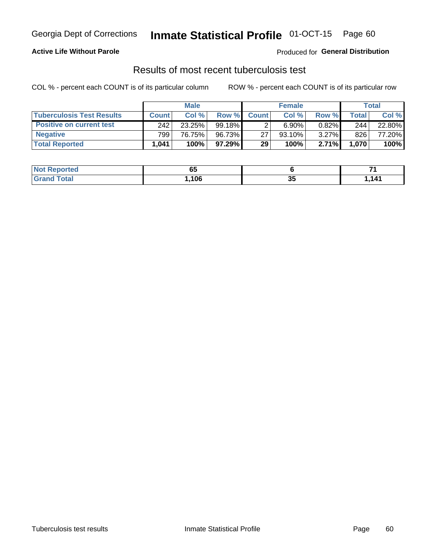# Georgia Dept of Corrections **Inmate Statistical Profile** 01-OCT-15 Page 60

## **Active Life Without Parole**

Produced for **General Distribution**

# Results of most recent tuberculosis test

COL % - percent each COUNT is of its particular column ROW % - percent each COUNT is of its particular row

|                                  |              | <b>Male</b> |           |              | <b>Female</b> |        |         | Total  |
|----------------------------------|--------------|-------------|-----------|--------------|---------------|--------|---------|--------|
| <b>Tuberculosis Test Results</b> | <b>Count</b> | Col%        | Row %I    | <b>Count</b> | Col %         | Row %I | Total I | Col %  |
| <b>Positive on current test</b>  | 242          | 23.25%      | $99.18\%$ |              | 6.90%         | 0.82%  | 244     | 22.80% |
| <b>Negative</b>                  | 799          | 76.75%      | 96.73%    | 27           | $93.10\%$     | 3.27%  | 826     | 77.20% |
| <b>Total Reported</b>            | .041         | 100%        | 97.29%    | 29           | 100%          | 2.71%  | 1,070   | 100%   |

| <b>Not Reported</b>  | - -<br>uu |    |      |
|----------------------|-----------|----|------|
| <b>Total</b><br>Gr2r | 106       | v, | ,141 |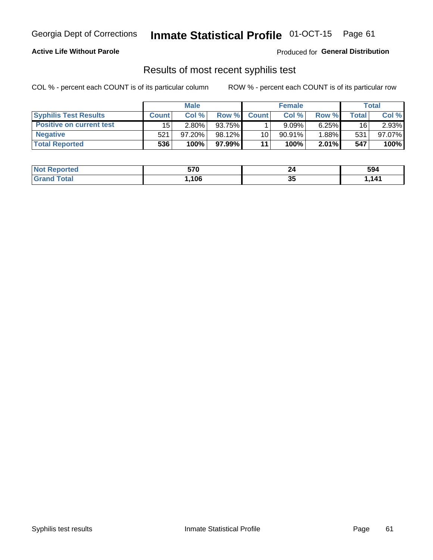# Georgia Dept of Corrections **Inmate Statistical Profile** 01-OCT-15 Page 61

## **Active Life Without Parole**

Produced for **General Distribution**

# Results of most recent syphilis test

COL % - percent each COUNT is of its particular column ROW % - percent each COUNT is of its particular row

|                                 | <b>Male</b>  |           |         | <b>Female</b> |           |          | Total |        |
|---------------------------------|--------------|-----------|---------|---------------|-----------|----------|-------|--------|
| <b>Syphilis Test Results</b>    | <b>Count</b> | Col %     | Row %   | <b>Count</b>  | Col %     | Row %I   | Total | Col %  |
| <b>Positive on current test</b> | 15           | 2.80%     | 93.75%  |               | 9.09%     | 6.25%    | 16    | 2.93%  |
| <b>Negative</b>                 | 521          | $97.20\%$ | 98.12%  | 10            | $90.91\%$ | 1.88%    | 531   | 97.07% |
| <b>Total Reported</b>           | 536          | 100%      | 97.99%1 | 11            | 100%      | $2.01\%$ | 547   | 100%   |

| <b>Not Reported</b> | 570  |          | 594 |
|---------------------|------|----------|-----|
| <b>Grand Total</b>  | ,106 | 26<br>ູບ | 141 |